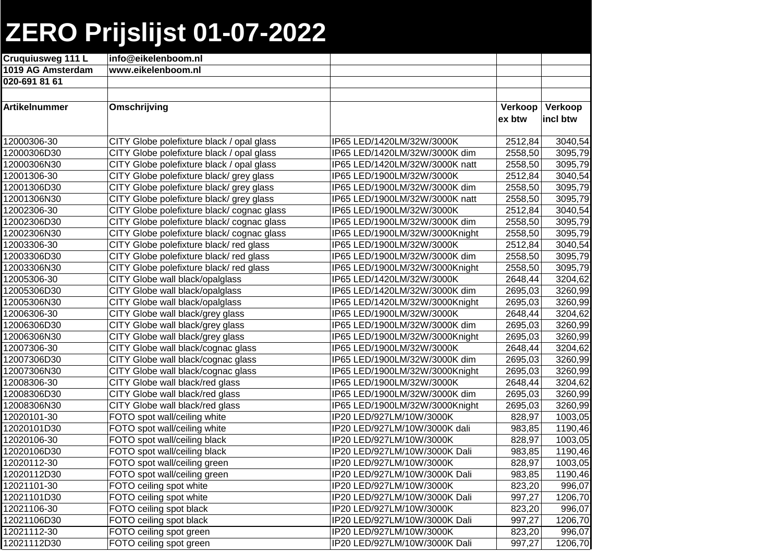## **ZERO Prijslijst 01-07-2022**

| Cruquiusweg 111 L    | info@eikelenboom.nl                       |                                |         |          |
|----------------------|-------------------------------------------|--------------------------------|---------|----------|
| 1019 AG Amsterdam    | www.eikelenboom.nl                        |                                |         |          |
| 020-691 81 61        |                                           |                                |         |          |
|                      |                                           |                                |         |          |
| <b>Artikelnummer</b> | Omschrijving                              |                                | Verkoop | Verkoop  |
|                      |                                           |                                | ex btw  | incl btw |
|                      |                                           |                                |         |          |
| 12000306-30          | CITY Globe polefixture black / opal glass | IP65 LED/1420LM/32W/3000K      | 2512,84 | 3040,54  |
| 12000306D30          | CITY Globe polefixture black / opal glass | IP65 LED/1420LM/32W/3000K dim  | 2558,50 | 3095,79  |
| 12000306N30          | CITY Globe polefixture black / opal glass | IP65 LED/1420LM/32W/3000K natt | 2558,50 | 3095,79  |
| 12001306-30          | CITY Globe polefixture black/ grey glass  | IP65 LED/1900LM/32W/3000K      | 2512,84 | 3040,54  |
| 12001306D30          | CITY Globe polefixture black/ grey glass  | IP65 LED/1900LM/32W/3000K dim  | 2558,50 | 3095,79  |
| 12001306N30          | CITY Globe polefixture black/ grey glass  | IP65 LED/1900LM/32W/3000K natt | 2558,50 | 3095,79  |
| 12002306-30          | CITY Globe polefixture black/cognac glass | IP65 LED/1900LM/32W/3000K      | 2512,84 | 3040,54  |
| 12002306D30          | CITY Globe polefixture black/cognac glass | IP65 LED/1900LM/32W/3000K dim  | 2558,50 | 3095,79  |
| 12002306N30          | CITY Globe polefixture black/cognac glass | IP65 LED/1900LM/32W/3000Knight | 2558,50 | 3095,79  |
| 12003306-30          | CITY Globe polefixture black/red glass    | IP65 LED/1900LM/32W/3000K      | 2512,84 | 3040,54  |
| 12003306D30          | CITY Globe polefixture black/red glass    | IP65 LED/1900LM/32W/3000K dim  | 2558,50 | 3095,79  |
| 12003306N30          | CITY Globe polefixture black/red glass    | IP65 LED/1900LM/32W/3000Knight | 2558,50 | 3095,79  |
| 12005306-30          | CITY Globe wall black/opalglass           | IP65 LED/1420LM/32W/3000K      | 2648,44 | 3204,62  |
| 12005306D30          | CITY Globe wall black/opalglass           | IP65 LED/1420LM/32W/3000K dim  | 2695,03 | 3260,99  |
| 12005306N30          | CITY Globe wall black/opalglass           | IP65 LED/1420LM/32W/3000Knight | 2695,03 | 3260,99  |
| 12006306-30          | CITY Globe wall black/grey glass          | IP65 LED/1900LM/32W/3000K      | 2648,44 | 3204,62  |
| 12006306D30          | CITY Globe wall black/grey glass          | IP65 LED/1900LM/32W/3000K dim  | 2695,03 | 3260,99  |
| 12006306N30          | CITY Globe wall black/grey glass          | IP65 LED/1900LM/32W/3000Knight | 2695,03 | 3260,99  |
| 12007306-30          | CITY Globe wall black/cognac glass        | IP65 LED/1900LM/32W/3000K      | 2648,44 | 3204,62  |
| 12007306D30          | CITY Globe wall black/cognac glass        | IP65 LED/1900LM/32W/3000K dim  | 2695,03 | 3260,99  |
| 12007306N30          | CITY Globe wall black/cognac glass        | IP65 LED/1900LM/32W/3000Knight | 2695,03 | 3260,99  |
| 12008306-30          | CITY Globe wall black/red glass           | IP65 LED/1900LM/32W/3000K      | 2648,44 | 3204,62  |
| 12008306D30          | CITY Globe wall black/red glass           | IP65 LED/1900LM/32W/3000K dim  | 2695,03 | 3260,99  |
| 12008306N30          | CITY Globe wall black/red glass           | IP65 LED/1900LM/32W/3000Knight | 2695,03 | 3260,99  |
| 12020101-30          | FOTO spot wall/ceiling white              | IP20 LED/927LM/10W/3000K       | 828,97  | 1003,05  |
| 12020101D30          | FOTO spot wall/ceiling white              | IP20 LED/927LM/10W/3000K dali  | 983,85  | 1190,46  |
| 12020106-30          | FOTO spot wall/ceiling black              | IP20 LED/927LM/10W/3000K       | 828,97  | 1003,05  |
| 12020106D30          | FOTO spot wall/ceiling black              | IP20 LED/927LM/10W/3000K Dali  | 983,85  | 1190,46  |
| 12020112-30          | FOTO spot wall/ceiling green              | IP20 LED/927LM/10W/3000K       | 828,97  | 1003,05  |
| 12020112D30          | FOTO spot wall/ceiling green              | IP20 LED/927LM/10W/3000K Dali  | 983,85  | 1190,46  |
| 12021101-30          | FOTO ceiling spot white                   | IP20 LED/927LM/10W/3000K       | 823,20  | 996,07   |
| 12021101D30          | FOTO ceiling spot white                   | IP20 LED/927LM/10W/3000K Dali  | 997,27  | 1206,70  |
| 12021106-30          | FOTO ceiling spot black                   | IP20 LED/927LM/10W/3000K       | 823,20  | 996,07   |
| 12021106D30          | FOTO ceiling spot black                   | IP20 LED/927LM/10W/3000K Dali  | 997,27  | 1206,70  |
| 12021112-30          | FOTO ceiling spot green                   | IP20 LED/927LM/10W/3000K       | 823,20  | 996,07   |
| 12021112D30          | FOTO ceiling spot green                   | IP20 LED/927LM/10W/3000K Dali  | 997,27  | 1206,70  |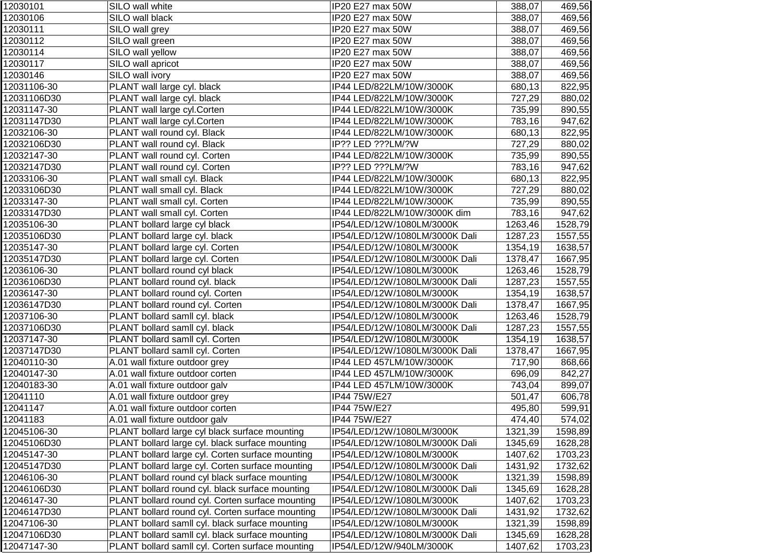| 12030101    | SILO wall white                                  | IP20 E27 max 50W               | 388,07  | 469,56  |
|-------------|--------------------------------------------------|--------------------------------|---------|---------|
| 12030106    | SILO wall black                                  | IP20 E27 max 50W               | 388,07  | 469,56  |
| 12030111    | SILO wall grey                                   | IP20 E27 max 50W               | 388,07  | 469,56  |
| 12030112    | SILO wall green                                  | IP20 E27 max 50W               | 388,07  | 469,56  |
| 12030114    | SILO wall yellow                                 | IP20 E27 max 50W               | 388,07  | 469,56  |
| 12030117    | SILO wall apricot                                | IP20 E27 max 50W               | 388,07  | 469,56  |
| 12030146    | SILO wall ivory                                  | IP20 E27 max 50W               | 388,07  | 469,56  |
| 12031106-30 | PLANT wall large cyl. black                      | IP44 LED/822LM/10W/3000K       | 680,13  | 822,95  |
| 12031106D30 | PLANT wall large cyl. black                      | IP44 LED/822LM/10W/3000K       | 727,29  | 880,02  |
| 12031147-30 | PLANT wall large cyl.Corten                      | IP44 LED/822LM/10W/3000K       | 735,99  | 890,55  |
| 12031147D30 | PLANT wall large cyl.Corten                      | IP44 LED/822LM/10W/3000K       | 783,16  | 947,62  |
| 12032106-30 | PLANT wall round cyl. Black                      | IP44 LED/822LM/10W/3000K       | 680,13  | 822,95  |
| 12032106D30 | PLANT wall round cyl. Black                      | IP?? LED ???LM/?W              | 727,29  | 880,02  |
| 12032147-30 | PLANT wall round cyl. Corten                     | IP44 LED/822LM/10W/3000K       | 735,99  | 890,55  |
| 12032147D30 | PLANT wall round cyl. Corten                     | IP?? LED ???LM/?W              | 783,16  | 947,62  |
| 12033106-30 | PLANT wall small cyl. Black                      | IP44 LED/822LM/10W/3000K       | 680,13  | 822,95  |
| 12033106D30 | PLANT wall small cyl. Black                      | IP44 LED/822LM/10W/3000K       | 727,29  | 880,02  |
| 12033147-30 | PLANT wall small cyl. Corten                     | IP44 LED/822LM/10W/3000K       | 735,99  | 890,55  |
| 12033147D30 | PLANT wall small cyl. Corten                     | IP44 LED/822LM/10W/3000K dim   | 783,16  | 947,62  |
| 12035106-30 | PLANT bollard large cyl black                    | IP54/LED/12W/1080LM/3000K      | 1263,46 | 1528,79 |
| 12035106D30 | PLANT bollard large cyl. black                   | IP54/LED/12W/1080LM/3000K Dali | 1287,23 | 1557,55 |
| 12035147-30 | PLANT bollard large cyl. Corten                  | IP54/LED/12W/1080LM/3000K      | 1354,19 | 1638,57 |
| 12035147D30 | PLANT bollard large cyl. Corten                  | IP54/LED/12W/1080LM/3000K Dali | 1378,47 | 1667,95 |
| 12036106-30 | PLANT bollard round cyl black                    | IP54/LED/12W/1080LM/3000K      | 1263,46 | 1528,79 |
| 12036106D30 | PLANT bollard round cyl. black                   | IP54/LED/12W/1080LM/3000K Dali | 1287,23 | 1557,55 |
| 12036147-30 | PLANT bollard round cyl. Corten                  | IP54/LED/12W/1080LM/3000K      | 1354,19 | 1638,57 |
| 12036147D30 | PLANT bollard round cyl. Corten                  | IP54/LED/12W/1080LM/3000K Dali | 1378,47 | 1667,95 |
| 12037106-30 | PLANT bollard samll cyl. black                   | IP54/LED/12W/1080LM/3000K      | 1263,46 | 1528,79 |
| 12037106D30 | PLANT bollard samll cyl. black                   | IP54/LED/12W/1080LM/3000K Dali | 1287,23 | 1557,55 |
| 12037147-30 | PLANT bollard samll cyl. Corten                  | IP54/LED/12W/1080LM/3000K      | 1354,19 | 1638,57 |
| 12037147D30 | PLANT bollard samll cyl. Corten                  | IP54/LED/12W/1080LM/3000K Dali | 1378,47 | 1667,95 |
| 12040110-30 | A.01 wall fixture outdoor grey                   | IP44 LED 457LM/10W/3000K       | 717,90  | 868,66  |
| 12040147-30 | A.01 wall fixture outdoor corten                 | IP44 LED 457LM/10W/3000K       | 696,09  | 842,27  |
| 12040183-30 | A.01 wall fixture outdoor galv                   | IP44 LED 457LM/10W/3000K       | 743,04  | 899,07  |
| 12041110    | A.01 wall fixture outdoor grey                   | IP44 75W/E27                   | 501,47  | 606,78  |
| 12041147    | A.01 wall fixture outdoor corten                 | IP44 75W/E27                   | 495,80  | 599,91  |
| 12041183    | A.01 wall fixture outdoor galv                   | IP44 75W/E27                   | 474,40  | 574,02  |
| 12045106-30 | PLANT bollard large cyl black surface mounting   | IP54/LED/12W/1080LM/3000K      | 1321,39 | 1598,89 |
| 12045106D30 | PLANT bollard large cyl. black surface mounting  | IP54/LED/12W/1080LM/3000K Dali | 1345,69 | 1628,28 |
| 12045147-30 | PLANT bollard large cyl. Corten surface mounting | IP54/LED/12W/1080LM/3000K      | 1407,62 | 1703,23 |
| 12045147D30 | PLANT bollard large cyl. Corten surface mounting | IP54/LED/12W/1080LM/3000K Dali | 1431,92 | 1732,62 |
| 12046106-30 | PLANT bollard round cyl black surface mounting   | IP54/LED/12W/1080LM/3000K      | 1321,39 | 1598,89 |
| 12046106D30 | PLANT bollard round cyl. black surface mounting  | IP54/LED/12W/1080LM/3000K Dali | 1345,69 | 1628,28 |
| 12046147-30 | PLANT bollard round cyl. Corten surface mounting | IP54/LED/12W/1080LM/3000K      | 1407,62 | 1703,23 |
| 12046147D30 | PLANT bollard round cyl. Corten surface mounting | IP54/LED/12W/1080LM/3000K Dali | 1431,92 | 1732,62 |
| 12047106-30 | PLANT bollard samll cyl. black surface mounting  | IP54/LED/12W/1080LM/3000K      | 1321,39 | 1598,89 |
| 12047106D30 | PLANT bollard samll cyl. black surface mounting  | IP54/LED/12W/1080LM/3000K Dali | 1345,69 | 1628,28 |
| 12047147-30 | PLANT bollard samll cyl. Corten surface mounting | IP54/LED/12W/940LM/3000K       | 1407,62 | 1703,23 |
|             |                                                  |                                |         |         |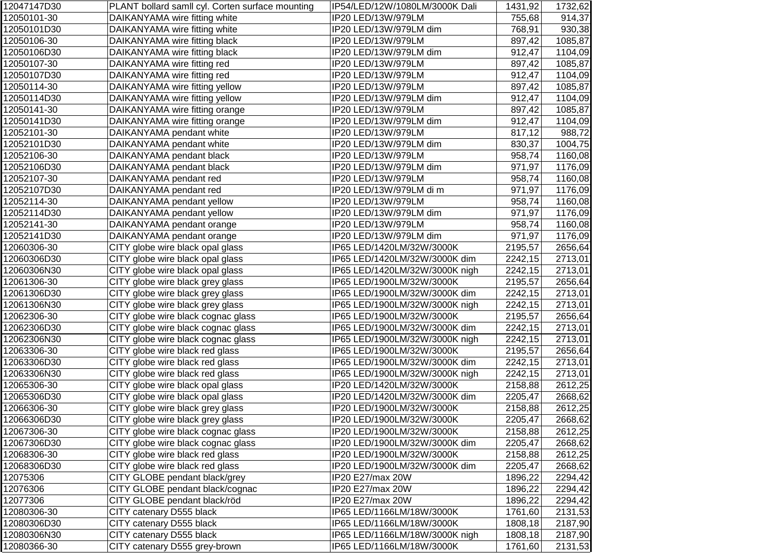| 12047147D30 | PLANT bollard samll cyl. Corten surface mounting | IP54/LED/12W/1080LM/3000K Dali | 1431,92 | 1732,62 |
|-------------|--------------------------------------------------|--------------------------------|---------|---------|
| 12050101-30 | DAIKANYAMA wire fitting white                    | IP20 LED/13W/979LM             | 755,68  | 914,37  |
| 12050101D30 | DAIKANYAMA wire fitting white                    | IP20 LED/13W/979LM dim         | 768,91  | 930,38  |
| 12050106-30 | DAIKANYAMA wire fitting black                    | IP20 LED/13W/979LM             | 897,42  | 1085,87 |
| 12050106D30 | DAIKANYAMA wire fitting black                    | IP20 LED/13W/979LM dim         | 912,47  | 1104,09 |
| 12050107-30 | DAIKANYAMA wire fitting red                      | IP20 LED/13W/979LM             | 897,42  | 1085,87 |
| 12050107D30 | DAIKANYAMA wire fitting red                      | IP20 LED/13W/979LM             | 912,47  | 1104,09 |
| 12050114-30 | DAIKANYAMA wire fitting yellow                   | IP20 LED/13W/979LM             | 897,42  | 1085,87 |
| 12050114D30 | DAIKANYAMA wire fitting yellow                   | IP20 LED/13W/979LM dim         | 912,47  | 1104,09 |
| 12050141-30 | DAIKANYAMA wire fitting orange                   | IP20 LED/13W/979LM             | 897,42  | 1085,87 |
| 12050141D30 | DAIKANYAMA wire fitting orange                   | IP20 LED/13W/979LM dim         | 912,47  | 1104,09 |
| 12052101-30 | DAIKANYAMA pendant white                         | IP20 LED/13W/979LM             | 817,12  | 988,72  |
| 12052101D30 | DAIKANYAMA pendant white                         | IP20 LED/13W/979LM dim         | 830,37  | 1004,75 |
| 12052106-30 | DAIKANYAMA pendant black                         | IP20 LED/13W/979LM             | 958,74  | 1160,08 |
| 12052106D30 | DAIKANYAMA pendant black                         | IP20 LED/13W/979LM dim         | 971,97  | 1176,09 |
| 12052107-30 | DAIKANYAMA pendant red                           | IP20 LED/13W/979LM             | 958,74  | 1160,08 |
| 12052107D30 | DAIKANYAMA pendant red                           | IP20 LED/13W/979LM di m        | 971,97  | 1176,09 |
| 12052114-30 | DAIKANYAMA pendant yellow                        | IP20 LED/13W/979LM             | 958,74  | 1160,08 |
| 12052114D30 | DAIKANYAMA pendant yellow                        | IP20 LED/13W/979LM dim         | 971,97  | 1176,09 |
| 12052141-30 | DAIKANYAMA pendant orange                        | IP20 LED/13W/979LM             | 958,74  | 1160,08 |
| 12052141D30 | DAIKANYAMA pendant orange                        | IP20 LED/13W/979LM dim         | 971,97  | 1176,09 |
| 12060306-30 | CITY globe wire black opal glass                 | IP65 LED/1420LM/32W/3000K      | 2195,57 | 2656,64 |
| 12060306D30 | CITY globe wire black opal glass                 | IP65 LED/1420LM/32W/3000K dim  | 2242,15 | 2713,01 |
| 12060306N30 | CITY globe wire black opal glass                 | IP65 LED/1420LM/32W/3000K nigh | 2242,15 | 2713,01 |
| 12061306-30 | CITY globe wire black grey glass                 | IP65 LED/1900LM/32W/3000K      | 2195,57 | 2656,64 |
| 12061306D30 | CITY globe wire black grey glass                 | IP65 LED/1900LM/32W/3000K dim  | 2242,15 | 2713,01 |
| 12061306N30 | CITY globe wire black grey glass                 | IP65 LED/1900LM/32W/3000K nigh | 2242,15 | 2713,01 |
| 12062306-30 | CITY globe wire black cognac glass               | IP65 LED/1900LM/32W/3000K      | 2195,57 | 2656,64 |
| 12062306D30 | CITY globe wire black cognac glass               | IP65 LED/1900LM/32W/3000K dim  | 2242,15 | 2713,01 |
| 12062306N30 | CITY globe wire black cognac glass               | IP65 LED/1900LM/32W/3000K nigh | 2242,15 | 2713,01 |
| 12063306-30 | CITY globe wire black red glass                  | IP65 LED/1900LM/32W/3000K      | 2195,57 | 2656,64 |
| 12063306D30 | CITY globe wire black red glass                  | IP65 LED/1900LM/32W/3000K dim  | 2242,15 | 2713,01 |
| 12063306N30 | CITY globe wire black red glass                  | IP65 LED/1900LM/32W/3000K nigh | 2242,15 | 2713,01 |
| 12065306-30 | CITY globe wire black opal glass                 | IP20 LED/1420LM/32W/3000K      | 2158,88 | 2612,25 |
| 12065306D30 | CITY globe wire black opal glass                 | IP20 LED/1420LM/32W/3000K dim  | 2205,47 | 2668,62 |
| 12066306-30 | CITY globe wire black grey glass                 | IP20 LED/1900LM/32W/3000K      | 2158,88 | 2612,25 |
| 12066306D30 | CITY globe wire black grey glass                 | IP20 LED/1900LM/32W/3000K      | 2205,47 | 2668,62 |
| 12067306-30 | CITY globe wire black cognac glass               | IP20 LED/1900LM/32W/3000K      | 2158,88 | 2612,25 |
| 12067306D30 | CITY globe wire black cognac glass               | IP20 LED/1900LM/32W/3000K dim  | 2205,47 | 2668,62 |
| 12068306-30 | CITY globe wire black red glass                  | IP20 LED/1900LM/32W/3000K      | 2158,88 | 2612,25 |
| 12068306D30 | CITY globe wire black red glass                  | IP20 LED/1900LM/32W/3000K dim  | 2205,47 | 2668,62 |
| 12075306    | CITY GLOBE pendant black/grey                    | IP20 E27/max 20W               | 1896,22 | 2294,42 |
| 12076306    | CITY GLOBE pendant black/cognac                  | IP20 E27/max 20W               | 1896,22 | 2294,42 |
| 12077306    | CITY GLOBE pendant black/röd                     | IP20 E27/max 20W               | 1896,22 | 2294,42 |
| 12080306-30 | CITY catenary D555 black                         | IP65 LED/1166LM/18W/3000K      | 1761,60 | 2131,53 |
| 12080306D30 | CITY catenary D555 black                         | IP65 LED/1166LM/18W/3000K      | 1808,18 | 2187,90 |
| 12080306N30 | CITY catenary D555 black                         | IP65 LED/1166LM/18W/3000K nigh | 1808,18 | 2187,90 |
| 12080366-30 | CITY catenary D555 grey-brown                    | IP65 LED/1166LM/18W/3000K      | 1761,60 | 2131,53 |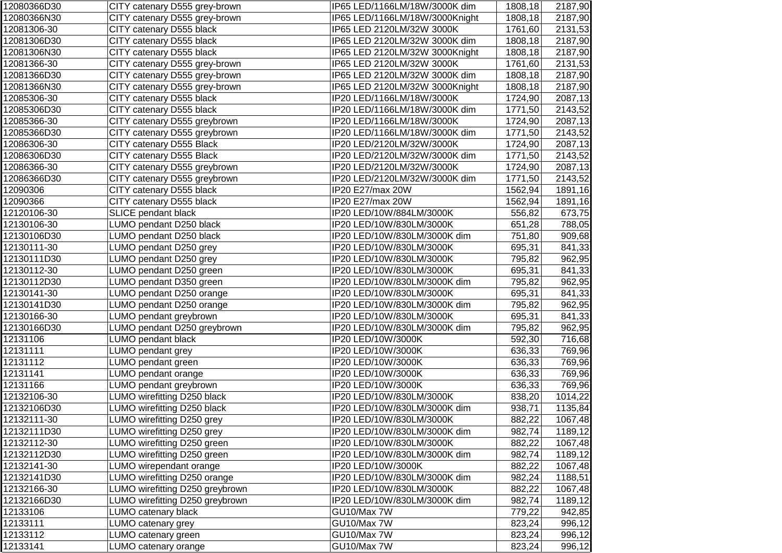| 12080366D30 | CITY catenary D555 grey-brown   | IP65 LED/1166LM/18W/3000K dim  | 1808,18 | 2187,90 |
|-------------|---------------------------------|--------------------------------|---------|---------|
| 12080366N30 | CITY catenary D555 grey-brown   | IP65 LED/1166LM/18W/3000Knight | 1808,18 | 2187,90 |
| 12081306-30 | CITY catenary D555 black        | IP65 LED 2120LM/32W 3000K      | 1761,60 | 2131,53 |
| 12081306D30 | CITY catenary D555 black        | IP65 LED 2120LM/32W 3000K dim  | 1808,18 | 2187,90 |
| 12081306N30 | CITY catenary D555 black        | IP65 LED 2120LM/32W 3000Knight | 1808,18 | 2187,90 |
| 12081366-30 | CITY catenary D555 grey-brown   | IP65 LED 2120LM/32W 3000K      | 1761,60 | 2131,53 |
| 12081366D30 | CITY catenary D555 grey-brown   | IP65 LED 2120LM/32W 3000K dim  | 1808,18 | 2187,90 |
| 12081366N30 | CITY catenary D555 grey-brown   | IP65 LED 2120LM/32W 3000Knight | 1808,18 | 2187,90 |
| 12085306-30 | CITY catenary D555 black        | IP20 LED/1166LM/18W/3000K      | 1724,90 | 2087,13 |
| 12085306D30 | CITY catenary D555 black        | IP20 LED/1166LM/18W/3000K dim  | 1771,50 | 2143,52 |
| 12085366-30 | CITY catenary D555 greybrown    | IP20 LED/1166LM/18W/3000K      | 1724,90 | 2087,13 |
| 12085366D30 | CITY catenary D555 greybrown    | IP20 LED/1166LM/18W/3000K dim  | 1771,50 | 2143,52 |
| 12086306-30 | CITY catenary D555 Black        | IP20 LED/2120LM/32W/3000K      | 1724,90 | 2087,13 |
| 12086306D30 | CITY catenary D555 Black        | IP20 LED/2120LM/32W/3000K dim  | 1771,50 | 2143,52 |
| 12086366-30 | CITY catenary D555 greybrown    | IP20 LED/2120LM/32W/3000K      | 1724,90 | 2087,13 |
| 12086366D30 | CITY catenary D555 greybrown    | IP20 LED/2120LM/32W/3000K dim  | 1771,50 | 2143,52 |
| 12090306    | CITY catenary D555 black        | IP20 E27/max 20W               | 1562,94 | 1891,16 |
| 12090366    | CITY catenary D555 black        | IP20 E27/max 20W               | 1562,94 | 1891,16 |
| 12120106-30 | SLICE pendant black             | IP20 LED/10W/884LM/3000K       | 556,82  | 673,75  |
| 12130106-30 | LUMO pendant D250 black         | IP20 LED/10W/830LM/3000K       | 651,28  | 788,05  |
| 12130106D30 | LUMO pendant D250 black         | IP20 LED/10W/830LM/3000K dim   | 751,80  | 909,68  |
| 12130111-30 | LUMO pendant D250 grey          | IP20 LED/10W/830LM/3000K       | 695,31  | 841,33  |
| 12130111D30 | LUMO pendant D250 grey          | IP20 LED/10W/830LM/3000K       | 795,82  | 962,95  |
| 12130112-30 | LUMO pendant D250 green         | IP20 LED/10W/830LM/3000K       | 695,31  | 841,33  |
| 12130112D30 | LUMO pendant D350 green         | IP20 LED/10W/830LM/3000K dim   | 795,82  | 962,95  |
| 12130141-30 | LUMO pendant D250 orange        | IP20 LED/10W/830LM/3000K       | 695,31  | 841,33  |
| 12130141D30 | LUMO pendant D250 orange        | IP20 LED/10W/830LM/3000K dim   | 795,82  | 962,95  |
| 12130166-30 | LUMO pendant greybrown          | IP20 LED/10W/830LM/3000K       | 695,31  | 841,33  |
| 12130166D30 | LUMO pendant D250 greybrown     | IP20 LED/10W/830LM/3000K dim   | 795,82  | 962,95  |
| 12131106    | LUMO pendant black              | IP20 LED/10W/3000K             | 592,30  | 716,68  |
| 12131111    | LUMO pendant grey               | IP20 LED/10W/3000K             | 636,33  | 769,96  |
| 12131112    | LUMO pendant green              | IP20 LED/10W/3000K             | 636,33  | 769,96  |
| 12131141    | LUMO pendant orange             | IP20 LED/10W/3000K             | 636,33  | 769,96  |
| 12131166    | LUMO pendant greybrown          | IP20 LED/10W/3000K             | 636,33  | 769,96  |
| 12132106-30 | LUMO wirefitting D250 black     | IP20 LED/10W/830LM/3000K       | 838,20  | 1014,22 |
| 12132106D30 | LUMO wirefitting D250 black     | IP20 LED/10W/830LM/3000K dim   | 938,71  | 1135,84 |
| 12132111-30 | LUMO wirefitting D250 grey      | IP20 LED/10W/830LM/3000K       | 882,22  | 1067,48 |
| 12132111D30 | LUMO wirefitting D250 grey      | IP20 LED/10W/830LM/3000K dim   | 982,74  | 1189,12 |
| 12132112-30 | LUMO wirefitting D250 green     | IP20 LED/10W/830LM/3000K       | 882,22  | 1067,48 |
| 12132112D30 | LUMO wirefitting D250 green     | IP20 LED/10W/830LM/3000K dim   | 982,74  | 1189,12 |
| 12132141-30 | LUMO wirependant orange         | IP20 LED/10W/3000K             | 882,22  | 1067,48 |
| 12132141D30 | LUMO wirefitting D250 orange    | IP20 LED/10W/830LM/3000K dim   | 982,24  | 1188,51 |
| 12132166-30 | LUMO wirefitting D250 greybrown | IP20 LED/10W/830LM/3000K       | 882,22  | 1067,48 |
| 12132166D30 | LUMO wirefitting D250 greybrown | IP20 LED/10W/830LM/3000K dim   | 982,74  | 1189,12 |
| 12133106    | LUMO catenary black             | GU10/Max 7W                    | 779,22  | 942,85  |
| 12133111    | LUMO catenary grey              | GU10/Max 7W                    | 823,24  | 996,12  |
| 12133112    | LUMO catenary green             | GU10/Max 7W                    | 823,24  | 996,12  |
| 12133141    | LUMO catenary orange            | GU10/Max 7W                    | 823,24  | 996,12  |
|             |                                 |                                |         |         |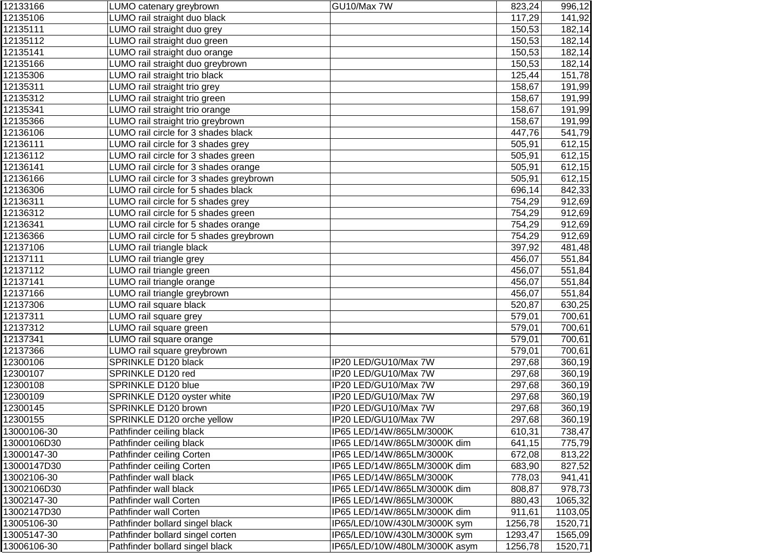| 12133166    | LUMO catenary greybrown                 | GU10/Max 7W                   | 823,24  | 996,12  |
|-------------|-----------------------------------------|-------------------------------|---------|---------|
| 12135106    | LUMO rail straight duo black            |                               | 117,29  | 141,92  |
| 12135111    | LUMO rail straight duo grey             |                               | 150,53  | 182,14  |
| 12135112    | LUMO rail straight duo green            |                               | 150,53  | 182,14  |
| 12135141    | LUMO rail straight duo orange           |                               | 150,53  | 182,14  |
| 12135166    | LUMO rail straight duo greybrown        |                               | 150,53  | 182,14  |
| 12135306    | LUMO rail straight trio black           |                               | 125,44  | 151,78  |
| 12135311    | LUMO rail straight trio grey            |                               | 158,67  | 191,99  |
| 12135312    | LUMO rail straight trio green           |                               | 158,67  | 191,99  |
| 12135341    | LUMO rail straight trio orange          |                               | 158,67  | 191,99  |
| 12135366    | LUMO rail straight trio greybrown       |                               | 158,67  | 191,99  |
| 12136106    | LUMO rail circle for 3 shades black     |                               | 447,76  | 541,79  |
| 12136111    | LUMO rail circle for 3 shades grey      |                               | 505,91  | 612,15  |
| 12136112    | LUMO rail circle for 3 shades green     |                               | 505,91  | 612,15  |
| 12136141    | LUMO rail circle for 3 shades orange    |                               | 505,91  | 612,15  |
| 12136166    | LUMO rail circle for 3 shades greybrown |                               | 505,91  | 612,15  |
| 12136306    | LUMO rail circle for 5 shades black     |                               | 696,14  | 842,33  |
| 12136311    | LUMO rail circle for 5 shades grey      |                               | 754,29  | 912,69  |
| 12136312    | LUMO rail circle for 5 shades green     |                               | 754,29  | 912,69  |
| 12136341    | LUMO rail circle for 5 shades orange    |                               | 754,29  | 912,69  |
| 12136366    | LUMO rail circle for 5 shades greybrown |                               | 754,29  | 912,69  |
| 12137106    | LUMO rail triangle black                |                               | 397,92  | 481,48  |
| 12137111    | LUMO rail triangle grey                 |                               | 456,07  | 551,84  |
| 12137112    | LUMO rail triangle green                |                               | 456,07  | 551,84  |
| 12137141    | LUMO rail triangle orange               |                               | 456,07  | 551,84  |
| 12137166    | LUMO rail triangle greybrown            |                               | 456,07  | 551,84  |
| 12137306    | LUMO rail square black                  |                               | 520,87  | 630,25  |
| 12137311    | LUMO rail square grey                   |                               | 579,01  | 700,61  |
| 12137312    | LUMO rail square green                  |                               | 579,01  | 700,61  |
| 12137341    | LUMO rail square orange                 |                               | 579,01  | 700,61  |
| 12137366    | LUMO rail square greybrown              |                               | 579,01  | 700,61  |
| 12300106    | SPRINKLE D120 black                     | IP20 LED/GU10/Max 7W          | 297,68  | 360,19  |
| 12300107    | SPRINKLE D120 red                       | IP20 LED/GU10/Max 7W          | 297,68  | 360,19  |
| 12300108    | SPRINKLE D120 blue                      | IP20 LED/GU10/Max 7W          | 297,68  | 360,19  |
| 12300109    | SPRINKLE D120 oyster white              | IP20 LED/GU10/Max 7W          | 297,68  | 360,19  |
| 12300145    | SPRINKLE D120 brown                     | IP20 LED/GU10/Max 7W          | 297,68  | 360,19  |
| 12300155    | SPRINKLE D120 orche yellow              | IP20 LED/GU10/Max 7W          | 297,68  | 360,19  |
| 13000106-30 | Pathfinder ceiling black                | IP65 LED/14W/865LM/3000K      | 610,31  | 738,47  |
| 13000106D30 | Pathfinder ceiling black                | IP65 LED/14W/865LM/3000K dim  | 641,15  | 775,79  |
| 13000147-30 | Pathfinder ceiling Corten               | IP65 LED/14W/865LM/3000K      | 672,08  | 813,22  |
| 13000147D30 | Pathfinder ceiling Corten               | IP65 LED/14W/865LM/3000K dim  | 683,90  | 827,52  |
| 13002106-30 | Pathfinder wall black                   | IP65 LED/14W/865LM/3000K      | 778,03  | 941,41  |
| 13002106D30 | Pathfinder wall black                   | IP65 LED/14W/865LM/3000K dim  | 808,87  | 978,73  |
| 13002147-30 | Pathfinder wall Corten                  | IP65 LED/14W/865LM/3000K      | 880,43  | 1065,32 |
| 13002147D30 | Pathfinder wall Corten                  | IP65 LED/14W/865LM/3000K dim  | 911,61  | 1103,05 |
| 13005106-30 | Pathfinder bollard singel black         | IP65/LED/10W/430LM/3000K sym  | 1256,78 | 1520,71 |
| 13005147-30 | Pathfinder bollard singel corten        | IP65/LED/10W/430LM/3000K sym  | 1293,47 | 1565,09 |
| 13006106-30 | Pathfinder bollard singel black         | IP65/LED/10W/480LM/3000K asym | 1256,78 | 1520,71 |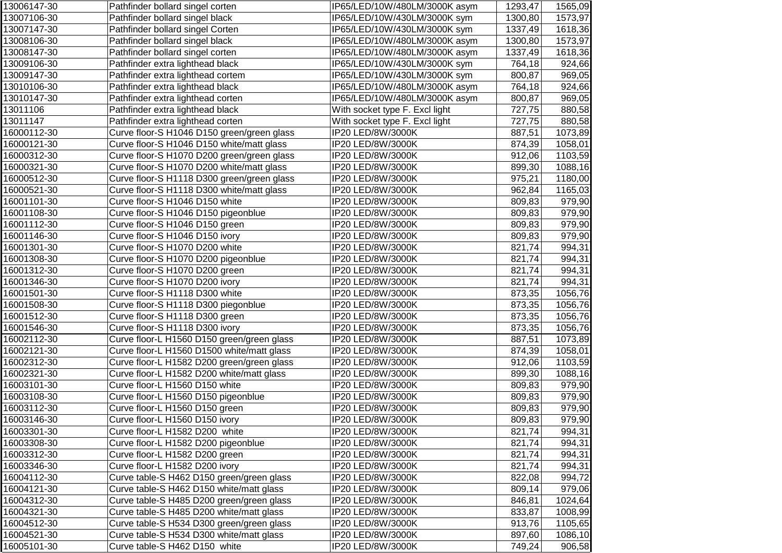| 13006147-30 | Pathfinder bollard singel corten           | IP65/LED/10W/480LM/3000K asym  | 1293,47 | 1565,09 |
|-------------|--------------------------------------------|--------------------------------|---------|---------|
| 13007106-30 | Pathfinder bollard singel black            | IP65/LED/10W/430LM/3000K sym   | 1300,80 | 1573,97 |
| 13007147-30 | Pathfinder bollard singel Corten           | IP65/LED/10W/430LM/3000K sym   | 1337,49 | 1618,36 |
| 13008106-30 | Pathfinder bollard singel black            | IP65/LED/10W/480LM/3000K asym  | 1300,80 | 1573,97 |
| 13008147-30 | Pathfinder bollard singel corten           | IP65/LED/10W/480LM/3000K asym  | 1337,49 | 1618,36 |
| 13009106-30 | Pathfinder extra lighthead black           | IP65/LED/10W/430LM/3000K sym   | 764,18  | 924,66  |
| 13009147-30 | Pathfinder extra lighthead cortem          | IP65/LED/10W/430LM/3000K sym   | 800,87  | 969,05  |
| 13010106-30 | Pathfinder extra lighthead black           | IP65/LED/10W/480LM/3000K asym  | 764,18  | 924,66  |
| 13010147-30 | Pathfinder extra lighthead corten          | IP65/LED/10W/480LM/3000K asym  | 800,87  | 969,05  |
| 13011106    | Pathfinder extra lighthead black           | With socket type F. Excl light | 727,75  | 880,58  |
| 13011147    | Pathfinder extra lighthead corten          | With socket type F. Excl light | 727,75  | 880,58  |
| 16000112-30 | Curve floor-S H1046 D150 green/green glass | IP20 LED/8W/3000K              | 887,51  | 1073,89 |
| 16000121-30 | Curve floor-S H1046 D150 white/matt glass  | IP20 LED/8W/3000K              | 874,39  | 1058,01 |
| 16000312-30 | Curve floor-S H1070 D200 green/green glass | IP20 LED/8W/3000K              | 912,06  | 1103,59 |
| 16000321-30 | Curve floor-S H1070 D200 white/matt glass  | IP20 LED/8W/3000K              | 899,30  | 1088,16 |
| 16000512-30 | Curve floor-S H1118 D300 green/green glass | IP20 LED/8W/3000K              | 975,21  | 1180,00 |
| 16000521-30 | Curve floor-S H1118 D300 white/matt glass  | IP20 LED/8W/3000K              | 962,84  | 1165,03 |
| 16001101-30 | Curve floor-S H1046 D150 white             | IP20 LED/8W/3000K              | 809,83  | 979,90  |
| 16001108-30 | Curve floor-S H1046 D150 pigeonblue        | IP20 LED/8W/3000K              | 809,83  | 979,90  |
| 16001112-30 | Curve floor-S H1046 D150 green             | IP20 LED/8W/3000K              | 809,83  | 979,90  |
| 16001146-30 | Curve floor-S H1046 D150 ivory             | IP20 LED/8W/3000K              | 809,83  | 979,90  |
| 16001301-30 | Curve floor-S H1070 D200 white             | IP20 LED/8W/3000K              | 821,74  | 994,31  |
| 16001308-30 | Curve floor-S H1070 D200 pigeonblue        | IP20 LED/8W/3000K              | 821,74  | 994,31  |
| 16001312-30 | Curve floor-S H1070 D200 green             | IP20 LED/8W/3000K              | 821,74  | 994,31  |
| 16001346-30 | Curve floor-S H1070 D200 ivory             | IP20 LED/8W/3000K              | 821,74  | 994,31  |
| 16001501-30 | Curve floor-S H1118 D300 white             | IP20 LED/8W/3000K              | 873,35  | 1056,76 |
| 16001508-30 | Curve floor-S H1118 D300 piegonblue        | IP20 LED/8W/3000K              | 873,35  | 1056,76 |
| 16001512-30 | Curve floor-S H1118 D300 green             | IP20 LED/8W/3000K              | 873,35  | 1056,76 |
| 16001546-30 | Curve floor-S H1118 D300 ivory             | IP20 LED/8W/3000K              | 873,35  | 1056,76 |
| 16002112-30 | Curve floor-L H1560 D150 green/green glass | IP20 LED/8W/3000K              | 887,51  | 1073,89 |
| 16002121-30 | Curve floor-L H1560 D1500 white/matt glass | IP20 LED/8W/3000K              | 874,39  | 1058,01 |
| 16002312-30 | Curve floor-L H1582 D200 green/green glass | IP20 LED/8W/3000K              | 912,06  | 1103,59 |
| 16002321-30 | Curve floor-L H1582 D200 white/matt glass  | IP20 LED/8W/3000K              | 899,30  | 1088,16 |
| 16003101-30 | Curve floor-L H1560 D150 white             | IP20 LED/8W/3000K              | 809,83  | 979,90  |
| 16003108-30 | Curve floor-L H1560 D150 pigeonblue        | IP20 LED/8W/3000K              | 809,83  | 979,90  |
| 16003112-30 | Curve floor-L H1560 D150 green             | IP20 LED/8W/3000K              | 809,83  | 979,90  |
| 16003146-30 | Curve floor-L H1560 D150 ivory             | IP20 LED/8W/3000K              | 809,83  | 979,90  |
| 16003301-30 | Curve floor-L H1582 D200 white             | IP20 LED/8W/3000K              | 821,74  | 994,31  |
| 16003308-30 | Curve floor-L H1582 D200 pigeonblue        | IP20 LED/8W/3000K              | 821,74  | 994,31  |
| 16003312-30 | Curve floor-L H1582 D200 green             | IP20 LED/8W/3000K              | 821,74  | 994,31  |
| 16003346-30 | Curve floor-L H1582 D200 ivory             | IP20 LED/8W/3000K              | 821,74  | 994,31  |
| 16004112-30 | Curve table-S H462 D150 green/green glass  | IP20 LED/8W/3000K              | 822,08  | 994,72  |
| 16004121-30 | Curve table-S H462 D150 white/matt glass   | IP20 LED/8W/3000K              | 809,14  | 979,06  |
| 16004312-30 | Curve table-S H485 D200 green/green glass  | IP20 LED/8W/3000K              | 846,81  | 1024,64 |
| 16004321-30 | Curve table-S H485 D200 white/matt glass   | IP20 LED/8W/3000K              | 833,87  | 1008,99 |
| 16004512-30 | Curve table-S H534 D300 green/green glass  | IP20 LED/8W/3000K              | 913,76  | 1105,65 |
| 16004521-30 | Curve table-S H534 D300 white/matt glass   | IP20 LED/8W/3000K              | 897,60  | 1086,10 |
| 16005101-30 | Curve table-S H462 D150 white              | IP20 LED/8W/3000K              | 749,24  | 906,58  |
|             |                                            |                                |         |         |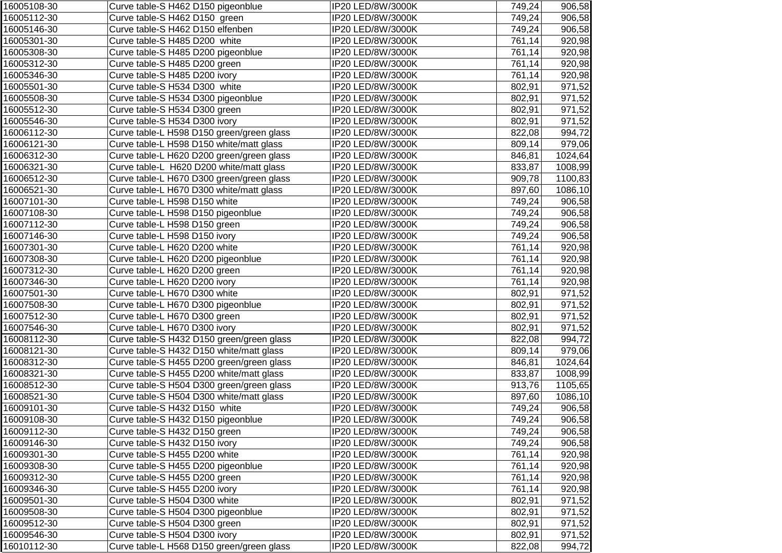| 16005108-30 | Curve table-S H462 D150 pigeonblue        | IP20 LED/8W/3000K | 749,24 | 906,58  |
|-------------|-------------------------------------------|-------------------|--------|---------|
| 16005112-30 | Curve table-S H462 D150 green             | IP20 LED/8W/3000K | 749,24 | 906,58  |
| 16005146-30 | Curve table-S H462 D150 elfenben          | IP20 LED/8W/3000K | 749,24 | 906,58  |
| 16005301-30 | Curve table-S H485 D200 white             | IP20 LED/8W/3000K | 761,14 | 920,98  |
| 16005308-30 | Curve table-S H485 D200 pigeonblue        | IP20 LED/8W/3000K | 761,14 | 920,98  |
| 16005312-30 | Curve table-S H485 D200 green             | IP20 LED/8W/3000K | 761,14 | 920,98  |
| 16005346-30 | Curve table-S H485 D200 ivory             | IP20 LED/8W/3000K | 761,14 | 920,98  |
| 16005501-30 | Curve table-S H534 D300 white             | IP20 LED/8W/3000K | 802,91 | 971,52  |
| 16005508-30 | Curve table-S H534 D300 pigeonblue        | IP20 LED/8W/3000K | 802,91 | 971,52  |
| 16005512-30 | Curve table-S H534 D300 green             | IP20 LED/8W/3000K | 802,91 | 971,52  |
| 16005546-30 | Curve table-S H534 D300 ivory             | IP20 LED/8W/3000K | 802,91 | 971,52  |
| 16006112-30 | Curve table-L H598 D150 green/green glass | IP20 LED/8W/3000K | 822,08 | 994,72  |
| 16006121-30 | Curve table-L H598 D150 white/matt glass  | IP20 LED/8W/3000K | 809,14 | 979,06  |
| 16006312-30 | Curve table-L H620 D200 green/green glass | IP20 LED/8W/3000K | 846,81 | 1024,64 |
| 16006321-30 | Curve table-L H620 D200 white/matt glass  | IP20 LED/8W/3000K | 833,87 | 1008,99 |
| 16006512-30 | Curve table-L H670 D300 green/green glass | IP20 LED/8W/3000K | 909,78 | 1100,83 |
| 16006521-30 | Curve table-L H670 D300 white/matt glass  | IP20 LED/8W/3000K | 897,60 | 1086,10 |
| 16007101-30 | Curve table-L H598 D150 white             | IP20 LED/8W/3000K | 749,24 | 906,58  |
| 16007108-30 | Curve table-L H598 D150 pigeonblue        | IP20 LED/8W/3000K | 749,24 | 906,58  |
| 16007112-30 | Curve table-L H598 D150 green             | IP20 LED/8W/3000K | 749,24 | 906,58  |
| 16007146-30 | Curve table-L H598 D150 ivory             | IP20 LED/8W/3000K | 749,24 | 906,58  |
| 16007301-30 | Curve table-L H620 D200 white             | IP20 LED/8W/3000K | 761,14 | 920,98  |
| 16007308-30 | Curve table-L H620 D200 pigeonblue        | IP20 LED/8W/3000K | 761,14 | 920,98  |
| 16007312-30 | Curve table-L H620 D200 green             | IP20 LED/8W/3000K | 761,14 | 920,98  |
| 16007346-30 | Curve table-L H620 D200 ivory             | IP20 LED/8W/3000K | 761,14 | 920,98  |
| 16007501-30 | Curve table-L H670 D300 white             | IP20 LED/8W/3000K | 802,91 | 971,52  |
| 16007508-30 | Curve table-L H670 D300 pigeonblue        | IP20 LED/8W/3000K | 802,91 | 971,52  |
| 16007512-30 | Curve table-L H670 D300 green             | IP20 LED/8W/3000K | 802,91 | 971,52  |
| 16007546-30 | Curve table-L H670 D300 ivory             | IP20 LED/8W/3000K | 802,91 | 971,52  |
| 16008112-30 | Curve table-S H432 D150 green/green glass | IP20 LED/8W/3000K | 822,08 | 994,72  |
| 16008121-30 | Curve table-S H432 D150 white/matt glass  | IP20 LED/8W/3000K | 809,14 | 979,06  |
| 16008312-30 | Curve table-S H455 D200 green/green glass | IP20 LED/8W/3000K | 846,81 | 1024,64 |
| 16008321-30 | Curve table-S H455 D200 white/matt glass  | IP20 LED/8W/3000K | 833,87 | 1008,99 |
| 16008512-30 | Curve table-S H504 D300 green/green glass | IP20 LED/8W/3000K | 913,76 | 1105,65 |
| 16008521-30 | Curve table-S H504 D300 white/matt glass  | IP20 LED/8W/3000K | 897,60 | 1086,10 |
| 16009101-30 | Curve table-S H432 D150 white             | IP20 LED/8W/3000K | 749,24 | 906,58  |
| 16009108-30 | Curve table-S H432 D150 pigeonblue        | IP20 LED/8W/3000K | 749,24 | 906,58  |
| 16009112-30 | Curve table-S H432 D150 green             | IP20 LED/8W/3000K | 749,24 | 906,58  |
| 16009146-30 | Curve table-S H432 D150 ivory             | IP20 LED/8W/3000K | 749,24 | 906,58  |
| 16009301-30 | Curve table-S H455 D200 white             | IP20 LED/8W/3000K | 761,14 | 920,98  |
| 16009308-30 | Curve table-S H455 D200 pigeonblue        | IP20 LED/8W/3000K | 761,14 | 920,98  |
| 16009312-30 | Curve table-S H455 D200 green             | IP20 LED/8W/3000K | 761,14 | 920,98  |
| 16009346-30 | Curve table-S H455 D200 ivory             | IP20 LED/8W/3000K | 761,14 | 920,98  |
| 16009501-30 | Curve table-S H504 D300 white             | IP20 LED/8W/3000K | 802,91 | 971,52  |
| 16009508-30 | Curve table-S H504 D300 pigeonblue        | IP20 LED/8W/3000K | 802,91 | 971,52  |
| 16009512-30 | Curve table-S H504 D300 green             | IP20 LED/8W/3000K | 802,91 | 971,52  |
| 16009546-30 | Curve table-S H504 D300 ivory             | IP20 LED/8W/3000K | 802,91 | 971,52  |
| 16010112-30 | Curve table-L H568 D150 green/green glass | IP20 LED/8W/3000K | 822,08 | 994,72  |
|             |                                           |                   |        |         |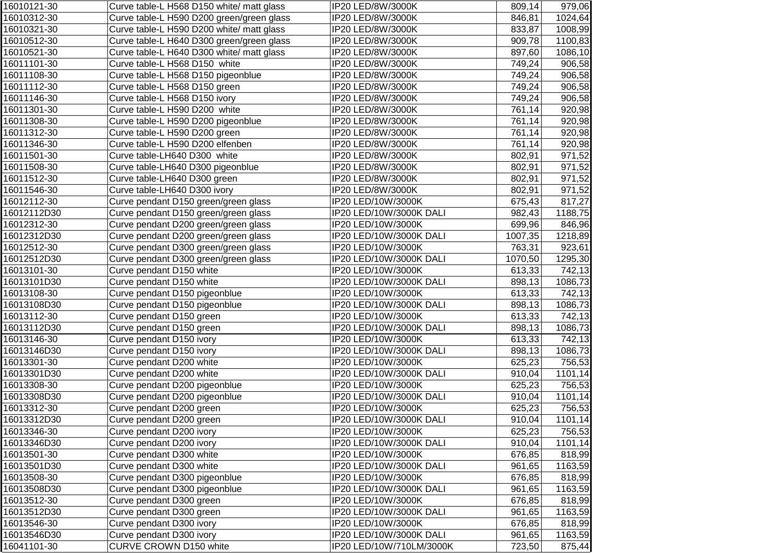| 16010121-30 | Curve table-L H568 D150 white/ matt glass | IP20 LED/8W/3000K        | 809,14  | 979,06  |
|-------------|-------------------------------------------|--------------------------|---------|---------|
| 16010312-30 | Curve table-L H590 D200 green/green glass | IP20 LED/8W/3000K        | 846,81  | 1024,64 |
| 16010321-30 | Curve table-L H590 D200 white/ matt glass | IP20 LED/8W/3000K        | 833,87  | 1008,99 |
| 16010512-30 | Curve table-L H640 D300 green/green glass | IP20 LED/8W/3000K        | 909,78  | 1100,83 |
| 16010521-30 | Curve table-L H640 D300 white/ matt glass | IP20 LED/8W/3000K        | 897,60  | 1086,10 |
| 16011101-30 | Curve table-L H568 D150 white             | IP20 LED/8W/3000K        | 749,24  | 906,58  |
| 16011108-30 | Curve table-L H568 D150 pigeonblue        | IP20 LED/8W/3000K        | 749,24  | 906,58  |
| 16011112-30 | Curve table-L H568 D150 green             | IP20 LED/8W/3000K        | 749,24  | 906,58  |
| 16011146-30 | Curve table-L H568 D150 ivory             | IP20 LED/8W/3000K        | 749,24  | 906,58  |
| 16011301-30 | Curve table-L H590 D200 white             | IP20 LED/8W/3000K        | 761,14  | 920,98  |
| 16011308-30 | Curve table-L H590 D200 pigeonblue        | IP20 LED/8W/3000K        | 761,14  | 920,98  |
| 16011312-30 | Curve table-L H590 D200 green             | IP20 LED/8W/3000K        | 761,14  | 920,98  |
| 16011346-30 | Curve table-L H590 D200 elfenben          | IP20 LED/8W/3000K        | 761,14  | 920,98  |
| 16011501-30 | Curve table-LH640 D300 white              | IP20 LED/8W/3000K        | 802,91  | 971,52  |
| 16011508-30 | Curve table-LH640 D300 pigeonblue         | IP20 LED/8W/3000K        | 802,91  | 971,52  |
| 16011512-30 | Curve table-LH640 D300 green              | IP20 LED/8W/3000K        | 802,91  | 971,52  |
| 16011546-30 | Curve table-LH640 D300 ivory              | IP20 LED/8W/3000K        | 802,91  | 971,52  |
| 16012112-30 | Curve pendant D150 green/green glass      | IP20 LED/10W/3000K       | 675,43  | 817,27  |
| 16012112D30 | Curve pendant D150 green/green glass      | IP20 LED/10W/3000K DALI  | 982,43  | 1188,75 |
| 16012312-30 | Curve pendant D200 green/green glass      | IP20 LED/10W/3000K       | 699,96  | 846,96  |
| 16012312D30 | Curve pendant D200 green/green glass      | IP20 LED/10W/3000K DALI  | 1007,35 | 1218,89 |
| 16012512-30 | Curve pendant D300 green/green glass      | IP20 LED/10W/3000K       | 763,31  | 923,61  |
| 16012512D30 | Curve pendant D300 green/green glass      | IP20 LED/10W/3000K DALI  | 1070,50 | 1295,30 |
| 16013101-30 | Curve pendant D150 white                  | IP20 LED/10W/3000K       | 613,33  | 742,13  |
| 16013101D30 | Curve pendant D150 white                  | IP20 LED/10W/3000K DALI  | 898,13  | 1086,73 |
| 16013108-30 | Curve pendant D150 pigeonblue             | IP20 LED/10W/3000K       | 613,33  | 742,13  |
| 16013108D30 | Curve pendant D150 pigeonblue             | IP20 LED/10W/3000K DALI  | 898,13  | 1086,73 |
| 16013112-30 | Curve pendant D150 green                  | IP20 LED/10W/3000K       | 613,33  | 742,13  |
| 16013112D30 | Curve pendant D150 green                  | IP20 LED/10W/3000K DALI  | 898,13  | 1086,73 |
| 16013146-30 | Curve pendant D150 ivory                  | IP20 LED/10W/3000K       | 613,33  | 742,13  |
| 16013146D30 | Curve pendant D150 ivory                  | IP20 LED/10W/3000K DALI  | 898,13  | 1086,73 |
| 16013301-30 | Curve pendant D200 white                  | IP20 LED/10W/3000K       | 625,23  | 756,53  |
| 16013301D30 | Curve pendant D200 white                  | IP20 LED/10W/3000K DALI  | 910,04  | 1101,14 |
| 16013308-30 | Curve pendant D200 pigeonblue             | IP20 LED/10W/3000K       | 625,23  | 756,53  |
| 16013308D30 | Curve pendant D200 pigeonblue             | IP20 LED/10W/3000K DALI  | 910,04  | 1101,14 |
| 16013312-30 | Curve pendant D200 green                  | IP20 LED/10W/3000K       | 625,23  | 756,53  |
| 16013312D30 | Curve pendant D200 green                  | IP20 LED/10W/3000K DALI  | 910,04  | 1101,14 |
| 16013346-30 | Curve pendant D200 ivory                  | IP20 LED/10W/3000K       | 625,23  | 756,53  |
| 16013346D30 | Curve pendant D200 ivory                  | IP20 LED/10W/3000K DALI  | 910,04  | 1101,14 |
| 16013501-30 | Curve pendant D300 white                  | IP20 LED/10W/3000K       | 676,85  | 818,99  |
| 16013501D30 | Curve pendant D300 white                  | IP20 LED/10W/3000K DALI  | 961,65  | 1163,59 |
| 16013508-30 | Curve pendant D300 pigeonblue             | IP20 LED/10W/3000K       | 676,85  | 818,99  |
| 16013508D30 | Curve pendant D300 pigeonblue             | IP20 LED/10W/3000K DALI  | 961,65  | 1163,59 |
| 16013512-30 | Curve pendant D300 green                  | IP20 LED/10W/3000K       | 676,85  | 818,99  |
| 16013512D30 | Curve pendant D300 green                  | IP20 LED/10W/3000K DALI  | 961,65  | 1163,59 |
| 16013546-30 | Curve pendant D300 ivory                  | IP20 LED/10W/3000K       | 676,85  | 818,99  |
| 16013546D30 | Curve pendant D300 ivory                  | IP20 LED/10W/3000K DALI  | 961,65  | 1163,59 |
| 16041101-30 | CURVE CROWN D150 white                    | IP20 LED/10W/710LM/3000K | 723,50  | 875,44  |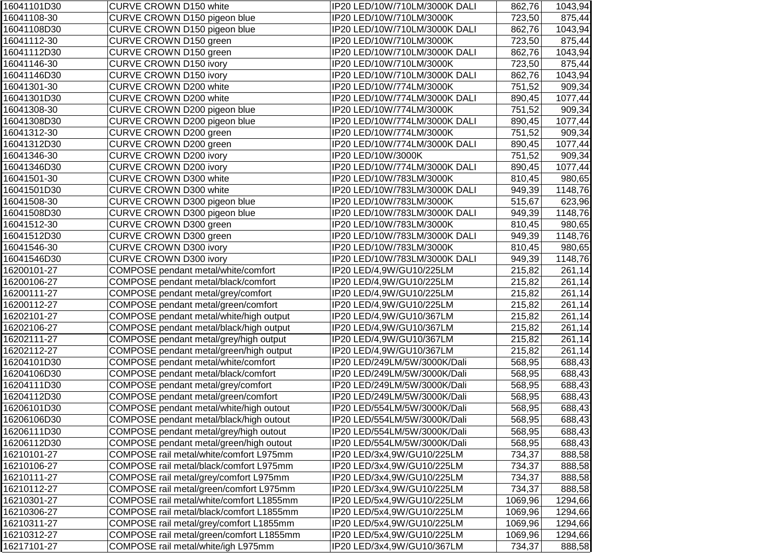| 16041101D30 | CURVE CROWN D150 white                   | IP20 LED/10W/710LM/3000K DALI | 862,76  | 1043,94 |
|-------------|------------------------------------------|-------------------------------|---------|---------|
| 16041108-30 | CURVE CROWN D150 pigeon blue             | IP20 LED/10W/710LM/3000K      | 723,50  | 875,44  |
| 16041108D30 | CURVE CROWN D150 pigeon blue             | IP20 LED/10W/710LM/3000K DALI | 862,76  | 1043,94 |
| 16041112-30 | CURVE CROWN D150 green                   | IP20 LED/10W/710LM/3000K      | 723,50  | 875,44  |
| 16041112D30 | CURVE CROWN D150 green                   | IP20 LED/10W/710LM/3000K DALI | 862,76  | 1043,94 |
| 16041146-30 | <b>CURVE CROWN D150 ivory</b>            | IP20 LED/10W/710LM/3000K      | 723,50  | 875,44  |
| 16041146D30 | <b>CURVE CROWN D150 ivory</b>            | IP20 LED/10W/710LM/3000K DALI | 862,76  | 1043,94 |
| 16041301-30 | CURVE CROWN D200 white                   | IP20 LED/10W/774LM/3000K      | 751,52  | 909,34  |
| 16041301D30 | CURVE CROWN D200 white                   | IP20 LED/10W/774LM/3000K DALI | 890,45  | 1077,44 |
| 16041308-30 | CURVE CROWN D200 pigeon blue             | IP20 LED/10W/774LM/3000K      | 751,52  | 909,34  |
| 16041308D30 | CURVE CROWN D200 pigeon blue             | IP20 LED/10W/774LM/3000K DALI | 890,45  | 1077,44 |
| 16041312-30 | CURVE CROWN D200 green                   | IP20 LED/10W/774LM/3000K      | 751,52  | 909,34  |
| 16041312D30 | CURVE CROWN D200 green                   | IP20 LED/10W/774LM/3000K DALI | 890,45  | 1077,44 |
| 16041346-30 | <b>CURVE CROWN D200 ivory</b>            | IP20 LED/10W/3000K            | 751,52  | 909,34  |
| 16041346D30 | <b>CURVE CROWN D200 ivory</b>            | IP20 LED/10W/774LM/3000K DALI | 890,45  | 1077,44 |
| 16041501-30 | CURVE CROWN D300 white                   | IP20 LED/10W/783LM/3000K      | 810,45  | 980,65  |
| 16041501D30 | CURVE CROWN D300 white                   | IP20 LED/10W/783LM/3000K DALI | 949,39  | 1148,76 |
| 16041508-30 | CURVE CROWN D300 pigeon blue             | IP20 LED/10W/783LM/3000K      | 515,67  | 623,96  |
| 16041508D30 | CURVE CROWN D300 pigeon blue             | IP20 LED/10W/783LM/3000K DALI | 949,39  | 1148,76 |
| 16041512-30 | CURVE CROWN D300 green                   | IP20 LED/10W/783LM/3000K      | 810,45  | 980,65  |
| 16041512D30 | CURVE CROWN D300 green                   | IP20 LED/10W/783LM/3000K DALI | 949,39  | 1148,76 |
| 16041546-30 | CURVE CROWN D300 ivory                   | IP20 LED/10W/783LM/3000K      | 810,45  | 980,65  |
| 16041546D30 | <b>CURVE CROWN D300 ivory</b>            | IP20 LED/10W/783LM/3000K DALI | 949,39  | 1148,76 |
| 16200101-27 | COMPOSE pendant metal/white/comfort      | IP20 LED/4,9W/GU10/225LM      | 215,82  | 261,14  |
| 16200106-27 | COMPOSE pendant metal/black/comfort      | IP20 LED/4,9W/GU10/225LM      | 215,82  | 261,14  |
| 16200111-27 | COMPOSE pendant metal/grey/comfort       | IP20 LED/4,9W/GU10/225LM      | 215,82  | 261,14  |
| 16200112-27 | COMPOSE pendant metal/green/comfort      | IP20 LED/4,9W/GU10/225LM      | 215,82  | 261,14  |
| 16202101-27 | COMPOSE pendant metal/white/high output  | IP20 LED/4,9W/GU10/367LM      | 215,82  | 261,14  |
| 16202106-27 | COMPOSE pendant metal/black/high output  | IP20 LED/4,9W/GU10/367LM      | 215,82  | 261,14  |
| 16202111-27 | COMPOSE pendant metal/grey/high output   | IP20 LED/4,9W/GU10/367LM      | 215,82  | 261,14  |
| 16202112-27 | COMPOSE pendant metal/green/high output  | IP20 LED/4,9W/GU10/367LM      | 215,82  | 261,14  |
| 16204101D30 | COMPOSE pendant metal/white/comfort      | IP20 LED/249LM/5W/3000K/Dali  | 568,95  | 688,43  |
| 16204106D30 | COMPOSE pendant metal/black/comfort      | IP20 LED/249LM/5W/3000K/Dali  | 568,95  | 688,43  |
| 16204111D30 | COMPOSE pendant metal/grey/comfort       | IP20 LED/249LM/5W/3000K/Dali  | 568,95  | 688,43  |
| 16204112D30 | COMPOSE pendant metal/green/comfort      | IP20 LED/249LM/5W/3000K/Dali  | 568,95  | 688,43  |
| 16206101D30 | COMPOSE pendant metal/white/high outout  | IP20 LED/554LM/5W/3000K/Dali  | 568,95  | 688,43  |
| 16206106D30 | COMPOSE pendant metal/black/high outout  | IP20 LED/554LM/5W/3000K/Dali  | 568,95  | 688,43  |
| 16206111D30 | COMPOSE pendant metal/grey/high outout   | IP20 LED/554LM/5W/3000K/Dali  | 568,95  | 688,43  |
| 16206112D30 | COMPOSE pendant metal/green/high outout  | IP20 LED/554LM/5W/3000K/Dali  | 568,95  | 688,43  |
| 16210101-27 | COMPOSE rail metal/white/comfort L975mm  | IP20 LED/3x4,9W/GU10/225LM    | 734,37  | 888,58  |
| 16210106-27 | COMPOSE rail metal/black/comfort L975mm  | IP20 LED/3x4,9W/GU10/225LM    | 734,37  | 888,58  |
| 16210111-27 | COMPOSE rail metal/grey/comfort L975mm   | IP20 LED/3x4,9W/GU10/225LM    | 734,37  | 888,58  |
| 16210112-27 | COMPOSE rail metal/green/comfort L975mm  | IP20 LED/3x4,9W/GU10/225LM    | 734,37  | 888,58  |
| 16210301-27 | COMPOSE rail metal/white/comfort L1855mm | IP20 LED/5x4,9W/GU10/225LM    | 1069,96 | 1294,66 |
| 16210306-27 | COMPOSE rail metal/black/comfort L1855mm | IP20 LED/5x4,9W/GU10/225LM    | 1069,96 | 1294,66 |
| 16210311-27 | COMPOSE rail metal/grey/comfort L1855mm  | IP20 LED/5x4,9W/GU10/225LM    | 1069,96 | 1294,66 |
| 16210312-27 | COMPOSE rail metal/green/comfort L1855mm | IP20 LED/5x4,9W/GU10/225LM    | 1069,96 | 1294,66 |
| 16217101-27 | COMPOSE rail metal/white/igh L975mm      | IP20 LED/3x4,9W/GU10/367LM    | 734,37  | 888,58  |
|             |                                          |                               |         |         |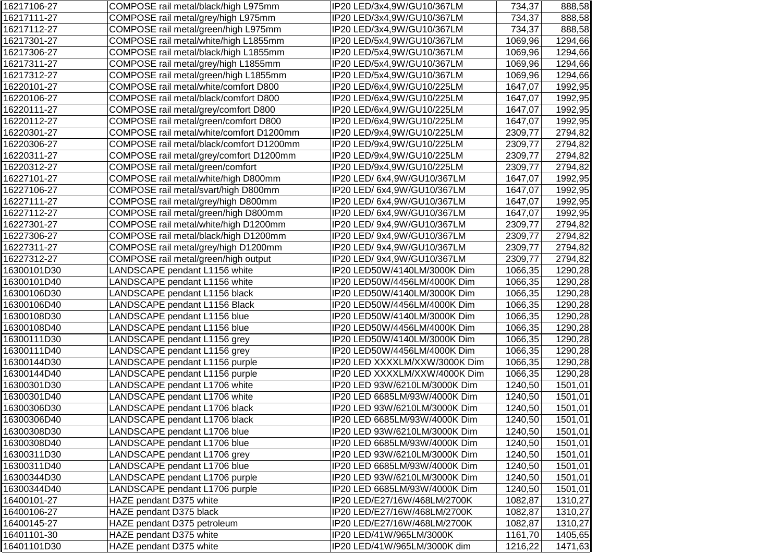| 16217106-27 | COMPOSE rail metal/black/high L975mm     | IP20 LED/3x4,9W/GU10/367LM    | 734,37  | 888,58  |
|-------------|------------------------------------------|-------------------------------|---------|---------|
| 16217111-27 | COMPOSE rail metal/grey/high L975mm      | IP20 LED/3x4,9W/GU10/367LM    | 734,37  | 888,58  |
| 16217112-27 | COMPOSE rail metal/green/high L975mm     | IP20 LED/3x4,9W/GU10/367LM    | 734,37  | 888,58  |
| 16217301-27 | COMPOSE rail metal/white/high L1855mm    | IP20 LED/5x4,9W/GU10/367LM    | 1069,96 | 1294,66 |
| 16217306-27 | COMPOSE rail metal/black/high L1855mm    | IP20 LED/5x4,9W/GU10/367LM    | 1069,96 | 1294,66 |
| 16217311-27 | COMPOSE rail metal/grey/high L1855mm     | IP20 LED/5x4,9W/GU10/367LM    | 1069,96 | 1294,66 |
| 16217312-27 | COMPOSE rail metal/green/high L1855mm    | IP20 LED/5x4,9W/GU10/367LM    | 1069,96 | 1294,66 |
| 16220101-27 | COMPOSE rail metal/white/comfort D800    | IP20 LED/6x4,9W/GU10/225LM    | 1647,07 | 1992,95 |
| 16220106-27 | COMPOSE rail metal/black/comfort D800    | IP20 LED/6x4,9W/GU10/225LM    | 1647,07 | 1992,95 |
| 16220111-27 | COMPOSE rail metal/grey/comfort D800     | IP20 LED/6x4,9W/GU10/225LM    | 1647,07 | 1992,95 |
| 16220112-27 | COMPOSE rail metal/green/comfort D800    | IP20 LED/6x4,9W/GU10/225LM    | 1647,07 | 1992,95 |
| 16220301-27 | COMPOSE rail metal/white/comfort D1200mm | IP20 LED/9x4,9W/GU10/225LM    | 2309,77 | 2794,82 |
| 16220306-27 | COMPOSE rail metal/black/comfort D1200mm | IP20 LED/9x4,9W/GU10/225LM    | 2309,77 | 2794,82 |
| 16220311-27 | COMPOSE rail metal/grey/comfort D1200mm  | IP20 LED/9x4,9W/GU10/225LM    | 2309,77 | 2794,82 |
| 16220312-27 | COMPOSE rail metal/green/comfort         | IP20 LED/9x4,9W/GU10/225LM    | 2309,77 | 2794,82 |
| 16227101-27 | COMPOSE rail metal/white/high D800mm     | IP20 LED/ 6x4,9W/GU10/367LM   | 1647,07 | 1992,95 |
| 16227106-27 | COMPOSE rail metal/svart/high D800mm     | IP20 LED/ 6x4,9W/GU10/367LM   | 1647,07 | 1992,95 |
| 16227111-27 | COMPOSE rail metal/grey/high D800mm      | IP20 LED/ 6x4,9W/GU10/367LM   | 1647,07 | 1992,95 |
| 16227112-27 | COMPOSE rail metal/green/high D800mm     | IP20 LED/ 6x4,9W/GU10/367LM   | 1647,07 | 1992,95 |
| 16227301-27 | COMPOSE rail metal/white/high D1200mm    | IP20 LED/ 9x4,9W/GU10/367LM   | 2309,77 | 2794,82 |
| 16227306-27 | COMPOSE rail metal/black/high D1200mm    | IP20 LED/ 9x4,9W/GU10/367LM   | 2309,77 | 2794,82 |
| 16227311-27 | COMPOSE rail metal/grey/high D1200mm     | IP20 LED/ 9x4,9W/GU10/367LM   | 2309,77 | 2794,82 |
| 16227312-27 | COMPOSE rail metal/green/high output     | IP20 LED/ 9x4,9W/GU10/367LM   | 2309,77 | 2794,82 |
| 16300101D30 | LANDSCAPE pendant L1156 white            | IP20 LED50W/4140LM/3000K Dim  | 1066,35 | 1290,28 |
| 16300101D40 | LANDSCAPE pendant L1156 white            | IP20 LED50W/4456LM/4000K Dim  | 1066,35 | 1290,28 |
| 16300106D30 | LANDSCAPE pendant L1156 black            | IP20 LED50W/4140LM/3000K Dim  | 1066,35 | 1290,28 |
| 16300106D40 | LANDSCAPE pendant L1156 Black            | IP20 LED50W/4456LM/4000K Dim  | 1066,35 | 1290,28 |
| 16300108D30 | LANDSCAPE pendant L1156 blue             | IP20 LED50W/4140LM/3000K Dim  | 1066,35 | 1290,28 |
| 16300108D40 | LANDSCAPE pendant L1156 blue             | IP20 LED50W/4456LM/4000K Dim  | 1066,35 | 1290,28 |
| 16300111D30 | LANDSCAPE pendant L1156 grey             | IP20 LED50W/4140LM/3000K Dim  | 1066,35 | 1290,28 |
| 16300111D40 | LANDSCAPE pendant L1156 grey             | IP20 LED50W/4456LM/4000K Dim  | 1066,35 | 1290,28 |
| 16300144D30 | LANDSCAPE pendant L1156 purple           | IP20 LED XXXXLM/XXW/3000K Dim | 1066,35 | 1290,28 |
| 16300144D40 | LANDSCAPE pendant L1156 purple           | IP20 LED XXXXLM/XXW/4000K Dim | 1066,35 | 1290,28 |
| 16300301D30 | LANDSCAPE pendant L1706 white            | IP20 LED 93W/6210LM/3000K Dim | 1240,50 | 1501,01 |
| 16300301D40 | LANDSCAPE pendant L1706 white            | IP20 LED 6685LM/93W/4000K Dim | 1240,50 | 1501,01 |
| 16300306D30 | LANDSCAPE pendant L1706 black            | IP20 LED 93W/6210LM/3000K Dim | 1240,50 | 1501,01 |
| 16300306D40 | LANDSCAPE pendant L1706 black            | IP20 LED 6685LM/93W/4000K Dim | 1240,50 | 1501,01 |
| 16300308D30 | LANDSCAPE pendant L1706 blue             | IP20 LED 93W/6210LM/3000K Dim | 1240,50 | 1501,01 |
| 16300308D40 | LANDSCAPE pendant L1706 blue             | IP20 LED 6685LM/93W/4000K Dim | 1240,50 | 1501,01 |
| 16300311D30 | LANDSCAPE pendant L1706 grey             | IP20 LED 93W/6210LM/3000K Dim | 1240,50 | 1501,01 |
| 16300311D40 | LANDSCAPE pendant L1706 blue             | IP20 LED 6685LM/93W/4000K Dim | 1240,50 | 1501,01 |
| 16300344D30 | LANDSCAPE pendant L1706 purple           | IP20 LED 93W/6210LM/3000K Dim | 1240,50 | 1501,01 |
| 16300344D40 | LANDSCAPE pendant L1706 purple           | IP20 LED 6685LM/93W/4000K Dim | 1240,50 | 1501,01 |
| 16400101-27 | HAZE pendant D375 white                  | IP20 LED/E27/16W/468LM/2700K  | 1082,87 | 1310,27 |
| 16400106-27 | HAZE pendant D375 black                  | IP20 LED/E27/16W/468LM/2700K  | 1082,87 | 1310,27 |
| 16400145-27 | HAZE pendant D375 petroleum              | IP20 LED/E27/16W/468LM/2700K  | 1082,87 | 1310,27 |
| 16401101-30 | HAZE pendant D375 white                  | IP20 LED/41W/965LM/3000K      | 1161,70 | 1405,65 |
| 16401101D30 | HAZE pendant D375 white                  | IP20 LED/41W/965LM/3000K dim  | 1216,22 | 1471,63 |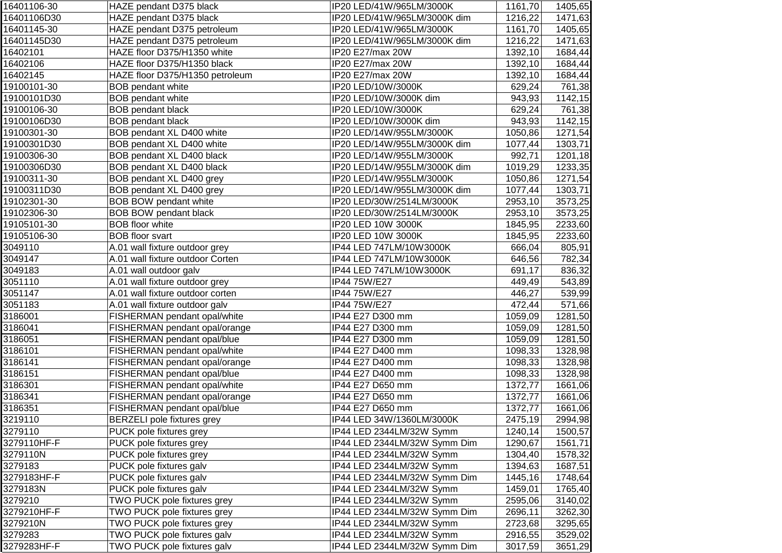| 16401106-30 | HAZE pendant D375 black           | IP20 LED/41W/965LM/3000K     | 1161,70 | 1405,65 |
|-------------|-----------------------------------|------------------------------|---------|---------|
| 16401106D30 | HAZE pendant D375 black           | IP20 LED/41W/965LM/3000K dim | 1216,22 | 1471,63 |
| 16401145-30 | HAZE pendant D375 petroleum       | IP20 LED/41W/965LM/3000K     | 1161,70 | 1405,65 |
| 16401145D30 | HAZE pendant D375 petroleum       | IP20 LED/41W/965LM/3000K dim | 1216,22 | 1471,63 |
| 16402101    | HAZE floor D375/H1350 white       | IP20 E27/max 20W             | 1392,10 | 1684,44 |
| 16402106    | HAZE floor D375/H1350 black       | IP20 E27/max 20W             | 1392,10 | 1684,44 |
| 16402145    | HAZE floor D375/H1350 petroleum   | IP20 E27/max 20W             | 1392,10 | 1684,44 |
| 19100101-30 | <b>BOB</b> pendant white          | IP20 LED/10W/3000K           | 629,24  | 761,38  |
| 19100101D30 | <b>BOB</b> pendant white          | IP20 LED/10W/3000K dim       | 943,93  | 1142,15 |
| 19100106-30 | <b>BOB</b> pendant black          | IP20 LED/10W/3000K           | 629,24  | 761,38  |
| 19100106D30 | <b>BOB</b> pendant black          | IP20 LED/10W/3000K dim       | 943,93  | 1142,15 |
| 19100301-30 | BOB pendant XL D400 white         | IP20 LED/14W/955LM/3000K     | 1050,86 | 1271,54 |
| 19100301D30 | BOB pendant XL D400 white         | IP20 LED/14W/955LM/3000K dim | 1077,44 | 1303,71 |
| 19100306-30 | BOB pendant XL D400 black         | IP20 LED/14W/955LM/3000K     | 992,71  | 1201,18 |
| 19100306D30 | BOB pendant XL D400 black         | IP20 LED/14W/955LM/3000K dim | 1019,29 | 1233,35 |
| 19100311-30 | BOB pendant XL D400 grey          | IP20 LED/14W/955LM/3000K     | 1050,86 | 1271,54 |
| 19100311D30 | BOB pendant XL D400 grey          | IP20 LED/14W/955LM/3000K dim | 1077,44 | 1303,71 |
| 19102301-30 | <b>BOB BOW pendant white</b>      | IP20 LED/30W/2514LM/3000K    | 2953,10 | 3573,25 |
| 19102306-30 | <b>BOB BOW pendant black</b>      | IP20 LED/30W/2514LM/3000K    | 2953,10 | 3573,25 |
| 19105101-30 | <b>BOB</b> floor white            | IP20 LED 10W 3000K           | 1845,95 | 2233,60 |
| 19105106-30 | <b>BOB</b> floor svart            | IP20 LED 10W 3000K           | 1845,95 | 2233,60 |
| 3049110     | A.01 wall fixture outdoor grey    | IP44 LED 747LM/10W3000K      | 666,04  | 805,91  |
| 3049147     | A.01 wall fixture outdoor Corten  | IP44 LED 747LM/10W3000K      | 646,56  | 782,34  |
| 3049183     | A.01 wall outdoor galv            | IP44 LED 747LM/10W3000K      | 691,17  | 836,32  |
| 3051110     | A.01 wall fixture outdoor grey    | IP44 75W/E27                 | 449,49  | 543,89  |
| 3051147     | A.01 wall fixture outdoor corten  | IP44 75W/E27                 | 446,27  | 539,99  |
| 3051183     | A.01 wall fixture outdoor galv    | IP44 75W/E27                 | 472,44  | 571,66  |
| 3186001     | FISHERMAN pendant opal/white      | IP44 E27 D300 mm             | 1059,09 | 1281,50 |
| 3186041     | FISHERMAN pendant opal/orange     | IP44 E27 D300 mm             | 1059,09 | 1281,50 |
| 3186051     | FISHERMAN pendant opal/blue       | IP44 E27 D300 mm             | 1059,09 | 1281,50 |
| 3186101     | FISHERMAN pendant opal/white      | IP44 E27 D400 mm             | 1098,33 | 1328,98 |
| 3186141     | FISHERMAN pendant opal/orange     | IP44 E27 D400 mm             | 1098,33 | 1328,98 |
| 3186151     | FISHERMAN pendant opal/blue       | IP44 E27 D400 mm             | 1098,33 | 1328,98 |
| 3186301     | FISHERMAN pendant opal/white      | IP44 E27 D650 mm             | 1372,77 | 1661,06 |
| 3186341     | FISHERMAN pendant opal/orange     | IP44 E27 D650 mm             | 1372,77 | 1661,06 |
| 3186351     | FISHERMAN pendant opal/blue       | IP44 E27 D650 mm             | 1372,77 | 1661,06 |
| 3219110     | <b>BERZELI</b> pole fixtures grey | IP44 LED 34W/1360LM/3000K    | 2475,19 | 2994,98 |
| 3279110     | PUCK pole fixtures grey           | IP44 LED 2344LM/32W Symm     | 1240,14 | 1500,57 |
| 3279110HF-F | PUCK pole fixtures grey           | IP44 LED 2344LM/32W Symm Dim | 1290,67 | 1561,71 |
| 3279110N    | PUCK pole fixtures grey           | IP44 LED 2344LM/32W Symm     | 1304,40 | 1578,32 |
| 3279183     | PUCK pole fixtures galv           | IP44 LED 2344LM/32W Symm     | 1394,63 | 1687,51 |
| 3279183HF-F | PUCK pole fixtures galv           | IP44 LED 2344LM/32W Symm Dim | 1445,16 | 1748,64 |
| 3279183N    | PUCK pole fixtures galv           | IP44 LED 2344LM/32W Symm     | 1459,01 | 1765,40 |
| 3279210     | TWO PUCK pole fixtures grey       | IP44 LED 2344LM/32W Symm     | 2595,06 | 3140,02 |
| 3279210HF-F | TWO PUCK pole fixtures grey       | IP44 LED 2344LM/32W Symm Dim | 2696,11 | 3262,30 |
| 3279210N    | TWO PUCK pole fixtures grey       | IP44 LED 2344LM/32W Symm     | 2723,68 | 3295,65 |
| 3279283     | TWO PUCK pole fixtures galv       | IP44 LED 2344LM/32W Symm     | 2916,55 | 3529,02 |
| 3279283HF-F | TWO PUCK pole fixtures galv       | IP44 LED 2344LM/32W Symm Dim | 3017,59 | 3651,29 |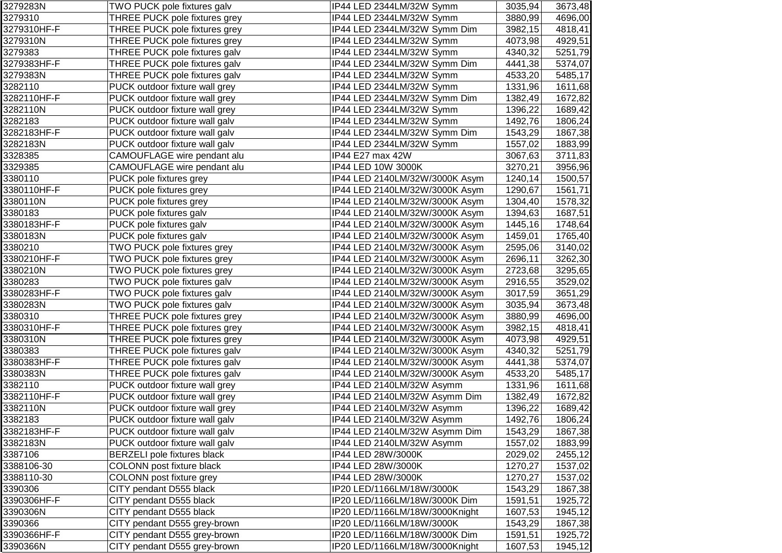| 3279283N    | TWO PUCK pole fixtures galv        | IP44 LED 2344LM/32W Symm       | 3035,94 | 3673,48 |
|-------------|------------------------------------|--------------------------------|---------|---------|
| 3279310     | THREE PUCK pole fixtures grey      | IP44 LED 2344LM/32W Symm       | 3880,99 | 4696,00 |
| 3279310HF-F | THREE PUCK pole fixtures grey      | IP44 LED 2344LM/32W Symm Dim   | 3982,15 | 4818,41 |
| 3279310N    | THREE PUCK pole fixtures grey      | IP44 LED 2344LM/32W Symm       | 4073,98 | 4929,51 |
| 3279383     | THREE PUCK pole fixtures galv      | IP44 LED 2344LM/32W Symm       | 4340,32 | 5251,79 |
| 3279383HF-F | THREE PUCK pole fixtures galv      | IP44 LED 2344LM/32W Symm Dim   | 4441,38 | 5374,07 |
| 3279383N    | THREE PUCK pole fixtures galv      | IP44 LED 2344LM/32W Symm       | 4533,20 | 5485,17 |
| 3282110     | PUCK outdoor fixture wall grey     | IP44 LED 2344LM/32W Symm       | 1331,96 | 1611,68 |
| 3282110HF-F | PUCK outdoor fixture wall grey     | IP44 LED 2344LM/32W Symm Dim   | 1382,49 | 1672,82 |
| 3282110N    | PUCK outdoor fixture wall grey     | IP44 LED 2344LM/32W Symm       | 1396,22 | 1689,42 |
| 3282183     | PUCK outdoor fixture wall galv     | IP44 LED 2344LM/32W Symm       | 1492,76 | 1806,24 |
| 3282183HF-F | PUCK outdoor fixture wall galv     | IP44 LED 2344LM/32W Symm Dim   | 1543,29 | 1867,38 |
| 3282183N    | PUCK outdoor fixture wall galv     | IP44 LED 2344LM/32W Symm       | 1557,02 | 1883,99 |
| 3328385     | CAMOUFLAGE wire pendant alu        | IP44 E27 max 42W               | 3067,63 | 3711,83 |
| 3329385     | CAMOUFLAGE wire pendant alu        | IP44 LED 10W 3000K             | 3270,21 | 3956,96 |
| 3380110     | PUCK pole fixtures grey            | IP44 LED 2140LM/32W/3000K Asym | 1240,14 | 1500,57 |
| 3380110HF-F | PUCK pole fixtures grey            | IP44 LED 2140LM/32W/3000K Asym | 1290,67 | 1561,71 |
| 3380110N    | PUCK pole fixtures grey            | IP44 LED 2140LM/32W/3000K Asym | 1304,40 | 1578,32 |
| 3380183     | PUCK pole fixtures galv            | IP44 LED 2140LM/32W/3000K Asym | 1394,63 | 1687,51 |
| 3380183HF-F | PUCK pole fixtures galv            | IP44 LED 2140LM/32W/3000K Asym | 1445,16 | 1748,64 |
| 3380183N    | PUCK pole fixtures galv            | IP44 LED 2140LM/32W/3000K Asym | 1459,01 | 1765,40 |
| 3380210     | TWO PUCK pole fixtures grey        | IP44 LED 2140LM/32W/3000K Asym | 2595,06 | 3140,02 |
| 3380210HF-F | TWO PUCK pole fixtures grey        | IP44 LED 2140LM/32W/3000K Asym | 2696,11 | 3262,30 |
| 3380210N    | TWO PUCK pole fixtures grey        | IP44 LED 2140LM/32W/3000K Asym | 2723,68 | 3295,65 |
| 3380283     | TWO PUCK pole fixtures galv        | IP44 LED 2140LM/32W/3000K Asym | 2916,55 | 3529,02 |
| 3380283HF-F | TWO PUCK pole fixtures galv        | IP44 LED 2140LM/32W/3000K Asym | 3017,59 | 3651,29 |
| 3380283N    | TWO PUCK pole fixtures galv        | IP44 LED 2140LM/32W/3000K Asym | 3035,94 | 3673,48 |
| 3380310     | THREE PUCK pole fixtures grey      | IP44 LED 2140LM/32W/3000K Asym | 3880,99 | 4696,00 |
| 3380310HF-F | THREE PUCK pole fixtures grey      | IP44 LED 2140LM/32W/3000K Asym | 3982,15 | 4818,41 |
| 3380310N    | THREE PUCK pole fixtures grey      | IP44 LED 2140LM/32W/3000K Asym | 4073,98 | 4929,51 |
| 3380383     | THREE PUCK pole fixtures galv      | IP44 LED 2140LM/32W/3000K Asym | 4340,32 | 5251,79 |
| 3380383HF-F | THREE PUCK pole fixtures galv      | IP44 LED 2140LM/32W/3000K Asym | 4441,38 | 5374,07 |
| 3380383N    | THREE PUCK pole fixtures galv      | IP44 LED 2140LM/32W/3000K Asym | 4533,20 | 5485,17 |
| 3382110     | PUCK outdoor fixture wall grey     | IP44 LED 2140LM/32W Asymm      | 1331,96 | 1611,68 |
| 3382110HF-F | PUCK outdoor fixture wall grey     | IP44 LED 2140LM/32W Asymm Dim  | 1382,49 | 1672,82 |
| 3382110N    | PUCK outdoor fixture wall grey     | IP44 LED 2140LM/32W Asymm      | 1396,22 | 1689,42 |
| 3382183     | PUCK outdoor fixture wall galv     | IP44 LED 2140LM/32W Asymm      | 1492,76 | 1806,24 |
| 3382183HF-F | PUCK outdoor fixture wall galv     | IP44 LED 2140LM/32W Asymm Dim  | 1543,29 | 1867,38 |
| 3382183N    | PUCK outdoor fixture wall galv     | IP44 LED 2140LM/32W Asymm      | 1557,02 | 1883,99 |
| 3387106     | <b>BERZELI</b> pole fixtures black | IP44 LED 28W/3000K             | 2029,02 | 2455,12 |
| 3388106-30  | COLONN post fixture black          | IP44 LED 28W/3000K             | 1270,27 | 1537,02 |
| 3388110-30  | COLONN post fixture grey           | IP44 LED 28W/3000K             | 1270,27 | 1537,02 |
| 3390306     | CITY pendant D555 black            | IP20 LED/1166LM/18W/3000K      | 1543,29 | 1867,38 |
| 3390306HF-F | CITY pendant D555 black            | IP20 LED/1166LM/18W/3000K Dim  | 1591,51 | 1925,72 |
| 3390306N    | CITY pendant D555 black            | IP20 LED/1166LM/18W/3000Knight | 1607,53 | 1945,12 |
| 3390366     | CITY pendant D555 grey-brown       | IP20 LED/1166LM/18W/3000K      | 1543,29 | 1867,38 |
| 3390366HF-F | CITY pendant D555 grey-brown       | IP20 LED/1166LM/18W/3000K Dim  | 1591,51 | 1925,72 |
| 3390366N    | CITY pendant D555 grey-brown       | IP20 LED/1166LM/18W/3000Knight | 1607,53 | 1945,12 |
|             |                                    |                                |         |         |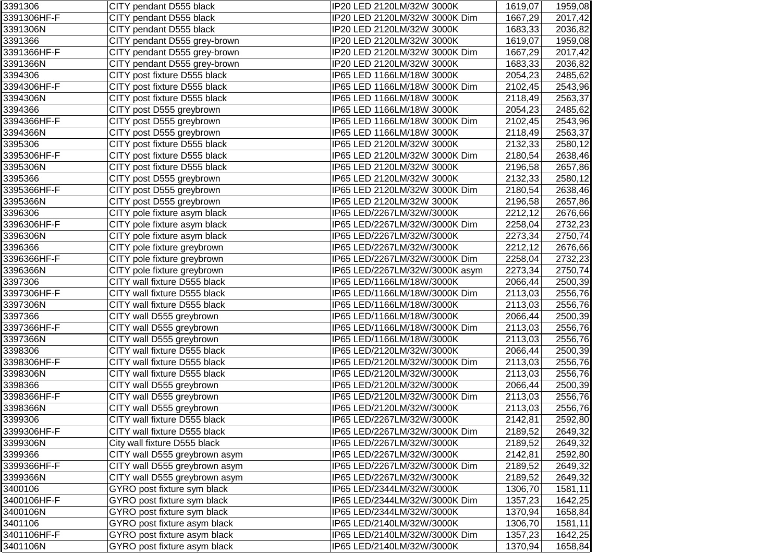| 3391306     | CITY pendant D555 black       | IP20 LED 2120LM/32W 3000K      | 1619,07 | 1959,08 |
|-------------|-------------------------------|--------------------------------|---------|---------|
| 3391306HF-F | CITY pendant D555 black       | IP20 LED 2120LM/32W 3000K Dim  | 1667,29 | 2017,42 |
| 3391306N    | CITY pendant D555 black       | IP20 LED 2120LM/32W 3000K      | 1683,33 | 2036,82 |
| 3391366     | CITY pendant D555 grey-brown  | IP20 LED 2120LM/32W 3000K      | 1619,07 | 1959,08 |
| 3391366HF-F | CITY pendant D555 grey-brown  | IP20 LED 2120LM/32W 3000K Dim  | 1667,29 | 2017,42 |
| 3391366N    | CITY pendant D555 grey-brown  | IP20 LED 2120LM/32W 3000K      | 1683,33 | 2036,82 |
| 3394306     | CITY post fixture D555 black  | IP65 LED 1166LM/18W 3000K      | 2054,23 | 2485,62 |
| 3394306HF-F | CITY post fixture D555 black  | IP65 LED 1166LM/18W 3000K Dim  | 2102,45 | 2543,96 |
| 3394306N    | CITY post fixture D555 black  | IP65 LED 1166LM/18W 3000K      | 2118,49 | 2563,37 |
| 3394366     | CITY post D555 greybrown      | IP65 LED 1166LM/18W 3000K      | 2054,23 | 2485,62 |
| 3394366HF-F | CITY post D555 greybrown      | IP65 LED 1166LM/18W 3000K Dim  | 2102,45 | 2543,96 |
| 3394366N    | CITY post D555 greybrown      | IP65 LED 1166LM/18W 3000K      | 2118,49 | 2563,37 |
| 3395306     | CITY post fixture D555 black  | IP65 LED 2120LM/32W 3000K      | 2132,33 | 2580,12 |
| 3395306HF-F | CITY post fixture D555 black  | IP65 LED 2120LM/32W 3000K Dim  | 2180,54 | 2638,46 |
| 3395306N    | CITY post fixture D555 black  | IP65 LED 2120LM/32W 3000K      | 2196,58 | 2657,86 |
| 3395366     | CITY post D555 greybrown      | IP65 LED 2120LM/32W 3000K      | 2132,33 | 2580,12 |
| 3395366HF-F | CITY post D555 greybrown      | IP65 LED 2120LM/32W 3000K Dim  | 2180,54 | 2638,46 |
| 3395366N    | CITY post D555 greybrown      | IP65 LED 2120LM/32W 3000K      | 2196,58 | 2657,86 |
| 3396306     | CITY pole fixture asym black  | IP65 LED/2267LM/32W/3000K      | 2212,12 | 2676,66 |
| 3396306HF-F | CITY pole fixture asym black  | IP65 LED/2267LM/32W/3000K Dim  | 2258,04 | 2732,23 |
| 3396306N    | CITY pole fixture asym black  | IP65 LED/2267LM/32W/3000K      | 2273,34 | 2750,74 |
| 3396366     | CITY pole fixture greybrown   | IP65 LED/2267LM/32W/3000K      | 2212,12 | 2676,66 |
| 3396366HF-F | CITY pole fixture greybrown   | IP65 LED/2267LM/32W/3000K Dim  | 2258,04 | 2732,23 |
| 3396366N    | CITY pole fixture greybrown   | IP65 LED/2267LM/32W/3000K asym | 2273,34 | 2750,74 |
| 3397306     | CITY wall fixture D555 black  | IP65 LED/1166LM/18W/3000K      | 2066,44 | 2500,39 |
| 3397306HF-F | CITY wall fixture D555 black  | IP65 LED/1166LM/18W/3000K Dim  | 2113,03 | 2556,76 |
| 3397306N    | CITY wall fixture D555 black  | IP65 LED/1166LM/18W/3000K      | 2113,03 | 2556,76 |
| 3397366     | CITY wall D555 greybrown      | IP65 LED/1166LM/18W/3000K      | 2066,44 | 2500,39 |
| 3397366HF-F | CITY wall D555 greybrown      | IP65 LED/1166LM/18W/3000K Dim  | 2113,03 | 2556,76 |
| 3397366N    | CITY wall D555 greybrown      | IP65 LED/1166LM/18W/3000K      | 2113,03 | 2556,76 |
| 3398306     | CITY wall fixture D555 black  | IP65 LED/2120LM/32W/3000K      | 2066,44 | 2500,39 |
| 3398306HF-F | CITY wall fixture D555 black  | IP65 LED/2120LM/32W/3000K Dim  | 2113,03 | 2556,76 |
| 3398306N    | CITY wall fixture D555 black  | IP65 LED/2120LM/32W/3000K      | 2113,03 | 2556,76 |
| 3398366     | CITY wall D555 greybrown      | IP65 LED/2120LM/32W/3000K      | 2066,44 | 2500,39 |
| 3398366HF-F | CITY wall D555 greybrown      | IP65 LED/2120LM/32W/3000K Dim  | 2113,03 | 2556,76 |
| 3398366N    | CITY wall D555 greybrown      | IP65 LED/2120LM/32W/3000K      | 2113,03 | 2556,76 |
| 3399306     | CITY wall fixture D555 black  | IP65 LED/2267LM/32W/3000K      | 2142,81 | 2592,80 |
| 3399306HF-F | CITY wall fixture D555 black  | IP65 LED/2267LM/32W/3000K Dim  | 2189,52 | 2649,32 |
| 3399306N    | City wall fixture D555 black  | IP65 LED/2267LM/32W/3000K      | 2189,52 | 2649,32 |
| 3399366     | CITY wall D555 greybrown asym | IP65 LED/2267LM/32W/3000K      | 2142,81 | 2592,80 |
| 3399366HF-F | CITY wall D555 greybrown asym | IP65 LED/2267LM/32W/3000K Dim  | 2189,52 | 2649,32 |
| 3399366N    | CITY wall D555 greybrown asym | IP65 LED/2267LM/32W/3000K      | 2189,52 | 2649,32 |
| 3400106     | GYRO post fixture sym black   | IP65 LED/2344LM/32W/3000K      | 1306,70 | 1581,11 |
| 3400106HF-F | GYRO post fixture sym black   | IP65 LED/2344LM/32W/3000K Dim  | 1357,23 | 1642,25 |
| 3400106N    | GYRO post fixture sym black   | IP65 LED/2344LM/32W/3000K      | 1370,94 | 1658,84 |
| 3401106     | GYRO post fixture asym black  | IP65 LED/2140LM/32W/3000K      | 1306,70 | 1581,11 |
| 3401106HF-F | GYRO post fixture asym black  | IP65 LED/2140LM/32W/3000K Dim  | 1357,23 | 1642,25 |
| 3401106N    | GYRO post fixture asym black  | IP65 LED/2140LM/32W/3000K      | 1370,94 | 1658,84 |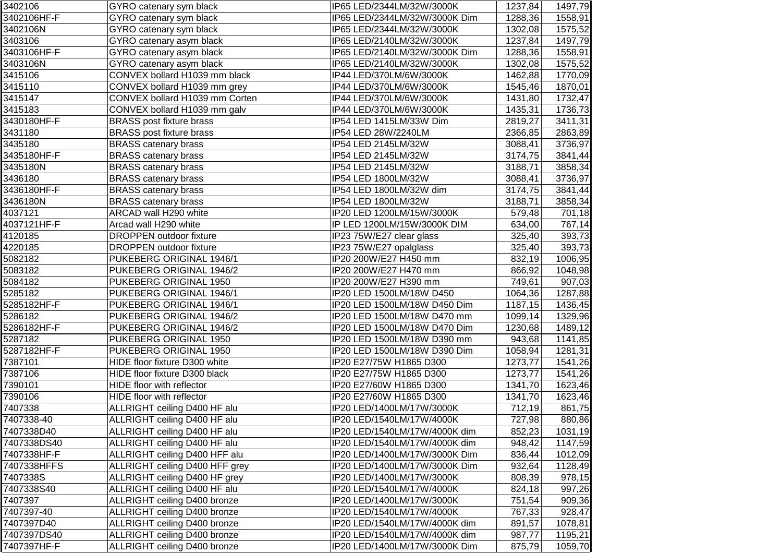| 3402106     | GYRO catenary sym black         | IP65 LED/2344LM/32W/3000K     | 1237,84  | 1497,79 |
|-------------|---------------------------------|-------------------------------|----------|---------|
| 3402106HF-F | GYRO catenary sym black         | IP65 LED/2344LM/32W/3000K Dim | 1288,36  | 1558,91 |
| 3402106N    | GYRO catenary sym black         | IP65 LED/2344LM/32W/3000K     | 1302,08  | 1575,52 |
| 3403106     | GYRO catenary asym black        | IP65 LED/2140LM/32W/3000K     | 1237,84  | 1497,79 |
| 3403106HF-F | GYRO catenary asym black        | IP65 LED/2140LM/32W/3000K Dim | 1288,36  | 1558,91 |
| 3403106N    | GYRO catenary asym black        | IP65 LED/2140LM/32W/3000K     | 1302,08  | 1575,52 |
| 3415106     | CONVEX bollard H1039 mm black   | IP44 LED/370LM/6W/3000K       | 1462,88  | 1770,09 |
| 3415110     | CONVEX bollard H1039 mm grey    | IP44 LED/370LM/6W/3000K       | 1545,46  | 1870,01 |
| 3415147     | CONVEX bollard H1039 mm Corten  | IP44 LED/370LM/6W/3000K       | 1431,80  | 1732,47 |
| 3415183     | CONVEX bollard H1039 mm galv    | IP44 LED/370LM/6W/3000K       | 1435,31  | 1736,73 |
| 3430180HF-F | <b>BRASS post fixture brass</b> | IP54 LED 1415LM/33W Dim       | 2819,27  | 3411,31 |
| 3431180     | <b>BRASS</b> post fixture brass | IP54 LED 28W/2240LM           | 2366,85  | 2863,89 |
| 3435180     | <b>BRASS catenary brass</b>     | IP54 LED 2145LM/32W           | 3088,41  | 3736,97 |
| 3435180HF-F | <b>BRASS catenary brass</b>     | IP54 LED 2145LM/32W           | 3174,75  | 3841,44 |
| 3435180N    | <b>BRASS catenary brass</b>     | IP54 LED 2145LM/32W           | 3188,71  | 3858,34 |
| 3436180     | <b>BRASS catenary brass</b>     | IP54 LED 1800LM/32W           | 3088,41  | 3736,97 |
| 3436180HF-F | <b>BRASS catenary brass</b>     | IP54 LED 1800LM/32W dim       | 3174,75  | 3841,44 |
| 3436180N    | <b>BRASS catenary brass</b>     | IP54 LED 1800LM/32W           | 3188,71  | 3858,34 |
| 4037121     | ARCAD wall H290 white           | IP20 LED 1200LM/15W/3000K     | 579,48   | 701,18  |
| 4037121HF-F | Arcad wall H290 white           | IP LED 1200LM/15W/3000K DIM   | 634,00   | 767,14  |
| 4120185     | <b>DROPPEN</b> outdoor fixture  | IP23 75W/E27 clear glass      | 325,40   | 393,73  |
| 4220185     | <b>DROPPEN outdoor fixture</b>  | IP23 75W/E27 opalglass        | 325,40   | 393,73  |
| 5082182     | PUKEBERG ORIGINAL 1946/1        | IP20 200W/E27 H450 mm         | 832,19   | 1006,95 |
| 5083182     | PUKEBERG ORIGINAL 1946/2        | IP20 200W/E27 H470 mm         | 866,92   | 1048,98 |
| 5084182     | PUKEBERG ORIGINAL 1950          | IP20 200W/E27 H390 mm         | 749,61   | 907,03  |
| 5285182     | PUKEBERG ORIGINAL 1946/1        | IP20 LED 1500LM/18W D450      | 1064,36  | 1287,88 |
| 5285182HF-F | PUKEBERG ORIGINAL 1946/1        | IP20 LED 1500LM/18W D450 Dim  | 1187,15  | 1436,45 |
| 5286182     | PUKEBERG ORIGINAL 1946/2        | IP20 LED 1500LM/18W D470 mm   | 1099, 14 | 1329,96 |
| 5286182HF-F | PUKEBERG ORIGINAL 1946/2        | IP20 LED 1500LM/18W D470 Dim  | 1230,68  | 1489,12 |
| 5287182     | PUKEBERG ORIGINAL 1950          | IP20 LED 1500LM/18W D390 mm   | 943,68   | 1141,85 |
| 5287182HF-F | PUKEBERG ORIGINAL 1950          | IP20 LED 1500LM/18W D390 Dim  | 1058,94  | 1281,31 |
| 7387101     | HIDE floor fixture D300 white   | IP20 E27/75W H1865 D300       | 1273,77  | 1541,26 |
| 7387106     | HIDE floor fixture D300 black   | IP20 E27/75W H1865 D300       | 1273,77  | 1541,26 |
| 7390101     | HIDE floor with reflector       | IP20 E27/60W H1865 D300       | 1341,70  | 1623,46 |
| 7390106     | HIDE floor with reflector       | IP20 E27/60W H1865 D300       | 1341,70  | 1623,46 |
| 7407338     | ALLRIGHT ceiling D400 HF alu    | IP20 LED/1400LM/17W/3000K     | 712,19   | 861,75  |
| 7407338-40  | ALLRIGHT ceiling D400 HF alu    | IP20 LED/1540LM/17W/4000K     | 727,98   | 880,86  |
| 7407338D40  | ALLRIGHT ceiling D400 HF alu    | IP20 LED/1540LM/17W/4000K dim | 852,23   | 1031,19 |
| 7407338DS40 | ALLRIGHT ceiling D400 HF alu    | IP20 LED/1540LM/17W/4000K dim | 948,42   | 1147,59 |
| 7407338HF-F | ALLRIGHT ceiling D400 HFF alu   | IP20 LED/1400LM/17W/3000K Dim | 836,44   | 1012,09 |
| 7407338HFFS | ALLRIGHT ceiling D400 HFF grey  | IP20 LED/1400LM/17W/3000K Dim | 932,64   | 1128,49 |
| 7407338S    | ALLRIGHT ceiling D400 HF grey   | IP20 LED/1400LM/17W/3000K     | 808,39   | 978,15  |
| 7407338S40  | ALLRIGHT ceiling D400 HF alu    | IP20 LED/1540LM/17W/4000K     | 824,18   | 997,26  |
| 7407397     | ALLRIGHT ceiling D400 bronze    | IP20 LED/1400LM/17W/3000K     | 751,54   | 909,36  |
| 7407397-40  | ALLRIGHT ceiling D400 bronze    | IP20 LED/1540LM/17W/4000K     | 767,33   | 928,47  |
| 7407397D40  | ALLRIGHT ceiling D400 bronze    | IP20 LED/1540LM/17W/4000K dim | 891,57   | 1078,81 |
| 7407397DS40 | ALLRIGHT ceiling D400 bronze    | IP20 LED/1540LM/17W/4000K dim | 987,77   | 1195,21 |
| 7407397HF-F | ALLRIGHT ceiling D400 bronze    | IP20 LED/1400LM/17W/3000K Dim | 875,79   | 1059,70 |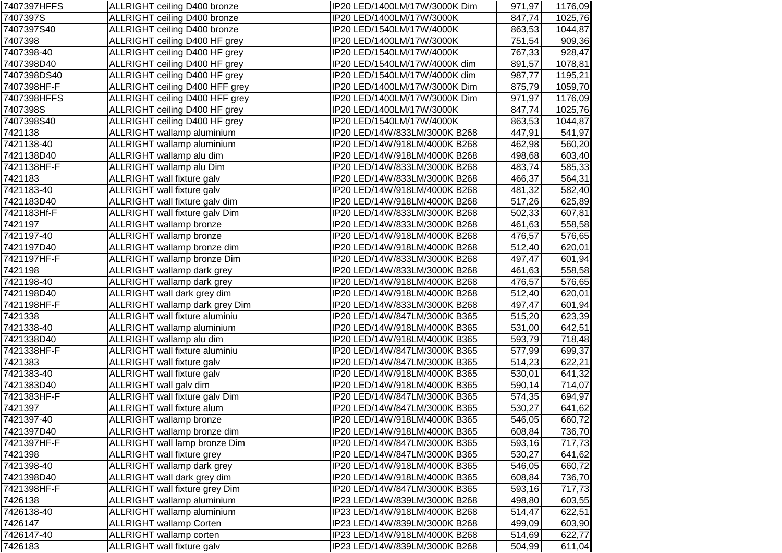| 7407397HFFS | ALLRIGHT ceiling D400 bronze      | IP20 LED/1400LM/17W/3000K Dim | 971,97 | 1176,09 |
|-------------|-----------------------------------|-------------------------------|--------|---------|
| 7407397S    | ALLRIGHT ceiling D400 bronze      | IP20 LED/1400LM/17W/3000K     | 847,74 | 1025,76 |
| 7407397S40  | ALLRIGHT ceiling D400 bronze      | IP20 LED/1540LM/17W/4000K     | 863,53 | 1044,87 |
| 7407398     | ALLRIGHT ceiling D400 HF grey     | IP20 LED/1400LM/17W/3000K     | 751,54 | 909,36  |
| 7407398-40  | ALLRIGHT ceiling D400 HF grey     | IP20 LED/1540LM/17W/4000K     | 767,33 | 928,47  |
| 7407398D40  | ALLRIGHT ceiling D400 HF grey     | IP20 LED/1540LM/17W/4000K dim | 891,57 | 1078,81 |
| 7407398DS40 | ALLRIGHT ceiling D400 HF grey     | IP20 LED/1540LM/17W/4000K dim | 987,77 | 1195,21 |
| 7407398HF-F | ALLRIGHT ceiling D400 HFF grey    | IP20 LED/1400LM/17W/3000K Dim | 875,79 | 1059,70 |
| 7407398HFFS | ALLRIGHT ceiling D400 HFF grey    | IP20 LED/1400LM/17W/3000K Dim | 971,97 | 1176,09 |
| 7407398S    | ALLRIGHT ceiling D400 HF grey     | IP20 LED/1400LM/17W/3000K     | 847,74 | 1025,76 |
| 7407398S40  | ALLRIGHT ceiling D400 HF grey     | IP20 LED/1540LM/17W/4000K     | 863,53 | 1044,87 |
| 7421138     | ALLRIGHT wallamp aluminium        | IP20 LED/14W/833LM/3000K B268 | 447,91 | 541,97  |
| 7421138-40  | ALLRIGHT wallamp aluminium        | IP20 LED/14W/918LM/4000K B268 | 462,98 | 560,20  |
| 7421138D40  | ALLRIGHT wallamp alu dim          | IP20 LED/14W/918LM/4000K B268 | 498,68 | 603,40  |
| 7421138HF-F | ALLRIGHT wallamp alu Dim          | IP20 LED/14W/833LM/3000K B268 | 483,74 | 585,33  |
| 7421183     | ALLRIGHT wall fixture galv        | IP20 LED/14W/833LM/3000K B268 | 466,37 | 564,31  |
| 7421183-40  | ALLRIGHT wall fixture galv        | IP20 LED/14W/918LM/4000K B268 | 481,32 | 582,40  |
| 7421183D40  | ALLRIGHT wall fixture galv dim    | IP20 LED/14W/918LM/4000K B268 | 517,26 | 625,89  |
| 7421183Hf-F | ALLRIGHT wall fixture galv Dim    | IP20 LED/14W/833LM/3000K B268 | 502,33 | 607,81  |
| 7421197     | <b>ALLRIGHT</b> wallamp bronze    | IP20 LED/14W/833LM/3000K B268 | 461,63 | 558,58  |
| 7421197-40  | <b>ALLRIGHT</b> wallamp bronze    | IP20 LED/14W/918LM/4000K B268 | 476,57 | 576,65  |
| 7421197D40  | ALLRIGHT wallamp bronze dim       | IP20 LED/14W/918LM/4000K B268 | 512,40 | 620,01  |
| 7421197HF-F | ALLRIGHT wallamp bronze Dim       | IP20 LED/14W/833LM/3000K B268 | 497,47 | 601,94  |
| 7421198     | ALLRIGHT wallamp dark grey        | IP20 LED/14W/833LM/3000K B268 | 461,63 | 558,58  |
| 7421198-40  | ALLRIGHT wallamp dark grey        | IP20 LED/14W/918LM/4000K B268 | 476,57 | 576,65  |
| 7421198D40  | ALLRIGHT wall dark grey dim       | IP20 LED/14W/918LM/4000K B268 | 512,40 | 620,01  |
| 7421198HF-F | ALLRIGHT wallamp dark grey Dim    | IP20 LED/14W/833LM/3000K B268 | 497,47 | 601,94  |
| 7421338     | ALLRIGHT wall fixture aluminiu    | IP20 LED/14W/847LM/3000K B365 | 515,20 | 623,39  |
| 7421338-40  | ALLRIGHT wallamp aluminium        | IP20 LED/14W/918LM/4000K B365 | 531,00 | 642,51  |
| 7421338D40  | ALLRIGHT wallamp alu dim          | IP20 LED/14W/918LM/4000K B365 | 593,79 | 718,48  |
| 7421338HF-F | ALLRIGHT wall fixture aluminiu    | IP20 LED/14W/847LM/3000K B365 | 577,99 | 699,37  |
| 7421383     | ALLRIGHT wall fixture galv        | IP20 LED/14W/847LM/3000K B365 | 514,23 | 622,21  |
| 7421383-40  | ALLRIGHT wall fixture galv        | IP20 LED/14W/918LM/4000K B365 | 530,01 | 641,32  |
| 7421383D40  | ALLRIGHT wall galv dim            | IP20 LED/14W/918LM/4000K B365 | 590,14 | 714,07  |
| 7421383HF-F | ALLRIGHT wall fixture galv Dim    | IP20 LED/14W/847LM/3000K B365 | 574,35 | 694,97  |
| 7421397     | <b>ALLRIGHT</b> wall fixture alum | IP20 LED/14W/847LM/3000K B365 | 530,27 | 641,62  |
| 7421397-40  | <b>ALLRIGHT</b> wallamp bronze    | IP20 LED/14W/918LM/4000K B365 | 546,05 | 660,72  |
| 7421397D40  | ALLRIGHT wallamp bronze dim       | IP20 LED/14W/918LM/4000K B365 | 608,84 | 736,70  |
| 7421397HF-F | ALLRIGHT wall lamp bronze Dim     | IP20 LED/14W/847LM/3000K B365 | 593,16 | 717,73  |
| 7421398     | ALLRIGHT wall fixture grey        | IP20 LED/14W/847LM/3000K B365 | 530,27 | 641,62  |
| 7421398-40  | ALLRIGHT wallamp dark grey        | IP20 LED/14W/918LM/4000K B365 | 546,05 | 660,72  |
| 7421398D40  | ALLRIGHT wall dark grey dim       | IP20 LED/14W/918LM/4000K B365 | 608,84 | 736,70  |
| 7421398HF-F | ALLRIGHT wall fixture grey Dim    | IP20 LED/14W/847LM/3000K B365 | 593,16 | 717,73  |
| 7426138     | ALLRIGHT wallamp aluminium        | IP23 LED/14W/839LM/3000K B268 | 498,80 | 603,55  |
| 7426138-40  | ALLRIGHT wallamp aluminium        | IP23 LED/14W/918LM/4000K B268 | 514,47 | 622,51  |
| 7426147     | <b>ALLRIGHT</b> wallamp Corten    | IP23 LED/14W/839LM/3000K B268 | 499,09 | 603,90  |
| 7426147-40  | ALLRIGHT wallamp corten           | IP23 LED/14W/918LM/4000K B268 | 514,69 | 622,77  |
| 7426183     | ALLRIGHT wall fixture galv        | IP23 LED/14W/839LM/3000K B268 | 504,99 | 611,04  |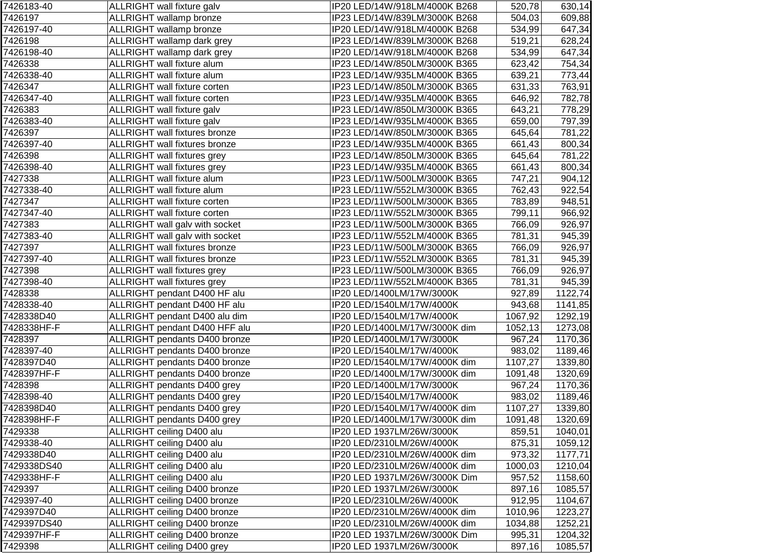| 7426183-40  | ALLRIGHT wall fixture galv           | IP20 LED/14W/918LM/4000K B268 | 520,78  | 630,14  |
|-------------|--------------------------------------|-------------------------------|---------|---------|
| 7426197     | ALLRIGHT wallamp bronze              | IP23 LED/14W/839LM/3000K B268 | 504,03  | 609,88  |
| 7426197-40  | <b>ALLRIGHT</b> wallamp bronze       | IP20 LED/14W/918LM/4000K B268 | 534,99  | 647,34  |
| 7426198     | ALLRIGHT wallamp dark grey           | IP23 LED/14W/839LM/3000K B268 | 519,21  | 628,24  |
| 7426198-40  | ALLRIGHT wallamp dark grey           | IP20 LED/14W/918LM/4000K B268 | 534,99  | 647,34  |
| 7426338     | <b>ALLRIGHT</b> wall fixture alum    | IP23 LED/14W/850LM/3000K B365 | 623,42  | 754,34  |
| 7426338-40  | ALLRIGHT wall fixture alum           | IP23 LED/14W/935LM/4000K B365 | 639,21  | 773,44  |
| 7426347     | ALLRIGHT wall fixture corten         | IP23 LED/14W/850LM/3000K B365 | 631,33  | 763,91  |
| 7426347-40  | ALLRIGHT wall fixture corten         | IP23 LED/14W/935LM/4000K B365 | 646,92  | 782,78  |
| 7426383     | ALLRIGHT wall fixture galv           | IP23 LED/14W/850LM/3000K B365 | 643,21  | 778,29  |
| 7426383-40  | ALLRIGHT wall fixture galv           | IP23 LED/14W/935LM/4000K B365 | 659,00  | 797,39  |
| 7426397     | <b>ALLRIGHT</b> wall fixtures bronze | IP23 LED/14W/850LM/3000K B365 | 645,64  | 781,22  |
| 7426397-40  | ALLRIGHT wall fixtures bronze        | IP23 LED/14W/935LM/4000K B365 | 661,43  | 800,34  |
| 7426398     | ALLRIGHT wall fixtures grey          | IP23 LED/14W/850LM/3000K B365 | 645,64  | 781,22  |
| 7426398-40  | ALLRIGHT wall fixtures grey          | IP23 LED/14W/935LM/4000K B365 | 661,43  | 800,34  |
| 7427338     | ALLRIGHT wall fixture alum           | IP23 LED/11W/500LM/3000K B365 | 747,21  | 904,12  |
| 7427338-40  | ALLRIGHT wall fixture alum           | IP23 LED/11W/552LM/3000K B365 | 762,43  | 922,54  |
| 7427347     | <b>ALLRIGHT</b> wall fixture corten  | IP23 LED/11W/500LM/3000K B365 | 783,89  | 948,51  |
| 7427347-40  | ALLRIGHT wall fixture corten         | IP23 LED/11W/552LM/3000K B365 | 799,11  | 966,92  |
| 7427383     | ALLRIGHT wall galv with socket       | IP23 LED/11W/500LM/3000K B365 | 766,09  | 926,97  |
| 7427383-40  | ALLRIGHT wall galv with socket       | IP23 LED/11W/552LM/4000K B365 | 781,31  | 945,39  |
| 7427397     | ALLRIGHT wall fixtures bronze        | IP23 LED/11W/500LM/3000K B365 | 766,09  | 926,97  |
| 7427397-40  | ALLRIGHT wall fixtures bronze        | IP23 LED/11W/552LM/3000K B365 | 781,31  | 945,39  |
| 7427398     | ALLRIGHT wall fixtures grey          | IP23 LED/11W/500LM/3000K B365 | 766,09  | 926,97  |
| 7427398-40  | ALLRIGHT wall fixtures grey          | IP23 LED/11W/552LM/4000K B365 | 781,31  | 945,39  |
| 7428338     | ALLRIGHT pendant D400 HF alu         | IP20 LED/1400LM/17W/3000K     | 927,89  | 1122,74 |
| 7428338-40  | ALLRIGHT pendant D400 HF alu         | IP20 LED/1540LM/17W/4000K     | 943,68  | 1141,85 |
| 7428338D40  | ALLRIGHT pendant D400 alu dim        | IP20 LED/1540LM/17W/4000K     | 1067,92 | 1292,19 |
| 7428338HF-F | ALLRIGHT pendant D400 HFF alu        | IP20 LED/1400LM/17W/3000K dim | 1052,13 | 1273,08 |
| 7428397     | ALLRIGHT pendants D400 bronze        | IP20 LED/1400LM/17W/3000K     | 967,24  | 1170,36 |
| 7428397-40  | ALLRIGHT pendants D400 bronze        | IP20 LED/1540LM/17W/4000K     | 983,02  | 1189,46 |
| 7428397D40  | ALLRIGHT pendants D400 bronze        | IP20 LED/1540LM/17W/4000K dim | 1107,27 | 1339,80 |
| 7428397HF-F | ALLRIGHT pendants D400 bronze        | IP20 LED/1400LM/17W/3000K dim | 1091,48 | 1320,69 |
| 7428398     | ALLRIGHT pendants D400 grey          | IP20 LED/1400LM/17W/3000K     | 967,24  | 1170,36 |
| 7428398-40  | ALLRIGHT pendants D400 grey          | IP20 LED/1540LM/17W/4000K     | 983,02  | 1189,46 |
| 7428398D40  | ALLRIGHT pendants D400 grey          | IP20 LED/1540LM/17W/4000K dim | 1107,27 | 1339,80 |
| 7428398HF-F | ALLRIGHT pendants D400 grey          | IP20 LED/1400LM/17W/3000K dim | 1091,48 | 1320,69 |
| 7429338     | ALLRIGHT ceiling D400 alu            | IP20 LED 1937LM/26W/3000K     | 859,51  | 1040,01 |
| 7429338-40  | ALLRIGHT ceiling D400 alu            | IP20 LED/2310LM/26W/4000K     | 875,31  | 1059,12 |
| 7429338D40  | ALLRIGHT ceiling D400 alu            | IP20 LED/2310LM/26W/4000K dim | 973,32  | 1177,71 |
| 7429338DS40 | ALLRIGHT ceiling D400 alu            | IP20 LED/2310LM/26W/4000K dim | 1000,03 | 1210,04 |
| 7429338HF-F | ALLRIGHT ceiling D400 alu            | IP20 LED 1937LM/26W/3000K Dim | 957,52  | 1158,60 |
| 7429397     | ALLRIGHT ceiling D400 bronze         | IP20 LED 1937LM/26W/3000K     | 897,16  | 1085,57 |
| 7429397-40  | ALLRIGHT ceiling D400 bronze         | IP20 LED/2310LM/26W/4000K     | 912,95  | 1104,67 |
| 7429397D40  | ALLRIGHT ceiling D400 bronze         | IP20 LED/2310LM/26W/4000K dim | 1010,96 | 1223,27 |
| 7429397DS40 | ALLRIGHT ceiling D400 bronze         | IP20 LED/2310LM/26W/4000K dim | 1034,88 | 1252,21 |
| 7429397HF-F | ALLRIGHT ceiling D400 bronze         | IP20 LED 1937LM/26W/3000K Dim | 995,31  | 1204,32 |
| 7429398     | ALLRIGHT ceiling D400 grey           | IP20 LED 1937LM/26W/3000K     | 897,16  | 1085,57 |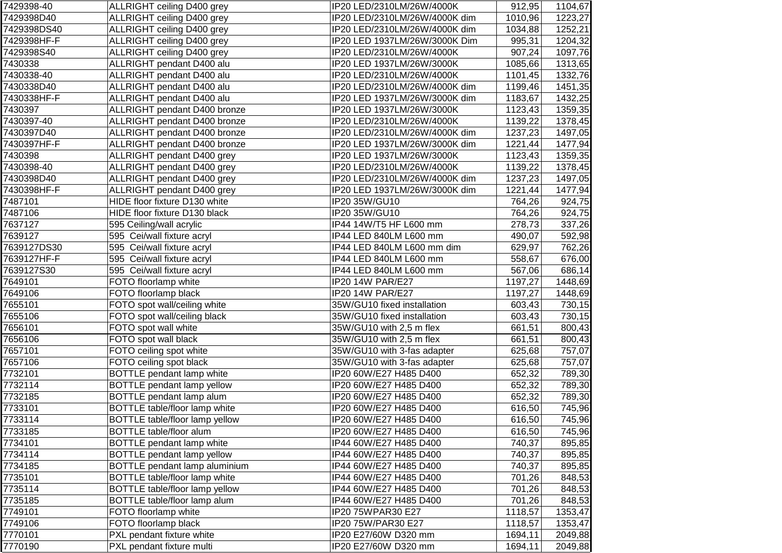| 7429398-40  | ALLRIGHT ceiling D400 grey     | IP20 LED/2310LM/26W/4000K     | 912,95  | 1104,67 |
|-------------|--------------------------------|-------------------------------|---------|---------|
| 7429398D40  | ALLRIGHT ceiling D400 grey     | IP20 LED/2310LM/26W/4000K dim | 1010,96 | 1223,27 |
| 7429398DS40 | ALLRIGHT ceiling D400 grey     | IP20 LED/2310LM/26W/4000K dim | 1034,88 | 1252,21 |
| 7429398HF-F | ALLRIGHT ceiling D400 grey     | IP20 LED 1937LM/26W/3000K Dim | 995,31  | 1204,32 |
| 7429398S40  | ALLRIGHT ceiling D400 grey     | IP20 LED/2310LM/26W/4000K     | 907,24  | 1097,76 |
| 7430338     | ALLRIGHT pendant D400 alu      | IP20 LED 1937LM/26W/3000K     | 1085,66 | 1313,65 |
| 7430338-40  | ALLRIGHT pendant D400 alu      | IP20 LED/2310LM/26W/4000K     | 1101,45 | 1332,76 |
| 7430338D40  | ALLRIGHT pendant D400 alu      | IP20 LED/2310LM/26W/4000K dim | 1199,46 | 1451,35 |
| 7430338HF-F | ALLRIGHT pendant D400 alu      | IP20 LED 1937LM/26W/3000K dim | 1183,67 | 1432,25 |
| 7430397     | ALLRIGHT pendant D400 bronze   | IP20 LED 1937LM/26W/3000K     | 1123,43 | 1359,35 |
| 7430397-40  | ALLRIGHT pendant D400 bronze   | IP20 LED/2310LM/26W/4000K     | 1139,22 | 1378,45 |
| 7430397D40  | ALLRIGHT pendant D400 bronze   | IP20 LED/2310LM/26W/4000K dim | 1237,23 | 1497,05 |
| 7430397HF-F | ALLRIGHT pendant D400 bronze   | IP20 LED 1937LM/26W/3000K dim | 1221,44 | 1477,94 |
| 7430398     | ALLRIGHT pendant D400 grey     | IP20 LED 1937LM/26W/3000K     | 1123,43 | 1359,35 |
| 7430398-40  | ALLRIGHT pendant D400 grey     | IP20 LED/2310LM/26W/4000K     | 1139,22 | 1378,45 |
| 7430398D40  | ALLRIGHT pendant D400 grey     | IP20 LED/2310LM/26W/4000K dim | 1237,23 | 1497,05 |
| 7430398HF-F | ALLRIGHT pendant D400 grey     | IP20 LED 1937LM/26W/3000K dim | 1221,44 | 1477,94 |
| 7487101     | HIDE floor fixture D130 white  | IP20 35W/GU10                 | 764,26  | 924,75  |
| 7487106     | HIDE floor fixture D130 black  | IP20 35W/GU10                 | 764,26  | 924,75  |
| 7637127     | 595 Ceiling/wall acrylic       | IP44 14W/T5 HF L600 mm        | 278,73  | 337,26  |
| 7639127     | 595 Cei/wall fixture acryl     | IP44 LED 840LM L600 mm        | 490,07  | 592,98  |
| 7639127DS30 | 595 Cei/wall fixture acryl     | IP44 LED 840LM L600 mm dim    | 629,97  | 762,26  |
| 7639127HF-F | 595 Cei/wall fixture acryl     | IP44 LED 840LM L600 mm        | 558,67  | 676,00  |
| 7639127S30  | 595 Cei/wall fixture acryl     | IP44 LED 840LM L600 mm        | 567,06  | 686,14  |
| 7649101     | FOTO floorlamp white           | IP20 14W PAR/E27              | 1197,27 | 1448,69 |
| 7649106     | FOTO floorlamp black           | IP20 14W PAR/E27              | 1197,27 | 1448,69 |
| 7655101     | FOTO spot wall/ceiling white   | 35W/GU10 fixed installation   | 603,43  | 730,15  |
| 7655106     | FOTO spot wall/ceiling black   | 35W/GU10 fixed installation   | 603,43  | 730,15  |
| 7656101     | FOTO spot wall white           | 35W/GU10 with 2,5 m flex      | 661,51  | 800,43  |
| 7656106     | FOTO spot wall black           | 35W/GU10 with 2,5 m flex      | 661,51  | 800,43  |
| 7657101     | FOTO ceiling spot white        | 35W/GU10 with 3-fas adapter   | 625,68  | 757,07  |
| 7657106     | FOTO ceiling spot black        | 35W/GU10 with 3-fas adapter   | 625,68  | 757,07  |
| 7732101     | BOTTLE pendant lamp white      | IP20 60W/E27 H485 D400        | 652,32  | 789,30  |
| 7732114     | BOTTLE pendant lamp yellow     | IP20 60W/E27 H485 D400        | 652,32  | 789,30  |
| 7732185     | BOTTLE pendant lamp alum       | IP20 60W/E27 H485 D400        | 652,32  | 789,30  |
| 7733101     | BOTTLE table/floor lamp white  | IP20 60W/E27 H485 D400        | 616,50  | 745,96  |
| 7733114     | BOTTLE table/floor lamp yellow | IP20 60W/E27 H485 D400        | 616,50  | 745,96  |
| 7733185     | BOTTLE table/floor alum        | IP20 60W/E27 H485 D400        | 616,50  | 745,96  |
| 7734101     | BOTTLE pendant lamp white      | IP44 60W/E27 H485 D400        | 740,37  | 895,85  |
| 7734114     | BOTTLE pendant lamp yellow     | IP44 60W/E27 H485 D400        | 740,37  | 895,85  |
| 7734185     | BOTTLE pendant lamp aluminium  | IP44 60W/E27 H485 D400        | 740,37  | 895,85  |
| 7735101     | BOTTLE table/floor lamp white  | IP44 60W/E27 H485 D400        | 701,26  | 848,53  |
| 7735114     | BOTTLE table/floor lamp yellow | IP44 60W/E27 H485 D400        | 701,26  | 848,53  |
| 7735185     | BOTTLE table/floor lamp alum   | IP44 60W/E27 H485 D400        | 701,26  | 848,53  |
| 7749101     | FOTO floorlamp white           | IP20 75WPAR30 E27             | 1118,57 | 1353,47 |
| 7749106     | FOTO floorlamp black           | IP20 75W/PAR30 E27            | 1118,57 | 1353,47 |
| 7770101     | PXL pendant fixture white      | IP20 E27/60W D320 mm          | 1694,11 | 2049,88 |
| 7770190     | PXL pendant fixture multi      | IP20 E27/60W D320 mm          | 1694,11 | 2049,88 |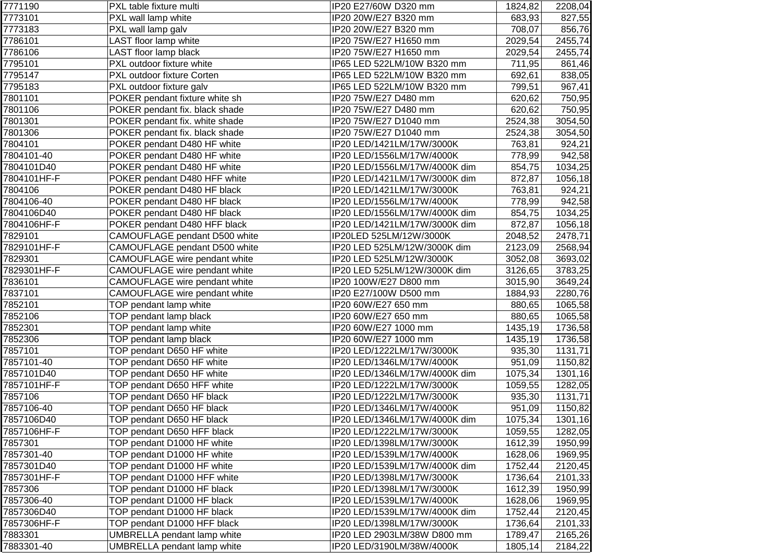| 7771190     | PXL table fixture multi            | IP20 E27/60W D320 mm          | 1824,82  | 2208,04 |
|-------------|------------------------------------|-------------------------------|----------|---------|
| 7773101     | PXL wall lamp white                | IP20 20W/E27 B320 mm          | 683,93   | 827,55  |
| 7773183     | PXL wall lamp galv                 | IP20 20W/E27 B320 mm          | 708,07   | 856,76  |
| 7786101     | LAST floor lamp white              | IP20 75W/E27 H1650 mm         | 2029,54  | 2455,74 |
| 7786106     | LAST floor lamp black              | IP20 75W/E27 H1650 mm         | 2029,54  | 2455,74 |
| 7795101     | PXL outdoor fixture white          | IP65 LED 522LM/10W B320 mm    | 711,95   | 861,46  |
| 7795147     | PXL outdoor fixture Corten         | IP65 LED 522LM/10W B320 mm    | 692,61   | 838,05  |
| 7795183     | PXL outdoor fixture galv           | IP65 LED 522LM/10W B320 mm    | 799,51   | 967,41  |
| 7801101     | POKER pendant fixture white sh     | IP20 75W/E27 D480 mm          | 620,62   | 750,95  |
| 7801106     | POKER pendant fix. black shade     | IP20 75W/E27 D480 mm          | 620,62   | 750,95  |
| 7801301     | POKER pendant fix. white shade     | IP20 75W/E27 D1040 mm         | 2524,38  | 3054,50 |
| 7801306     | POKER pendant fix. black shade     | IP20 75W/E27 D1040 mm         | 2524,38  | 3054,50 |
| 7804101     | POKER pendant D480 HF white        | IP20 LED/1421LM/17W/3000K     | 763,81   | 924,21  |
| 7804101-40  | POKER pendant D480 HF white        | IP20 LED/1556LM/17W/4000K     | 778,99   | 942,58  |
| 7804101D40  | POKER pendant D480 HF white        | IP20 LED/1556LM/17W/4000K dim | 854,75   | 1034,25 |
| 7804101HF-F | POKER pendant D480 HFF white       | IP20 LED/1421LM/17W/3000K dim | 872,87   | 1056,18 |
| 7804106     | POKER pendant D480 HF black        | IP20 LED/1421LM/17W/3000K     | 763,81   | 924,21  |
| 7804106-40  | POKER pendant D480 HF black        | IP20 LED/1556LM/17W/4000K     | 778,99   | 942,58  |
| 7804106D40  | POKER pendant D480 HF black        | IP20 LED/1556LM/17W/4000K dim | 854,75   | 1034,25 |
| 7804106HF-F | POKER pendant D480 HFF black       | IP20 LED/1421LM/17W/3000K dim | 872,87   | 1056,18 |
| 7829101     | CAMOUFLAGE pendant D500 white      | IP20LED 525LM/12W/3000K       | 2048,52  | 2478,71 |
| 7829101HF-F | CAMOUFLAGE pendant D500 white      | IP20 LED 525LM/12W/3000K dim  | 2123,09  | 2568,94 |
| 7829301     | CAMOUFLAGE wire pendant white      | IP20 LED 525LM/12W/3000K      | 3052,08  | 3693,02 |
| 7829301HF-F | CAMOUFLAGE wire pendant white      | IP20 LED 525LM/12W/3000K dim  | 3126,65  | 3783,25 |
| 7836101     | CAMOUFLAGE wire pendant white      | IP20 100W/E27 D800 mm         | 3015,90  | 3649,24 |
| 7837101     | CAMOUFLAGE wire pendant white      | IP20 E27/100W D500 mm         | 1884,93  | 2280,76 |
| 7852101     | TOP pendant lamp white             | IP20 60W/E27 650 mm           | 880,65   | 1065,58 |
| 7852106     | TOP pendant lamp black             | IP20 60W/E27 650 mm           | 880,65   | 1065,58 |
| 7852301     | TOP pendant lamp white             | IP20 60W/E27 1000 mm          | 1435,19  | 1736,58 |
| 7852306     | TOP pendant lamp black             | IP20 60W/E27 1000 mm          | 1435,19  | 1736,58 |
| 7857101     | TOP pendant D650 HF white          | IP20 LED/1222LM/17W/3000K     | 935,30   | 1131,71 |
| 7857101-40  | TOP pendant D650 HF white          | IP20 LED/1346LM/17W/4000K     | 951,09   | 1150,82 |
| 7857101D40  | TOP pendant D650 HF white          | IP20 LED/1346LM/17W/4000K dim | 1075,34  | 1301,16 |
| 7857101HF-F | TOP pendant D650 HFF white         | IP20 LED/1222LM/17W/3000K     | 1059,55  | 1282,05 |
| 7857106     | TOP pendant D650 HF black          | IP20 LED/1222LM/17W/3000K     | 935,30   | 1131,71 |
| 7857106-40  | TOP pendant D650 HF black          | IP20 LED/1346LM/17W/4000K     | 951,09   | 1150,82 |
| 7857106D40  | TOP pendant D650 HF black          | IP20 LED/1346LM/17W/4000K dim | 1075,34  | 1301,16 |
| 7857106HF-F | TOP pendant D650 HFF black         | IP20 LED/1222LM/17W/3000K     | 1059,55  | 1282,05 |
| 7857301     | TOP pendant D1000 HF white         | IP20 LED/1398LM/17W/3000K     | 1612,39  | 1950,99 |
| 7857301-40  | TOP pendant D1000 HF white         | IP20 LED/1539LM/17W/4000K     | 1628,06  | 1969,95 |
| 7857301D40  | TOP pendant D1000 HF white         | IP20 LED/1539LM/17W/4000K dim | 1752,44  | 2120,45 |
| 7857301HF-F | TOP pendant D1000 HFF white        | IP20 LED/1398LM/17W/3000K     | 1736,64  | 2101,33 |
| 7857306     | TOP pendant D1000 HF black         | IP20 LED/1398LM/17W/3000K     | 1612,39  | 1950,99 |
| 7857306-40  | TOP pendant D1000 HF black         | IP20 LED/1539LM/17W/4000K     | 1628,06  | 1969,95 |
| 7857306D40  | TOP pendant D1000 HF black         | IP20 LED/1539LM/17W/4000K dim | 1752,44  | 2120,45 |
| 7857306HF-F | TOP pendant D1000 HFF black        | IP20 LED/1398LM/17W/3000K     | 1736,64  | 2101,33 |
| 7883301     | <b>UMBRELLA</b> pendant lamp white | IP20 LED 2903LM/38W D800 mm   | 1789,47  | 2165,26 |
| 7883301-40  | <b>UMBRELLA</b> pendant lamp white | IP20 LED/3190LM/38W/4000K     | 1805, 14 | 2184,22 |
|             |                                    |                               |          |         |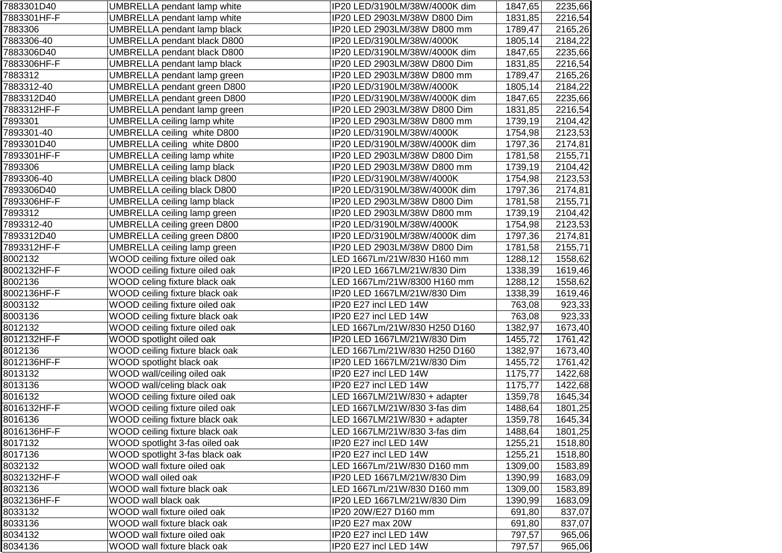| 7883301D40  | <b>UMBRELLA</b> pendant lamp white | IP20 LED/3190LM/38W/4000K dim | 1847,65 | 2235,66 |
|-------------|------------------------------------|-------------------------------|---------|---------|
| 7883301HF-F | <b>UMBRELLA pendant lamp white</b> | IP20 LED 2903LM/38W D800 Dim  | 1831,85 | 2216,54 |
| 7883306     | UMBRELLA pendant lamp black        | IP20 LED 2903LM/38W D800 mm   | 1789,47 | 2165,26 |
| 7883306-40  | <b>UMBRELLA pendant black D800</b> | IP20 LED/3190LM/38W/4000K     | 1805,14 | 2184,22 |
| 7883306D40  | <b>UMBRELLA pendant black D800</b> | IP20 LED/3190LM/38W/4000K dim | 1847,65 | 2235,66 |
| 7883306HF-F | <b>UMBRELLA pendant lamp black</b> | IP20 LED 2903LM/38W D800 Dim  | 1831,85 | 2216,54 |
| 7883312     | UMBRELLA pendant lamp green        | IP20 LED 2903LM/38W D800 mm   | 1789,47 | 2165,26 |
| 7883312-40  | <b>UMBRELLA pendant green D800</b> | IP20 LED/3190LM/38W/4000K     | 1805,14 | 2184,22 |
| 7883312D40  | UMBRELLA pendant green D800        | IP20 LED/3190LM/38W/4000K dim | 1847,65 | 2235,66 |
| 7883312HF-F | UMBRELLA pendant lamp green        | IP20 LED 2903LM/38W D800 Dim  | 1831,85 | 2216,54 |
| 7893301     | UMBRELLA ceiling lamp white        | IP20 LED 2903LM/38W D800 mm   | 1739,19 | 2104,42 |
| 7893301-40  | UMBRELLA ceiling white D800        | IP20 LED/3190LM/38W/4000K     | 1754,98 | 2123,53 |
| 7893301D40  | UMBRELLA ceiling white D800        | IP20 LED/3190LM/38W/4000K dim | 1797,36 | 2174,81 |
| 7893301HF-F | <b>UMBRELLA ceiling lamp white</b> | IP20 LED 2903LM/38W D800 Dim  | 1781,58 | 2155,71 |
| 7893306     | <b>UMBRELLA ceiling lamp black</b> | IP20 LED 2903LM/38W D800 mm   | 1739,19 | 2104,42 |
| 7893306-40  | <b>UMBRELLA ceiling black D800</b> | IP20 LED/3190LM/38W/4000K     | 1754,98 | 2123,53 |
| 7893306D40  | <b>UMBRELLA ceiling black D800</b> | IP20 LED/3190LM/38W/4000K dim | 1797,36 | 2174,81 |
| 7893306HF-F | <b>UMBRELLA ceiling lamp black</b> | IP20 LED 2903LM/38W D800 Dim  | 1781,58 | 2155,71 |
| 7893312     | <b>UMBRELLA ceiling lamp green</b> | IP20 LED 2903LM/38W D800 mm   | 1739,19 | 2104,42 |
| 7893312-40  | <b>UMBRELLA ceiling green D800</b> | IP20 LED/3190LM/38W/4000K     | 1754,98 | 2123,53 |
| 7893312D40  | <b>UMBRELLA ceiling green D800</b> | IP20 LED/3190LM/38W/4000K dim | 1797,36 | 2174,81 |
| 7893312HF-F | <b>UMBRELLA ceiling lamp green</b> | IP20 LED 2903LM/38W D800 Dim  | 1781,58 | 2155,71 |
| 8002132     | WOOD ceiling fixture oiled oak     | LED 1667Lm/21W/830 H160 mm    | 1288,12 | 1558,62 |
| 8002132HF-F | WOOD ceiling fixture oiled oak     | IP20 LED 1667LM/21W/830 Dim   | 1338,39 | 1619,46 |
| 8002136     | WOOD celing fixture black oak      | LED 1667Lm/21W/8300 H160 mm   | 1288,12 | 1558,62 |
| 8002136HF-F | WOOD ceiling fixture black oak     | IP20 LED 1667LM/21W/830 Dim   | 1338,39 | 1619,46 |
| 8003132     | WOOD ceiling fixture oiled oak     | IP20 E27 incl LED 14W         | 763,08  | 923,33  |
| 8003136     | WOOD ceiling fixture black oak     | IP20 E27 incl LED 14W         | 763,08  | 923,33  |
| 8012132     | WOOD ceiling fixture oiled oak     | LED 1667Lm/21W/830 H250 D160  | 1382,97 | 1673,40 |
| 8012132HF-F | WOOD spotlight oiled oak           | IP20 LED 1667LM/21W/830 Dim   | 1455,72 | 1761,42 |
| 8012136     | WOOD ceiling fixture black oak     | LED 1667Lm/21W/830 H250 D160  | 1382,97 | 1673,40 |
| 8012136HF-F | WOOD spotlight black oak           | IP20 LED 1667LM/21W/830 Dim   | 1455,72 | 1761,42 |
| 8013132     | WOOD wall/ceiling oiled oak        | IP20 E27 incl LED 14W         | 1175,77 | 1422,68 |
| 8013136     | WOOD wall/celing black oak         | IP20 E27 incl LED 14W         | 1175,77 | 1422,68 |
| 8016132     | WOOD ceiling fixture oiled oak     | LED 1667LM/21W/830 + adapter  | 1359,78 | 1645,34 |
| 8016132HF-F | WOOD ceiling fixture oiled oak     | LED 1667LM/21W/830 3-fas dim  | 1488,64 | 1801,25 |
| 8016136     | WOOD ceiling fixture black oak     | LED 1667LM/21W/830 + adapter  | 1359,78 | 1645,34 |
| 8016136HF-F | WOOD ceiling fixture black oak     | LED 1667LM/21W/830 3-fas dim  | 1488,64 | 1801,25 |
| 8017132     | WOOD spotlight 3-fas oiled oak     | IP20 E27 incl LED 14W         | 1255,21 | 1518,80 |
| 8017136     | WOOD spotlight 3-fas black oak     | IP20 E27 incl LED 14W         | 1255,21 | 1518,80 |
| 8032132     | WOOD wall fixture oiled oak        | LED 1667Lm/21W/830 D160 mm    | 1309,00 | 1583,89 |
| 8032132HF-F | WOOD wall oiled oak                | IP20 LED 1667LM/21W/830 Dim   | 1390,99 | 1683,09 |
| 8032136     | WOOD wall fixture black oak        | LED 1667Lm/21W/830 D160 mm    | 1309,00 | 1583,89 |
| 8032136HF-F | WOOD wall black oak                | IP20 LED 1667LM/21W/830 Dim   | 1390,99 | 1683,09 |
| 8033132     | WOOD wall fixture oiled oak        | IP20 20W/E27 D160 mm          | 691,80  | 837,07  |
| 8033136     | WOOD wall fixture black oak        | IP20 E27 max 20W              | 691,80  | 837,07  |
| 8034132     | WOOD wall fixture oiled oak        | IP20 E27 incl LED 14W         | 797,57  | 965,06  |
| 8034136     | WOOD wall fixture black oak        | IP20 E27 incl LED 14W         | 797,57  | 965,06  |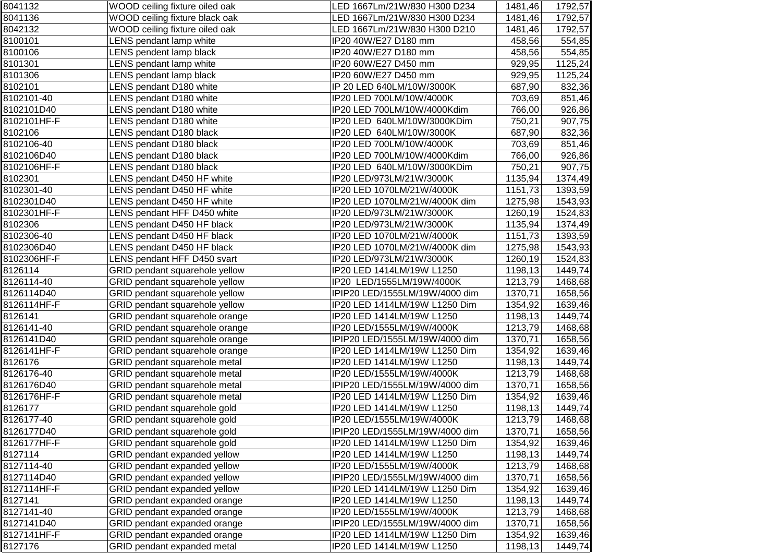| 8041132     | WOOD ceiling fixture oiled oak      | LED 1667Lm/21W/830 H300 D234   | 1481,46 | 1792,57 |
|-------------|-------------------------------------|--------------------------------|---------|---------|
| 8041136     | WOOD ceiling fixture black oak      | LED 1667Lm/21W/830 H300 D234   | 1481,46 | 1792,57 |
| 8042132     | WOOD ceiling fixture oiled oak      | LED 1667Lm/21W/830 H300 D210   | 1481,46 | 1792,57 |
| 8100101     | LENS pendant lamp white             | IP20 40W/E27 D180 mm           | 458,56  | 554,85  |
| 8100106     | LENS pendent lamp black             | IP20 40W/E27 D180 mm           | 458,56  | 554,85  |
| 8101301     | LENS pendant lamp white             | IP20 60W/E27 D450 mm           | 929,95  | 1125,24 |
| 8101306     | LENS pendant lamp black             | IP20 60W/E27 D450 mm           | 929,95  | 1125,24 |
| 8102101     | LENS pendant D180 white             | IP 20 LED 640LM/10W/3000K      | 687,90  | 832,36  |
| 8102101-40  | LENS pendant D180 white             | IP20 LED 700LM/10W/4000K       | 703,69  | 851,46  |
| 8102101D40  | LENS pendant D180 white             | IP20 LED 700LM/10W/4000Kdim    | 766,00  | 926,86  |
| 8102101HF-F | LENS pendant D180 white             | IP20 LED 640LM/10W/3000KDim    | 750,21  | 907,75  |
| 8102106     | LENS pendant D180 black             | IP20 LED 640LM/10W/3000K       | 687,90  | 832,36  |
| 8102106-40  | LENS pendant D180 black             | IP20 LED 700LM/10W/4000K       | 703,69  | 851,46  |
| 8102106D40  | LENS pendant D180 black             | IP20 LED 700LM/10W/4000Kdim    | 766,00  | 926,86  |
| 8102106HF-F | LENS pendant D180 black             | IP20 LED 640LM/10W/3000KDim    | 750,21  | 907,75  |
| 8102301     | LENS pendant D450 HF white          | IP20 LED/973LM/21W/3000K       | 1135,94 | 1374,49 |
| 8102301-40  | LENS pendant D450 HF white          | IP20 LED 1070LM/21W/4000K      | 1151,73 | 1393,59 |
| 8102301D40  | LENS pendant D450 HF white          | IP20 LED 1070LM/21W/4000K dim  | 1275,98 | 1543,93 |
| 8102301HF-F | LENS pendant HFF D450 white         | IP20 LED/973LM/21W/3000K       | 1260,19 | 1524,83 |
| 8102306     | LENS pendant D450 HF black          | IP20 LED/973LM/21W/3000K       | 1135,94 | 1374,49 |
| 8102306-40  | LENS pendant D450 HF black          | IP20 LED 1070LM/21W/4000K      | 1151,73 | 1393,59 |
| 8102306D40  | LENS pendant D450 HF black          | IP20 LED 1070LM/21W/4000K dim  | 1275,98 | 1543,93 |
| 8102306HF-F | LENS pendant HFF D450 svart         | IP20 LED/973LM/21W/3000K       | 1260,19 | 1524,83 |
| 8126114     | GRID pendant squarehole yellow      | IP20 LED 1414LM/19W L1250      | 1198,13 | 1449,74 |
| 8126114-40  | GRID pendant squarehole yellow      | IP20 LED/1555LM/19W/4000K      | 1213,79 | 1468,68 |
| 8126114D40  | GRID pendant squarehole yellow      | IPIP20 LED/1555LM/19W/4000 dim | 1370,71 | 1658,56 |
| 8126114HF-F | GRID pendant squarehole yellow      | IP20 LED 1414LM/19W L1250 Dim  | 1354,92 | 1639,46 |
| 8126141     | GRID pendant squarehole orange      | IP20 LED 1414LM/19W L1250      | 1198,13 | 1449,74 |
| 8126141-40  | GRID pendant squarehole orange      | IP20 LED/1555LM/19W/4000K      | 1213,79 | 1468,68 |
| 8126141D40  | GRID pendant squarehole orange      | IPIP20 LED/1555LM/19W/4000 dim | 1370,71 | 1658,56 |
| 8126141HF-F | GRID pendant squarehole orange      | IP20 LED 1414LM/19W L1250 Dim  | 1354,92 | 1639,46 |
| 8126176     | GRID pendant squarehole metal       | IP20 LED 1414LM/19W L1250      | 1198,13 | 1449,74 |
| 8126176-40  | GRID pendant squarehole metal       | IP20 LED/1555LM/19W/4000K      | 1213,79 | 1468,68 |
| 8126176D40  | GRID pendant squarehole metal       | IPIP20 LED/1555LM/19W/4000 dim | 1370,71 | 1658,56 |
| 8126176HF-F | GRID pendant squarehole metal       | IP20 LED 1414LM/19W L1250 Dim  | 1354,92 | 1639,46 |
| 8126177     | GRID pendant squarehole gold        | IP20 LED 1414LM/19W L1250      | 1198,13 | 1449,74 |
| 8126177-40  | GRID pendant squarehole gold        | IP20 LED/1555LM/19W/4000K      | 1213,79 | 1468,68 |
| 8126177D40  | GRID pendant squarehole gold        | IPIP20 LED/1555LM/19W/4000 dim | 1370,71 | 1658,56 |
| 8126177HF-F | GRID pendant squarehole gold        | IP20 LED 1414LM/19W L1250 Dim  | 1354,92 | 1639,46 |
| 8127114     | GRID pendant expanded yellow        | IP20 LED 1414LM/19W L1250      | 1198,13 | 1449,74 |
| 8127114-40  | GRID pendant expanded yellow        | IP20 LED/1555LM/19W/4000K      | 1213,79 | 1468,68 |
| 8127114D40  | GRID pendant expanded yellow        | IPIP20 LED/1555LM/19W/4000 dim | 1370,71 | 1658,56 |
| 8127114HF-F | <b>GRID pendant expanded yellow</b> | IP20 LED 1414LM/19W L1250 Dim  | 1354,92 | 1639,46 |
| 8127141     | GRID pendant expanded orange        | IP20 LED 1414LM/19W L1250      | 1198,13 | 1449,74 |
| 8127141-40  | GRID pendant expanded orange        | IP20 LED/1555LM/19W/4000K      | 1213,79 | 1468,68 |
| 8127141D40  | GRID pendant expanded orange        | IPIP20 LED/1555LM/19W/4000 dim | 1370,71 | 1658,56 |
| 8127141HF-F | GRID pendant expanded orange        | IP20 LED 1414LM/19W L1250 Dim  | 1354,92 | 1639,46 |
| 8127176     | GRID pendant expanded metal         | IP20 LED 1414LM/19W L1250      | 1198,13 | 1449,74 |
|             |                                     |                                |         |         |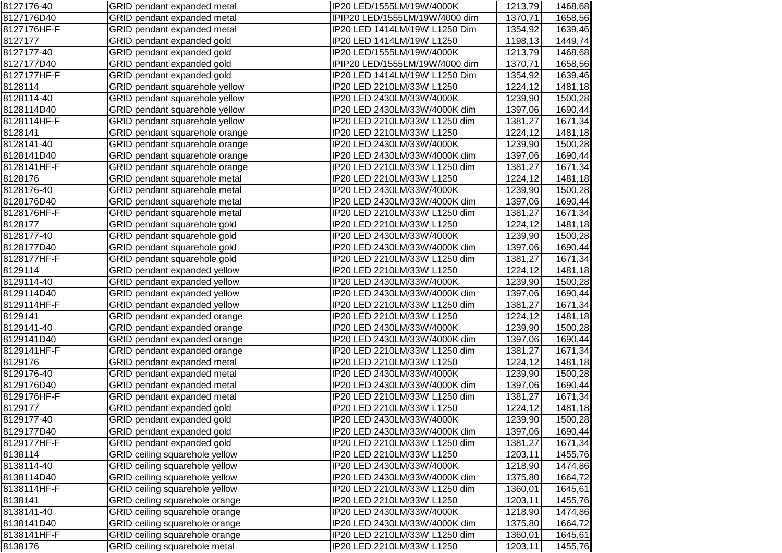| 8127176-40  | GRID pendant expanded metal    | IP20 LED/1555LM/19W/4000K      | 1213,79 | 1468,68 |
|-------------|--------------------------------|--------------------------------|---------|---------|
| 8127176D40  | GRID pendant expanded metal    | IPIP20 LED/1555LM/19W/4000 dim | 1370,71 | 1658,56 |
| 8127176HF-F | GRID pendant expanded metal    | IP20 LED 1414LM/19W L1250 Dim  | 1354,92 | 1639,46 |
| 8127177     | GRID pendant expanded gold     | IP20 LED 1414LM/19W L1250      | 1198,13 | 1449,74 |
| 8127177-40  | GRID pendant expanded gold     | IP20 LED/1555LM/19W/4000K      | 1213,79 | 1468,68 |
| 8127177D40  | GRID pendant expanded gold     | IPIP20 LED/1555LM/19W/4000 dim | 1370,71 | 1658,56 |
| 8127177HF-F | GRID pendant expanded gold     | IP20 LED 1414LM/19W L1250 Dim  | 1354,92 | 1639,46 |
| 8128114     | GRID pendant squarehole yellow | IP20 LED 2210LM/33W L1250      | 1224,12 | 1481,18 |
| 8128114-40  | GRID pendant squarehole yellow | IP20 LED 2430LM/33W/4000K      | 1239,90 | 1500,28 |
| 8128114D40  | GRID pendant squarehole yellow | IP20 LED 2430LM/33W/4000K dim  | 1397,06 | 1690,44 |
| 8128114HF-F | GRID pendant squarehole yellow | IP20 LED 2210LM/33W L1250 dim  | 1381,27 | 1671,34 |
| 8128141     | GRID pendant squarehole orange | IP20 LED 2210LM/33W L1250      | 1224,12 | 1481,18 |
| 8128141-40  | GRID pendant squarehole orange | IP20 LED 2430LM/33W/4000K      | 1239,90 | 1500,28 |
| 8128141D40  | GRID pendant squarehole orange | IP20 LED 2430LM/33W/4000K dim  | 1397,06 | 1690,44 |
| 8128141HF-F | GRID pendant squarehole orange | IP20 LED 2210LM/33W L1250 dim  | 1381,27 | 1671,34 |
| 8128176     | GRID pendant squarehole metal  | IP20 LED 2210LM/33W L1250      | 1224,12 | 1481,18 |
| 8128176-40  | GRID pendant squarehole metal  | IP20 LED 2430LM/33W/4000K      | 1239,90 | 1500,28 |
| 8128176D40  | GRID pendant squarehole metal  | IP20 LED 2430LM/33W/4000K dim  | 1397,06 | 1690,44 |
| 8128176HF-F | GRID pendant squarehole metal  | IP20 LED 2210LM/33W L1250 dim  | 1381,27 | 1671,34 |
| 8128177     | GRID pendant squarehole gold   | IP20 LED 2210LM/33W L1250      | 1224,12 | 1481,18 |
| 8128177-40  | GRID pendant squarehole gold   | IP20 LED 2430LM/33W/4000K      | 1239,90 | 1500,28 |
| 8128177D40  | GRID pendant squarehole gold   | IP20 LED 2430LM/33W/4000K dim  | 1397,06 | 1690,44 |
| 8128177HF-F | GRID pendant squarehole gold   | IP20 LED 2210LM/33W L1250 dim  | 1381,27 | 1671,34 |
| 8129114     | GRID pendant expanded yellow   | IP20 LED 2210LM/33W L1250      | 1224,12 | 1481,18 |
| 8129114-40  | GRID pendant expanded yellow   | IP20 LED 2430LM/33W/4000K      | 1239,90 | 1500,28 |
| 8129114D40  | GRID pendant expanded yellow   | IP20 LED 2430LM/33W/4000K dim  | 1397,06 | 1690,44 |
| 8129114HF-F | GRID pendant expanded yellow   | IP20 LED 2210LM/33W L1250 dim  | 1381,27 | 1671,34 |
| 8129141     | GRID pendant expanded orange   | IP20 LED 2210LM/33W L1250      | 1224,12 | 1481,18 |
| 8129141-40  | GRID pendant expanded orange   | IP20 LED 2430LM/33W/4000K      | 1239,90 | 1500,28 |
| 8129141D40  | GRID pendant expanded orange   | IP20 LED 2430LM/33W/4000K dim  | 1397,06 | 1690,44 |
| 8129141HF-F | GRID pendant expanded orange   | IP20 LED 2210LM/33W L1250 dim  | 1381,27 | 1671,34 |
| 8129176     | GRID pendant expanded metal    | IP20 LED 2210LM/33W L1250      | 1224,12 | 1481,18 |
| 8129176-40  | GRID pendant expanded metal    | IP20 LED 2430LM/33W/4000K      | 1239,90 | 1500,28 |
| 8129176D40  | GRID pendant expanded metal    | IP20 LED 2430LM/33W/4000K dim  | 1397,06 | 1690,44 |
| 8129176HF-F | GRID pendant expanded metal    | IP20 LED 2210LM/33W L1250 dim  | 1381,27 | 1671,34 |
| 8129177     | GRID pendant expanded gold     | IP20 LED 2210LM/33W L1250      | 1224,12 | 1481,18 |
| 8129177-40  | GRID pendant expanded gold     | IP20 LED 2430LM/33W/4000K      | 1239,90 | 1500,28 |
| 8129177D40  | GRID pendant expanded gold     | IP20 LED 2430LM/33W/4000K dim  | 1397,06 | 1690,44 |
| 8129177HF-F | GRID pendant expanded gold     | IP20 LED 2210LM/33W L1250 dim  | 1381,27 | 1671,34 |
| 8138114     | GRID ceiling squarehole yellow | IP20 LED 2210LM/33W L1250      | 1203,11 | 1455,76 |
| 8138114-40  | GRID ceiling squarehole yellow | IP20 LED 2430LM/33W/4000K      | 1218,90 | 1474,86 |
| 8138114D40  | GRID ceiling squarehole yellow | IP20 LED 2430LM/33W/4000K dim  | 1375,80 | 1664,72 |
| 8138114HF-F | GRID ceiling squarehole yellow | IP20 LED 2210LM/33W L1250 dim  | 1360,01 | 1645,61 |
| 8138141     | GRID ceiling squarehole orange | IP20 LED 2210LM/33W L1250      | 1203,11 | 1455,76 |
| 8138141-40  | GRID ceiling squarehole orange | IP20 LED 2430LM/33W/4000K      | 1218,90 | 1474,86 |
| 8138141D40  | GRID ceiling squarehole orange | IP20 LED 2430LM/33W/4000K dim  | 1375,80 | 1664,72 |
| 8138141HF-F | GRID ceiling squarehole orange | IP20 LED 2210LM/33W L1250 dim  | 1360,01 | 1645,61 |
| 8138176     | GRID ceiling squarehole metal  | IP20 LED 2210LM/33W L1250      | 1203,11 | 1455,76 |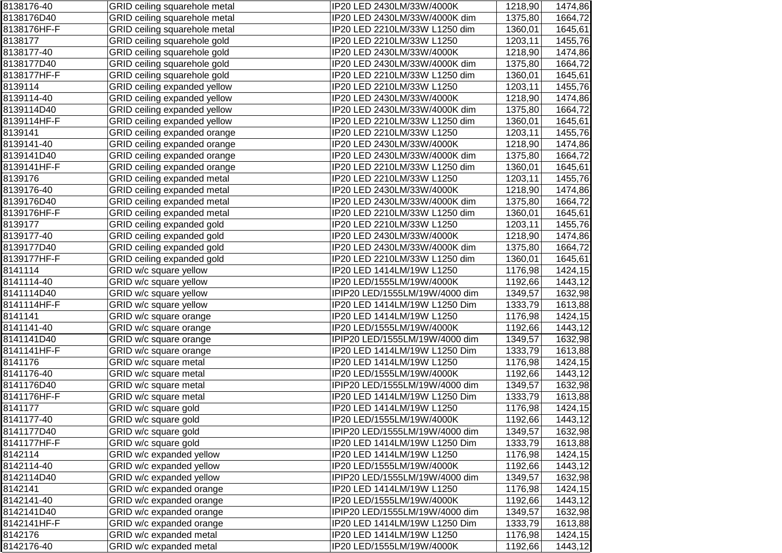| 8138176-40  | GRID ceiling squarehole metal | IP20 LED 2430LM/33W/4000K      | 1218,90 | 1474,86 |
|-------------|-------------------------------|--------------------------------|---------|---------|
| 8138176D40  | GRID ceiling squarehole metal | IP20 LED 2430LM/33W/4000K dim  | 1375,80 | 1664,72 |
| 8138176HF-F | GRID ceiling squarehole metal | IP20 LED 2210LM/33W L1250 dim  | 1360,01 | 1645,61 |
| 8138177     | GRID ceiling squarehole gold  | IP20 LED 2210LM/33W L1250      | 1203,11 | 1455,76 |
| 8138177-40  | GRID ceiling squarehole gold  | IP20 LED 2430LM/33W/4000K      | 1218,90 | 1474,86 |
| 8138177D40  | GRID ceiling squarehole gold  | IP20 LED 2430LM/33W/4000K dim  | 1375,80 | 1664,72 |
| 8138177HF-F | GRID ceiling squarehole gold  | IP20 LED 2210LM/33W L1250 dim  | 1360,01 | 1645,61 |
| 8139114     | GRID ceiling expanded yellow  | IP20 LED 2210LM/33W L1250      | 1203,11 | 1455,76 |
| 8139114-40  | GRID ceiling expanded yellow  | IP20 LED 2430LM/33W/4000K      | 1218,90 | 1474,86 |
| 8139114D40  | GRID ceiling expanded yellow  | IP20 LED 2430LM/33W/4000K dim  | 1375,80 | 1664,72 |
| 8139114HF-F | GRID ceiling expanded yellow  | IP20 LED 2210LM/33W L1250 dim  | 1360,01 | 1645,61 |
| 8139141     | GRID ceiling expanded orange  | IP20 LED 2210LM/33W L1250      | 1203,11 | 1455,76 |
| 8139141-40  | GRID ceiling expanded orange  | IP20 LED 2430LM/33W/4000K      | 1218,90 | 1474,86 |
| 8139141D40  | GRID ceiling expanded orange  | IP20 LED 2430LM/33W/4000K dim  | 1375,80 | 1664,72 |
| 8139141HF-F | GRID ceiling expanded orange  | IP20 LED 2210LM/33W L1250 dim  | 1360,01 | 1645,61 |
| 8139176     | GRID ceiling expanded metal   | IP20 LED 2210LM/33W L1250      | 1203,11 | 1455,76 |
| 8139176-40  | GRID ceiling expanded metal   | IP20 LED 2430LM/33W/4000K      | 1218,90 | 1474,86 |
| 8139176D40  | GRID ceiling expanded metal   | IP20 LED 2430LM/33W/4000K dim  | 1375,80 | 1664,72 |
| 8139176HF-F | GRID ceiling expanded metal   | IP20 LED 2210LM/33W L1250 dim  | 1360,01 | 1645,61 |
| 8139177     | GRID ceiling expanded gold    | IP20 LED 2210LM/33W L1250      | 1203,11 | 1455,76 |
| 8139177-40  | GRID ceiling expanded gold    | IP20 LED 2430LM/33W/4000K      | 1218,90 | 1474,86 |
| 8139177D40  | GRID ceiling expanded gold    | IP20 LED 2430LM/33W/4000K dim  | 1375,80 | 1664,72 |
| 8139177HF-F | GRID ceiling expanded gold    | IP20 LED 2210LM/33W L1250 dim  | 1360,01 | 1645,61 |
| 8141114     | GRID w/c square yellow        | IP20 LED 1414LM/19W L1250      | 1176,98 | 1424,15 |
| 8141114-40  | GRID w/c square yellow        | IP20 LED/1555LM/19W/4000K      | 1192,66 | 1443,12 |
| 8141114D40  | GRID w/c square yellow        | IPIP20 LED/1555LM/19W/4000 dim | 1349,57 | 1632,98 |
| 8141114HF-F | GRID w/c square yellow        | IP20 LED 1414LM/19W L1250 Dim  | 1333,79 | 1613,88 |
| 8141141     | GRID w/c square orange        | IP20 LED 1414LM/19W L1250      | 1176,98 | 1424,15 |
| 8141141-40  | GRID w/c square orange        | IP20 LED/1555LM/19W/4000K      | 1192,66 | 1443,12 |
| 8141141D40  | GRID w/c square orange        | IPIP20 LED/1555LM/19W/4000 dim | 1349,57 | 1632,98 |
| 8141141HF-F | GRID w/c square orange        | IP20 LED 1414LM/19W L1250 Dim  | 1333,79 | 1613,88 |
| 8141176     | GRID w/c square metal         | IP20 LED 1414LM/19W L1250      | 1176,98 | 1424,15 |
| 8141176-40  | GRID w/c square metal         | IP20 LED/1555LM/19W/4000K      | 1192,66 | 1443,12 |
| 8141176D40  | GRID w/c square metal         | IPIP20 LED/1555LM/19W/4000 dim | 1349,57 | 1632,98 |
| 8141176HF-F | GRID w/c square metal         | IP20 LED 1414LM/19W L1250 Dim  | 1333,79 | 1613,88 |
| 8141177     | GRID w/c square gold          | IP20 LED 1414LM/19W L1250      | 1176,98 | 1424,15 |
| 8141177-40  | GRID w/c square gold          | IP20 LED/1555LM/19W/4000K      | 1192,66 | 1443,12 |
| 8141177D40  | GRID w/c square gold          | IPIP20 LED/1555LM/19W/4000 dim | 1349,57 | 1632,98 |
| 8141177HF-F | GRID w/c square gold          | IP20 LED 1414LM/19W L1250 Dim  | 1333,79 | 1613,88 |
| 8142114     | GRID w/c expanded yellow      | IP20 LED 1414LM/19W L1250      | 1176,98 | 1424,15 |
| 8142114-40  | GRID w/c expanded yellow      | IP20 LED/1555LM/19W/4000K      | 1192,66 | 1443,12 |
| 8142114D40  | GRID w/c expanded yellow      | IPIP20 LED/1555LM/19W/4000 dim | 1349,57 | 1632,98 |
| 8142141     | GRID w/c expanded orange      | IP20 LED 1414LM/19W L1250      | 1176,98 | 1424,15 |
| 8142141-40  | GRID w/c expanded orange      | IP20 LED/1555LM/19W/4000K      | 1192,66 | 1443,12 |
| 8142141D40  | GRID w/c expanded orange      | IPIP20 LED/1555LM/19W/4000 dim | 1349,57 | 1632,98 |
| 8142141HF-F | GRID w/c expanded orange      | IP20 LED 1414LM/19W L1250 Dim  | 1333,79 | 1613,88 |
| 8142176     | GRID w/c expanded metal       | IP20 LED 1414LM/19W L1250      | 1176,98 | 1424,15 |
| 8142176-40  | GRID w/c expanded metal       | IP20 LED/1555LM/19W/4000K      | 1192,66 | 1443,12 |
|             |                               |                                |         |         |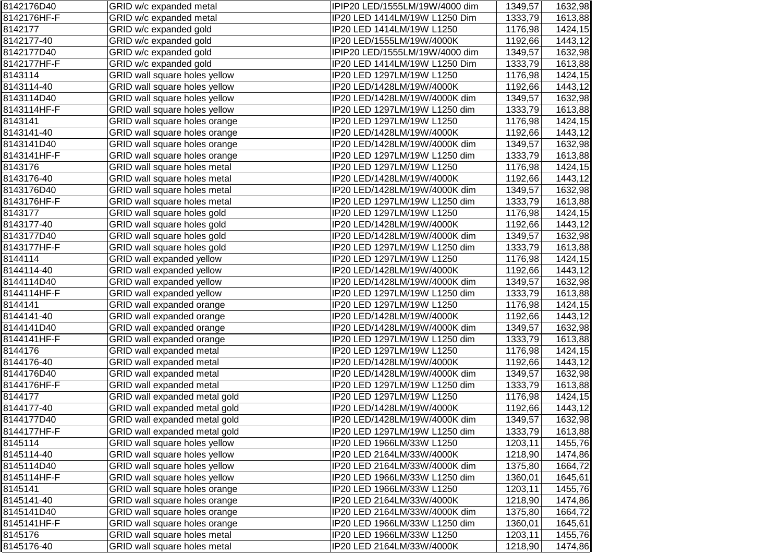| 8142176D40  | GRID w/c expanded metal       | IPIP20 LED/1555LM/19W/4000 dim | 1349,57 | 1632,98 |
|-------------|-------------------------------|--------------------------------|---------|---------|
| 8142176HF-F | GRID w/c expanded metal       | IP20 LED 1414LM/19W L1250 Dim  | 1333,79 | 1613,88 |
| 8142177     | GRID w/c expanded gold        | IP20 LED 1414LM/19W L1250      | 1176,98 | 1424,15 |
| 8142177-40  | GRID w/c expanded gold        | IP20 LED/1555LM/19W/4000K      | 1192,66 | 1443,12 |
| 8142177D40  | GRID w/c expanded gold        | IPIP20 LED/1555LM/19W/4000 dim | 1349,57 | 1632,98 |
| 8142177HF-F | GRID w/c expanded gold        | IP20 LED 1414LM/19W L1250 Dim  | 1333,79 | 1613,88 |
| 8143114     | GRID wall square holes yellow | IP20 LED 1297LM/19W L1250      | 1176,98 | 1424,15 |
| 8143114-40  | GRID wall square holes yellow | IP20 LED/1428LM/19W/4000K      | 1192,66 | 1443,12 |
| 8143114D40  | GRID wall square holes yellow | IP20 LED/1428LM/19W/4000K dim  | 1349,57 | 1632,98 |
| 8143114HF-F | GRID wall square holes yellow | IP20 LED 1297LM/19W L1250 dim  | 1333,79 | 1613,88 |
| 8143141     | GRID wall square holes orange | IP20 LED 1297LM/19W L1250      | 1176,98 | 1424,15 |
| 8143141-40  | GRID wall square holes orange | IP20 LED/1428LM/19W/4000K      | 1192,66 | 1443,12 |
| 8143141D40  | GRID wall square holes orange | IP20 LED/1428LM/19W/4000K dim  | 1349,57 | 1632,98 |
| 8143141HF-F | GRID wall square holes orange | IP20 LED 1297LM/19W L1250 dim  | 1333,79 | 1613,88 |
| 8143176     | GRID wall square holes metal  | IP20 LED 1297LM/19W L1250      | 1176,98 | 1424,15 |
| 8143176-40  | GRID wall square holes metal  | IP20 LED/1428LM/19W/4000K      | 1192,66 | 1443,12 |
| 8143176D40  | GRID wall square holes metal  | IP20 LED/1428LM/19W/4000K dim  | 1349,57 | 1632,98 |
| 8143176HF-F | GRID wall square holes metal  | IP20 LED 1297LM/19W L1250 dim  | 1333,79 | 1613,88 |
| 8143177     | GRID wall square holes gold   | IP20 LED 1297LM/19W L1250      | 1176,98 | 1424,15 |
| 8143177-40  | GRID wall square holes gold   | IP20 LED/1428LM/19W/4000K      | 1192,66 | 1443,12 |
| 8143177D40  | GRID wall square holes gold   | IP20 LED/1428LM/19W/4000K dim  | 1349,57 | 1632,98 |
| 8143177HF-F | GRID wall square holes gold   | IP20 LED 1297LM/19W L1250 dim  | 1333,79 | 1613,88 |
| 8144114     | GRID wall expanded yellow     | IP20 LED 1297LM/19W L1250      | 1176,98 | 1424,15 |
| 8144114-40  | GRID wall expanded yellow     | IP20 LED/1428LM/19W/4000K      | 1192,66 | 1443,12 |
| 8144114D40  | GRID wall expanded yellow     | IP20 LED/1428LM/19W/4000K dim  | 1349,57 | 1632,98 |
| 8144114HF-F | GRID wall expanded yellow     | IP20 LED 1297LM/19W L1250 dim  | 1333,79 | 1613,88 |
| 8144141     | GRID wall expanded orange     | IP20 LED 1297LM/19W L1250      | 1176,98 | 1424,15 |
| 8144141-40  | GRID wall expanded orange     | IP20 LED/1428LM/19W/4000K      | 1192,66 | 1443,12 |
| 8144141D40  | GRID wall expanded orange     | IP20 LED/1428LM/19W/4000K dim  | 1349,57 | 1632,98 |
| 8144141HF-F | GRID wall expanded orange     | IP20 LED 1297LM/19W L1250 dim  | 1333,79 | 1613,88 |
| 8144176     | GRID wall expanded metal      | IP20 LED 1297LM/19W L1250      | 1176,98 | 1424,15 |
| 8144176-40  | GRID wall expanded metal      | IP20 LED/1428LM/19W/4000K      | 1192,66 | 1443,12 |
| 8144176D40  | GRID wall expanded metal      | IP20 LED/1428LM/19W/4000K dim  | 1349,57 | 1632,98 |
| 8144176HF-F | GRID wall expanded metal      | IP20 LED 1297LM/19W L1250 dim  | 1333,79 | 1613,88 |
| 8144177     | GRID wall expanded metal gold | IP20 LED 1297LM/19W L1250      | 1176,98 | 1424,15 |
| 8144177-40  | GRID wall expanded metal gold | IP20 LED/1428LM/19W/4000K      | 1192,66 | 1443,12 |
| 8144177D40  | GRID wall expanded metal gold | IP20 LED/1428LM/19W/4000K dim  | 1349,57 | 1632,98 |
| 8144177HF-F | GRID wall expanded metal gold | IP20 LED 1297LM/19W L1250 dim  | 1333,79 | 1613,88 |
| 8145114     | GRID wall square holes yellow | IP20 LED 1966LM/33W L1250      | 1203,11 | 1455,76 |
| 8145114-40  | GRID wall square holes yellow | IP20 LED 2164LM/33W/4000K      | 1218,90 | 1474,86 |
| 8145114D40  | GRID wall square holes yellow | IP20 LED 2164LM/33W/4000K dim  | 1375,80 | 1664,72 |
| 8145114HF-F | GRID wall square holes yellow | IP20 LED 1966LM/33W L1250 dim  | 1360,01 | 1645,61 |
| 8145141     | GRID wall square holes orange | IP20 LED 1966LM/33W L1250      | 1203,11 | 1455,76 |
| 8145141-40  | GRID wall square holes orange | IP20 LED 2164LM/33W/4000K      | 1218,90 | 1474,86 |
| 8145141D40  | GRID wall square holes orange | IP20 LED 2164LM/33W/4000K dim  | 1375,80 | 1664,72 |
| 8145141HF-F | GRID wall square holes orange | IP20 LED 1966LM/33W L1250 dim  | 1360,01 | 1645,61 |
| 8145176     | GRID wall square holes metal  | IP20 LED 1966LM/33W L1250      | 1203,11 | 1455,76 |
| 8145176-40  | GRID wall square holes metal  | IP20 LED 2164LM/33W/4000K      | 1218,90 | 1474,86 |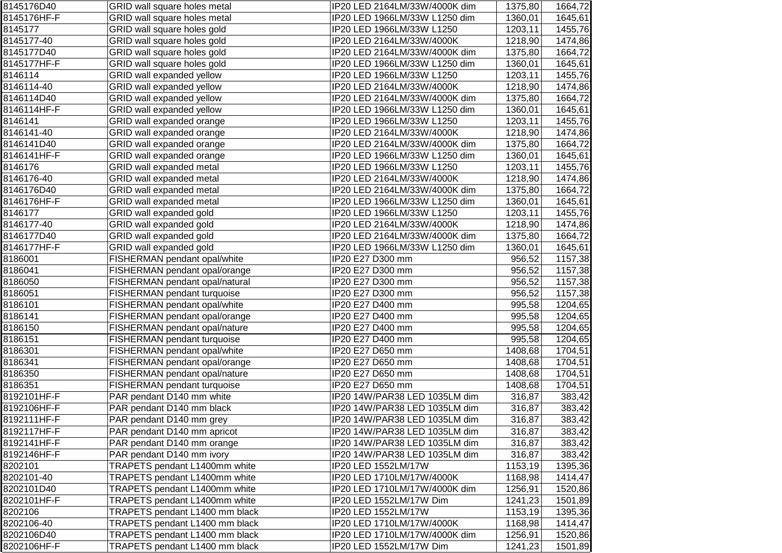| 8145176D40  | GRID wall square holes metal   | IP20 LED 2164LM/33W/4000K dim | 1375,80 | 1664,72 |
|-------------|--------------------------------|-------------------------------|---------|---------|
| 8145176HF-F | GRID wall square holes metal   | IP20 LED 1966LM/33W L1250 dim | 1360,01 | 1645,61 |
| 8145177     | GRID wall square holes gold    | IP20 LED 1966LM/33W L1250     | 1203,11 | 1455,76 |
| 8145177-40  | GRID wall square holes gold    | IP20 LED 2164LM/33W/4000K     | 1218,90 | 1474,86 |
| 8145177D40  | GRID wall square holes gold    | IP20 LED 2164LM/33W/4000K dim | 1375,80 | 1664,72 |
| 8145177HF-F | GRID wall square holes gold    | IP20 LED 1966LM/33W L1250 dim | 1360,01 | 1645,61 |
| 8146114     | GRID wall expanded yellow      | IP20 LED 1966LM/33W L1250     | 1203,11 | 1455,76 |
| 8146114-40  | GRID wall expanded yellow      | IP20 LED 2164LM/33W/4000K     | 1218,90 | 1474,86 |
| 8146114D40  | GRID wall expanded yellow      | IP20 LED 2164LM/33W/4000K dim | 1375,80 | 1664,72 |
| 8146114HF-F | GRID wall expanded yellow      | IP20 LED 1966LM/33W L1250 dim | 1360,01 | 1645,61 |
| 8146141     | GRID wall expanded orange      | IP20 LED 1966LM/33W L1250     | 1203,11 | 1455,76 |
| 8146141-40  | GRID wall expanded orange      | IP20 LED 2164LM/33W/4000K     | 1218,90 | 1474,86 |
| 8146141D40  | GRID wall expanded orange      | IP20 LED 2164LM/33W/4000K dim | 1375,80 | 1664,72 |
| 8146141HF-F | GRID wall expanded orange      | IP20 LED 1966LM/33W L1250 dim | 1360,01 | 1645,61 |
| 8146176     | GRID wall expanded metal       | IP20 LED 1966LM/33W L1250     | 1203,11 | 1455,76 |
| 8146176-40  | GRID wall expanded metal       | IP20 LED 2164LM/33W/4000K     | 1218,90 | 1474,86 |
| 8146176D40  | GRID wall expanded metal       | IP20 LED 2164LM/33W/4000K dim | 1375,80 | 1664,72 |
| 8146176HF-F | GRID wall expanded metal       | IP20 LED 1966LM/33W L1250 dim | 1360,01 | 1645,61 |
| 8146177     | GRID wall expanded gold        | IP20 LED 1966LM/33W L1250     | 1203,11 | 1455,76 |
| 8146177-40  | GRID wall expanded gold        | IP20 LED 2164LM/33W/4000K     | 1218,90 | 1474,86 |
| 8146177D40  | GRID wall expanded gold        | IP20 LED 2164LM/33W/4000K dim | 1375,80 | 1664,72 |
| 8146177HF-F | GRID wall expanded gold        | IP20 LED 1966LM/33W L1250 dim | 1360,01 | 1645,61 |
| 8186001     | FISHERMAN pendant opal/white   | IP20 E27 D300 mm              | 956,52  | 1157,38 |
| 8186041     | FISHERMAN pendant opal/orange  | IP20 E27 D300 mm              | 956,52  | 1157,38 |
| 8186050     | FISHERMAN pendant opal/natural | IP20 E27 D300 mm              | 956,52  | 1157,38 |
| 8186051     | FISHERMAN pendant turquoise    | IP20 E27 D300 mm              | 956,52  | 1157,38 |
| 8186101     | FISHERMAN pendant opal/white   | IP20 E27 D400 mm              | 995,58  | 1204,65 |
| 8186141     | FISHERMAN pendant opal/orange  | IP20 E27 D400 mm              | 995,58  | 1204,65 |
| 8186150     | FISHERMAN pendant opal/nature  | IP20 E27 D400 mm              | 995,58  | 1204,65 |
| 8186151     | FISHERMAN pendant turquoise    | IP20 E27 D400 mm              | 995,58  | 1204,65 |
| 8186301     | FISHERMAN pendant opal/white   | IP20 E27 D650 mm              | 1408,68 | 1704,51 |
| 8186341     | FISHERMAN pendant opal/orange  | IP20 E27 D650 mm              | 1408,68 | 1704,51 |
| 8186350     | FISHERMAN pendant opal/nature  | IP20 E27 D650 mm              | 1408,68 | 1704,51 |
| 8186351     | FISHERMAN pendant turquoise    | IP20 E27 D650 mm              | 1408,68 | 1704,51 |
| 8192101HF-F | PAR pendant D140 mm white      | IP20 14W/PAR38 LED 1035LM dim | 316,87  | 383,42  |
| 8192106HF-F | PAR pendant D140 mm black      | IP20 14W/PAR38 LED 1035LM dim | 316,87  | 383,42  |
| 8192111HF-F | PAR pendant D140 mm grey       | IP20 14W/PAR38 LED 1035LM dim | 316,87  | 383,42  |
| 8192117HF-F | PAR pendant D140 mm apricot    | IP20 14W/PAR38 LED 1035LM dim | 316,87  | 383,42  |
| 8192141HF-F | PAR pendant D140 mm orange     | IP20 14W/PAR38 LED 1035LM dim | 316,87  | 383,42  |
| 8192146HF-F | PAR pendant D140 mm ivory      | IP20 14W/PAR38 LED 1035LM dim | 316,87  | 383,42  |
| 8202101     | TRAPETS pendant L1400mm white  | IP20 LED 1552LM/17W           | 1153,19 | 1395,36 |
| 8202101-40  | TRAPETS pendant L1400mm white  | IP20 LED 1710LM/17W/4000K     | 1168,98 | 1414,47 |
| 8202101D40  | TRAPETS pendant L1400mm white  | IP20 LED 1710LM/17W/4000K dim | 1256,91 | 1520,86 |
| 8202101HF-F | TRAPETS pendant L1400mm white  | IP20 LED 1552LM/17W Dim       | 1241,23 | 1501,89 |
| 8202106     | TRAPETS pendant L1400 mm black | IP20 LED 1552LM/17W           | 1153,19 | 1395,36 |
| 8202106-40  | TRAPETS pendant L1400 mm black | IP20 LED 1710LM/17W/4000K     | 1168,98 | 1414,47 |
| 8202106D40  | TRAPETS pendant L1400 mm black | IP20 LED 1710LM/17W/4000K dim | 1256,91 | 1520,86 |
| 8202106HF-F | TRAPETS pendant L1400 mm black | IP20 LED 1552LM/17W Dim       | 1241,23 | 1501,89 |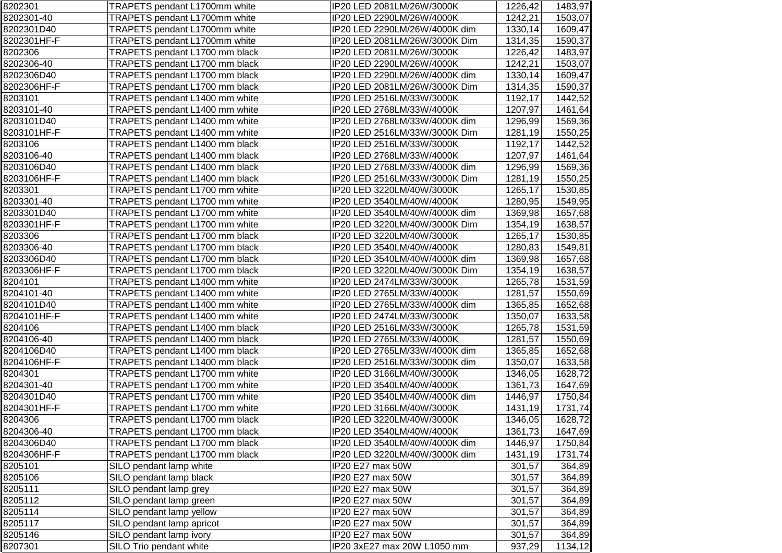| 8202301     | TRAPETS pendant L1700mm white  | IP20 LED 2081LM/26W/3000K     | 1226,42 | 1483,97 |
|-------------|--------------------------------|-------------------------------|---------|---------|
| 8202301-40  | TRAPETS pendant L1700mm white  | IP20 LED 2290LM/26W/4000K     | 1242,21 | 1503,07 |
| 8202301D40  | TRAPETS pendant L1700mm white  | IP20 LED 2290LM/26W/4000K dim | 1330,14 | 1609,47 |
| 8202301HF-F | TRAPETS pendant L1700mm white  | IP20 LED 2081LM/26W/3000K Dim | 1314,35 | 1590,37 |
| 8202306     | TRAPETS pendant L1700 mm black | IP20 LED 2081LM/26W/3000K     | 1226,42 | 1483,97 |
| 8202306-40  | TRAPETS pendant L1700 mm black | IP20 LED 2290LM/26W/4000K     | 1242,21 | 1503,07 |
| 8202306D40  | TRAPETS pendant L1700 mm black | IP20 LED 2290LM/26W/4000K dim | 1330,14 | 1609,47 |
| 8202306HF-F | TRAPETS pendant L1700 mm black | IP20 LED 2081LM/26W/3000K Dim | 1314,35 | 1590,37 |
| 8203101     | TRAPETS pendant L1400 mm white | IP20 LED 2516LM/33W/3000K     | 1192,17 | 1442,52 |
| 8203101-40  | TRAPETS pendant L1400 mm white | IP20 LED 2768LM/33W/4000K     | 1207,97 | 1461,64 |
| 8203101D40  | TRAPETS pendant L1400 mm white | IP20 LED 2768LM/33W/4000K dim | 1296,99 | 1569,36 |
| 8203101HF-F | TRAPETS pendant L1400 mm white | IP20 LED 2516LM/33W/3000K Dim | 1281,19 | 1550,25 |
| 8203106     | TRAPETS pendant L1400 mm black | IP20 LED 2516LM/33W/3000K     | 1192,17 | 1442,52 |
| 8203106-40  | TRAPETS pendant L1400 mm black | IP20 LED 2768LM/33W/4000K     | 1207,97 | 1461,64 |
| 8203106D40  | TRAPETS pendant L1400 mm black | IP20 LED 2768LM/33W/4000K dim | 1296,99 | 1569,36 |
| 8203106HF-F | TRAPETS pendant L1400 mm black | IP20 LED 2516LM/33W/3000K Dim | 1281,19 | 1550,25 |
| 8203301     | TRAPETS pendant L1700 mm white | IP20 LED 3220LM/40W/3000K     | 1265,17 | 1530,85 |
| 8203301-40  | TRAPETS pendant L1700 mm white | IP20 LED 3540LM/40W/4000K     | 1280,95 | 1549,95 |
| 8203301D40  | TRAPETS pendant L1700 mm white | IP20 LED 3540LM/40W/4000K dim | 1369,98 | 1657,68 |
| 8203301HF-F | TRAPETS pendant L1700 mm white | IP20 LED 3220LM/40W/3000K Dim | 1354,19 | 1638,57 |
| 8203306     | TRAPETS pendant L1700 mm black | IP20 LED 3220LM/40W/3000K     | 1265,17 | 1530,85 |
| 8203306-40  | TRAPETS pendant L1700 mm black | IP20 LED 3540LM/40W/4000K     | 1280,83 | 1549,81 |
| 8203306D40  | TRAPETS pendant L1700 mm black | IP20 LED 3540LM/40W/4000K dim | 1369,98 | 1657,68 |
| 8203306HF-F | TRAPETS pendant L1700 mm black | IP20 LED 3220LM/40W/3000K Dim | 1354,19 | 1638,57 |
| 8204101     | TRAPETS pendant L1400 mm white | IP20 LED 2474LM/33W/3000K     | 1265,78 | 1531,59 |
| 8204101-40  | TRAPETS pendant L1400 mm white | IP20 LED 2765LM/33W/4000K     | 1281,57 | 1550,69 |
| 8204101D40  | TRAPETS pendant L1400 mm white | IP20 LED 2765LM/33W/4000K dim | 1365,85 | 1652,68 |
| 8204101HF-F | TRAPETS pendant L1400 mm white | IP20 LED 2474LM/33W/3000K     | 1350,07 | 1633,58 |
| 8204106     | TRAPETS pendant L1400 mm black | IP20 LED 2516LM/33W/3000K     | 1265,78 | 1531,59 |
| 8204106-40  | TRAPETS pendant L1400 mm black | IP20 LED 2765LM/33W/4000K     | 1281,57 | 1550,69 |
| 8204106D40  | TRAPETS pendant L1400 mm black | IP20 LED 2765LM/33W/4000K dim | 1365,85 | 1652,68 |
| 8204106HF-F | TRAPETS pendant L1400 mm black | IP20 LED 2516LM/33W/3000K dim | 1350,07 | 1633,58 |
| 8204301     | TRAPETS pendant L1700 mm white | IP20 LED 3166LM/40W/3000K     | 1346,05 | 1628,72 |
| 8204301-40  | TRAPETS pendant L1700 mm white | IP20 LED 3540LM/40W/4000K     | 1361,73 | 1647,69 |
| 8204301D40  | TRAPETS pendant L1700 mm white | IP20 LED 3540LM/40W/4000K dim | 1446,97 | 1750,84 |
| 8204301HF-F | TRAPETS pendant L1700 mm white | IP20 LED 3166LM/40W/3000K     | 1431,19 | 1731,74 |
| 8204306     | TRAPETS pendant L1700 mm black | IP20 LED 3220LM/40W/3000K     | 1346,05 | 1628,72 |
| 8204306-40  | TRAPETS pendant L1700 mm black | IP20 LED 3540LM/40W/4000K     | 1361,73 | 1647,69 |
| 8204306D40  | TRAPETS pendant L1700 mm black | IP20 LED 3540LM/40W/4000K dim | 1446,97 | 1750,84 |
| 8204306HF-F | TRAPETS pendant L1700 mm black | IP20 LED 3220LM/40W/3000K dim | 1431,19 | 1731,74 |
| 8205101     | SILO pendant lamp white        | IP20 E27 max 50W              | 301,57  | 364,89  |
| 8205106     | SILO pendant lamp black        | IP20 E27 max 50W              | 301,57  | 364,89  |
| 8205111     | SILO pendant lamp grey         | IP20 E27 max 50W              | 301,57  | 364,89  |
| 8205112     | SILO pendant lamp green        | IP20 E27 max 50W              | 301,57  | 364,89  |
| 8205114     | SILO pendant lamp yellow       | IP20 E27 max 50W              | 301,57  | 364,89  |
| 8205117     | SILO pendant lamp apricot      | IP20 E27 max 50W              | 301,57  | 364,89  |
| 8205146     | SILO pendant lamp ivory        | IP20 E27 max 50W              | 301,57  | 364,89  |
| 8207301     | SILO Trio pendant white        | IP20 3xE27 max 20W L1050 mm   | 937,29  | 1134,12 |
|             |                                |                               |         |         |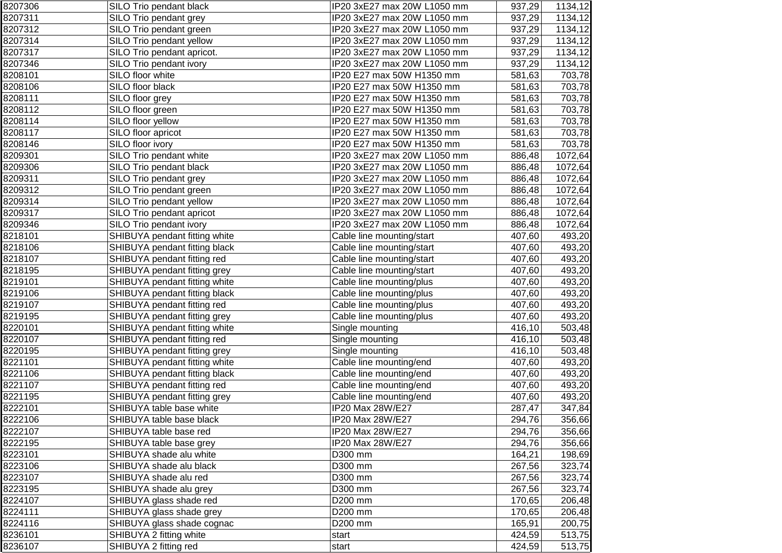| 8207306 | SILO Trio pendant black       | IP20 3xE27 max 20W L1050 mm | 937,29 | 1134,12 |
|---------|-------------------------------|-----------------------------|--------|---------|
| 8207311 | SILO Trio pendant grey        | IP20 3xE27 max 20W L1050 mm | 937,29 | 1134,12 |
| 8207312 | SILO Trio pendant green       | IP20 3xE27 max 20W L1050 mm | 937,29 | 1134,12 |
| 8207314 | SILO Trio pendant yellow      | IP20 3xE27 max 20W L1050 mm | 937,29 | 1134,12 |
| 8207317 | SILO Trio pendant apricot.    | IP20 3xE27 max 20W L1050 mm | 937,29 | 1134,12 |
| 8207346 | SILO Trio pendant ivory       | IP20 3xE27 max 20W L1050 mm | 937,29 | 1134,12 |
| 8208101 | SILO floor white              | IP20 E27 max 50W H1350 mm   | 581,63 | 703,78  |
| 8208106 | SILO floor black              | IP20 E27 max 50W H1350 mm   | 581,63 | 703,78  |
| 8208111 | SILO floor grey               | IP20 E27 max 50W H1350 mm   | 581,63 | 703,78  |
| 8208112 | SILO floor green              | IP20 E27 max 50W H1350 mm   | 581,63 | 703,78  |
| 8208114 | SILO floor yellow             | IP20 E27 max 50W H1350 mm   | 581,63 | 703,78  |
| 8208117 | SILO floor apricot            | IP20 E27 max 50W H1350 mm   | 581,63 | 703,78  |
| 8208146 | SILO floor ivory              | IP20 E27 max 50W H1350 mm   | 581,63 | 703,78  |
| 8209301 | SILO Trio pendant white       | IP20 3xE27 max 20W L1050 mm | 886,48 | 1072,64 |
| 8209306 | SILO Trio pendant black       | IP20 3xE27 max 20W L1050 mm | 886,48 | 1072,64 |
| 8209311 | SILO Trio pendant grey        | IP20 3xE27 max 20W L1050 mm | 886,48 | 1072,64 |
| 8209312 | SILO Trio pendant green       | IP20 3xE27 max 20W L1050 mm | 886,48 | 1072,64 |
| 8209314 | SILO Trio pendant yellow      | IP20 3xE27 max 20W L1050 mm | 886,48 | 1072,64 |
| 8209317 | SILO Trio pendant apricot     | IP20 3xE27 max 20W L1050 mm | 886,48 | 1072,64 |
| 8209346 | SILO Trio pendant ivory       | IP20 3xE27 max 20W L1050 mm | 886,48 | 1072,64 |
| 8218101 | SHIBUYA pendant fitting white | Cable line mounting/start   | 407,60 | 493,20  |
| 8218106 | SHIBUYA pendant fitting black | Cable line mounting/start   | 407,60 | 493,20  |
| 8218107 | SHIBUYA pendant fitting red   | Cable line mounting/start   | 407,60 | 493,20  |
| 8218195 | SHIBUYA pendant fitting grey  | Cable line mounting/start   | 407,60 | 493,20  |
| 8219101 | SHIBUYA pendant fitting white | Cable line mounting/plus    | 407,60 | 493,20  |
| 8219106 | SHIBUYA pendant fitting black | Cable line mounting/plus    | 407,60 | 493,20  |
| 8219107 | SHIBUYA pendant fitting red   | Cable line mounting/plus    | 407,60 | 493,20  |
| 8219195 | SHIBUYA pendant fitting grey  | Cable line mounting/plus    | 407,60 | 493,20  |
| 8220101 | SHIBUYA pendant fitting white | Single mounting             | 416,10 | 503,48  |
| 8220107 | SHIBUYA pendant fitting red   | Single mounting             | 416,10 | 503,48  |
| 8220195 | SHIBUYA pendant fitting grey  | Single mounting             | 416,10 | 503,48  |
| 8221101 | SHIBUYA pendant fitting white | Cable line mounting/end     | 407,60 | 493,20  |
| 8221106 | SHIBUYA pendant fitting black | Cable line mounting/end     | 407,60 | 493,20  |
| 8221107 | SHIBUYA pendant fitting red   | Cable line mounting/end     | 407,60 | 493,20  |
| 8221195 | SHIBUYA pendant fitting grey  | Cable line mounting/end     | 407,60 | 493,20  |
| 8222101 | SHIBUYA table base white      | IP20 Max 28W/E27            | 287,47 | 347,84  |
| 8222106 | SHIBUYA table base black      | IP20 Max 28W/E27            | 294,76 | 356,66  |
| 8222107 | SHIBUYA table base red        | IP20 Max 28W/E27            | 294,76 | 356,66  |
| 8222195 | SHIBUYA table base grey       | IP20 Max 28W/E27            | 294,76 | 356,66  |
| 8223101 | SHIBUYA shade alu white       | D300 mm                     | 164,21 | 198,69  |
| 8223106 | SHIBUYA shade alu black       | D300 mm                     | 267,56 | 323,74  |
| 8223107 | SHIBUYA shade alu red         | D300 mm                     | 267,56 | 323,74  |
| 8223195 | SHIBUYA shade alu grey        | D300 mm                     | 267,56 | 323,74  |
| 8224107 | SHIBUYA glass shade red       | D200 mm                     | 170,65 | 206,48  |
| 8224111 | SHIBUYA glass shade grey      | D200 mm                     | 170,65 | 206,48  |
| 8224116 | SHIBUYA glass shade cognac    | D200 mm                     | 165,91 | 200,75  |
| 8236101 | SHIBUYA 2 fitting white       | start                       | 424,59 | 513,75  |
| 8236107 | SHIBUYA 2 fitting red         | start                       | 424,59 | 513,75  |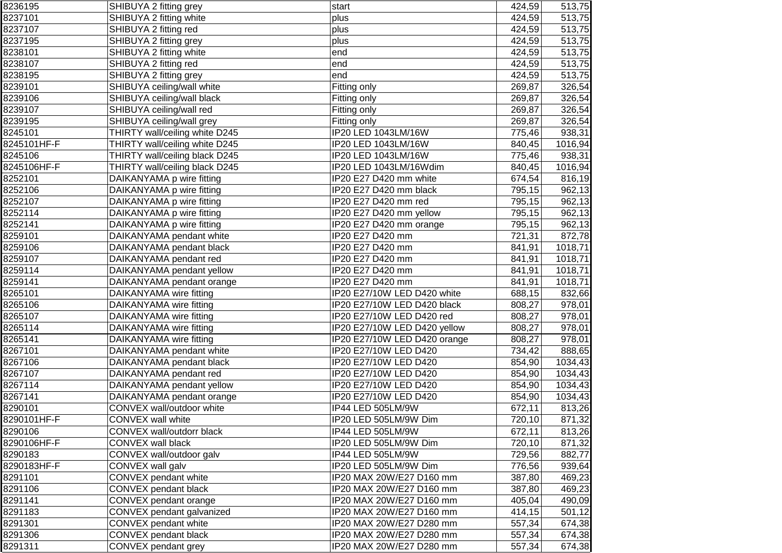| 8236195     | SHIBUYA 2 fitting grey                             | start                        | 424,59 | 513,75           |
|-------------|----------------------------------------------------|------------------------------|--------|------------------|
| 8237101     | SHIBUYA 2 fitting white                            | plus                         | 424,59 | 513,75           |
| 8237107     | SHIBUYA 2 fitting red                              | plus                         | 424,59 | 513,75           |
| 8237195     | SHIBUYA 2 fitting grey                             | plus                         | 424,59 | 513,75           |
| 8238101     | SHIBUYA 2 fitting white                            | end                          | 424,59 | 513,75           |
| 8238107     | SHIBUYA 2 fitting red                              | end                          | 424,59 | 513,75           |
| 8238195     | SHIBUYA 2 fitting grey                             | end                          | 424,59 | 513,75           |
| 8239101     | SHIBUYA ceiling/wall white                         | Fitting only                 | 269,87 | 326,54           |
| 8239106     | SHIBUYA ceiling/wall black                         | Fitting only                 | 269,87 | 326,54           |
| 8239107     | SHIBUYA ceiling/wall red                           | Fitting only                 | 269,87 | 326,54           |
| 8239195     | SHIBUYA ceiling/wall grey                          | Fitting only                 | 269,87 | 326,54           |
| 8245101     | THIRTY wall/ceiling white D245                     | IP20 LED 1043LM/16W          | 775,46 | 938,31           |
| 8245101HF-F | THIRTY wall/ceiling white D245                     | IP20 LED 1043LM/16W          | 840,45 | 1016,94          |
| 8245106     | THIRTY wall/ceiling black D245                     | IP20 LED 1043LM/16W          | 775,46 | 938,31           |
| 8245106HF-F | THIRTY wall/ceiling black D245                     | IP20 LED 1043LM/16Wdim       | 840,45 | 1016,94          |
| 8252101     | DAIKANYAMA p wire fitting                          | IP20 E27 D420 mm white       | 674,54 | 816,19           |
| 8252106     | DAIKANYAMA p wire fitting                          | IP20 E27 D420 mm black       | 795,15 | 962,13           |
| 8252107     | DAIKANYAMA p wire fitting                          | IP20 E27 D420 mm red         | 795,15 | 962,13           |
| 8252114     | DAIKANYAMA p wire fitting                          | IP20 E27 D420 mm yellow      | 795,15 | 962,13           |
| 8252141     | DAIKANYAMA p wire fitting                          | IP20 E27 D420 mm orange      | 795,15 | 962,13           |
| 8259101     | DAIKANYAMA pendant white                           | IP20 E27 D420 mm             | 721,31 | 872,78           |
| 8259106     | DAIKANYAMA pendant black                           | IP20 E27 D420 mm             | 841,91 | 1018,71          |
| 8259107     | DAIKANYAMA pendant red                             | IP20 E27 D420 mm             | 841,91 | 1018,71          |
| 8259114     | DAIKANYAMA pendant yellow                          | IP20 E27 D420 mm             | 841,91 | 1018,71          |
| 8259141     | DAIKANYAMA pendant orange                          | IP20 E27 D420 mm             | 841,91 | 1018,71          |
| 8265101     | DAIKANYAMA wire fitting                            | IP20 E27/10W LED D420 white  | 688,15 | 832,66           |
| 8265106     | DAIKANYAMA wire fitting                            | IP20 E27/10W LED D420 black  | 808,27 | 978,01           |
| 8265107     | DAIKANYAMA wire fitting                            | IP20 E27/10W LED D420 red    | 808,27 | 978,01           |
| 8265114     |                                                    | IP20 E27/10W LED D420 yellow | 808,27 |                  |
| 8265141     | DAIKANYAMA wire fitting<br>DAIKANYAMA wire fitting | IP20 E27/10W LED D420 orange | 808,27 | 978,01<br>978,01 |
| 8267101     |                                                    | IP20 E27/10W LED D420        |        |                  |
|             | DAIKANYAMA pendant white                           |                              | 734,42 | 888,65           |
| 8267106     | DAIKANYAMA pendant black                           | IP20 E27/10W LED D420        | 854,90 | 1034,43          |
| 8267107     | DAIKANYAMA pendant red                             | IP20 E27/10W LED D420        | 854,90 | 1034,43          |
| 8267114     | DAIKANYAMA pendant yellow                          | IP20 E27/10W LED D420        | 854,90 | 1034,43          |
| 8267141     | DAIKANYAMA pendant orange                          | IP20 E27/10W LED D420        | 854,90 | 1034,43          |
| 8290101     | CONVEX wall/outdoor white                          | IP44 LED 505LM/9W            | 672,11 | 813,26           |
| 8290101HF-F | CONVEX wall white                                  | IP20 LED 505LM/9W Dim        | 720,10 | 871,32           |
| 8290106     | CONVEX wall/outdorr black                          | IP44 LED 505LM/9W            | 672,11 | 813,26           |
| 8290106HF-F | CONVEX wall black                                  | IP20 LED 505LM/9W Dim        | 720,10 | 871,32           |
| 8290183     | CONVEX wall/outdoor galv                           | IP44 LED 505LM/9W            | 729,56 | 882,77           |
| 8290183HF-F | CONVEX wall galv                                   | IP20 LED 505LM/9W Dim        | 776,56 | 939,64           |
| 8291101     | CONVEX pendant white                               | IP20 MAX 20W/E27 D160 mm     | 387,80 | 469,23           |
| 8291106     | CONVEX pendant black                               | IP20 MAX 20W/E27 D160 mm     | 387,80 | 469,23           |
| 8291141     | CONVEX pendant orange                              | IP20 MAX 20W/E27 D160 mm     | 405,04 | 490,09           |
| 8291183     | CONVEX pendant galvanized                          | IP20 MAX 20W/E27 D160 mm     | 414,15 | 501,12           |
| 8291301     | CONVEX pendant white                               | IP20 MAX 20W/E27 D280 mm     | 557,34 | 674,38           |
| 8291306     | CONVEX pendant black                               | IP20 MAX 20W/E27 D280 mm     | 557,34 | 674,38           |
| 8291311     | CONVEX pendant grey                                | IP20 MAX 20W/E27 D280 mm     | 557,34 | 674,38           |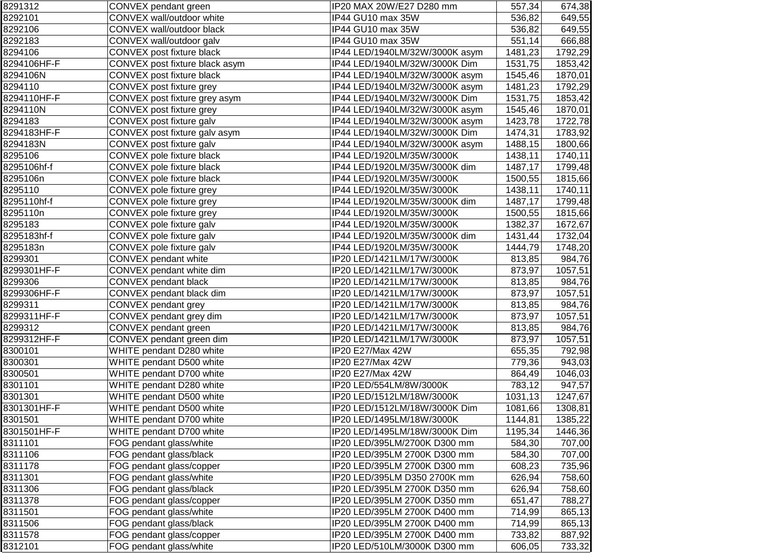| 8291312     | CONVEX pendant green           | IP20 MAX 20W/E27 D280 mm       | 557,34  | 674,38  |
|-------------|--------------------------------|--------------------------------|---------|---------|
| 8292101     | CONVEX wall/outdoor white      | IP44 GU10 max 35W              | 536,82  | 649,55  |
| 8292106     | CONVEX wall/outdoor black      | IP44 GU10 max 35W              | 536,82  | 649,55  |
| 8292183     | CONVEX wall/outdoor galv       | IP44 GU10 max 35W              | 551,14  | 666,88  |
| 8294106     | CONVEX post fixture black      | IP44 LED/1940LM/32W/3000K asym | 1481,23 | 1792,29 |
| 8294106HF-F | CONVEX post fixture black asym | IP44 LED/1940LM/32W/3000K Dim  | 1531,75 | 1853,42 |
| 8294106N    | CONVEX post fixture black      | IP44 LED/1940LM/32W/3000K asym | 1545,46 | 1870,01 |
| 8294110     | CONVEX post fixture grey       | IP44 LED/1940LM/32W/3000K asym | 1481,23 | 1792,29 |
| 8294110HF-F | CONVEX post fixture grey asym  | IP44 LED/1940LM/32W/3000K Dim  | 1531,75 | 1853,42 |
| 8294110N    | CONVEX post fixture grey       | IP44 LED/1940LM/32W/3000K asym | 1545,46 | 1870,01 |
| 8294183     | CONVEX post fixture galv       | IP44 LED/1940LM/32W/3000K asym | 1423,78 | 1722,78 |
| 8294183HF-F | CONVEX post fixture galv asym  | IP44 LED/1940LM/32W/3000K Dim  | 1474,31 | 1783,92 |
| 8294183N    | CONVEX post fixture galv       | IP44 LED/1940LM/32W/3000K asym | 1488,15 | 1800,66 |
| 8295106     | CONVEX pole fixture black      | IP44 LED/1920LM/35W/3000K      | 1438,11 | 1740,11 |
| 8295106hf-f | CONVEX pole fixture black      | IP44 LED/1920LM/35W/3000K dim  | 1487,17 | 1799,48 |
| 8295106n    | CONVEX pole fixture black      | IP44 LED/1920LM/35W/3000K      | 1500,55 | 1815,66 |
| 8295110     | CONVEX pole fixture grey       | IP44 LED/1920LM/35W/3000K      | 1438,11 | 1740,11 |
| 8295110hf-f | CONVEX pole fixture grey       | IP44 LED/1920LM/35W/3000K dim  | 1487,17 | 1799,48 |
| 8295110n    | CONVEX pole fixture grey       | IP44 LED/1920LM/35W/3000K      | 1500,55 | 1815,66 |
| 8295183     | CONVEX pole fixture galv       | IP44 LED/1920LM/35W/3000K      | 1382,37 | 1672,67 |
| 8295183hf-f | CONVEX pole fixture galv       | IP44 LED/1920LM/35W/3000K dim  | 1431,44 | 1732,04 |
| 8295183n    | CONVEX pole fixture galv       | IP44 LED/1920LM/35W/3000K      | 1444,79 | 1748,20 |
| 8299301     | CONVEX pendant white           | IP20 LED/1421LM/17W/3000K      | 813,85  | 984,76  |
| 8299301HF-F | CONVEX pendant white dim       | IP20 LED/1421LM/17W/3000K      | 873,97  | 1057,51 |
| 8299306     | CONVEX pendant black           | IP20 LED/1421LM/17W/3000K      | 813,85  | 984,76  |
| 8299306HF-F | CONVEX pendant black dim       | IP20 LED/1421LM/17W/3000K      | 873,97  | 1057,51 |
| 8299311     | CONVEX pendant grey            | IP20 LED/1421LM/17W/3000K      | 813,85  | 984,76  |
| 8299311HF-F | CONVEX pendant grey dim        | IP20 LED/1421LM/17W/3000K      | 873,97  | 1057,51 |
| 8299312     | CONVEX pendant green           | IP20 LED/1421LM/17W/3000K      | 813,85  | 984,76  |
| 8299312HF-F | CONVEX pendant green dim       | IP20 LED/1421LM/17W/3000K      | 873,97  | 1057,51 |
| 8300101     | WHITE pendant D280 white       | IP20 E27/Max 42W               | 655,35  | 792,98  |
| 8300301     | WHITE pendant D500 white       | IP20 E27/Max 42W               | 779,36  | 943,03  |
| 8300501     | WHITE pendant D700 white       | IP20 E27/Max 42W               | 864,49  | 1046,03 |
| 8301101     | WHITE pendant D280 white       | IP20 LED/554LM/8W/3000K        | 783,12  | 947,57  |
| 8301301     | WHITE pendant D500 white       | IP20 LED/1512LM/18W/3000K      | 1031,13 | 1247,67 |
| 8301301HF-F | WHITE pendant D500 white       | IP20 LED/1512LM/18W/3000K Dim  | 1081,66 | 1308,81 |
| 8301501     | WHITE pendant D700 white       | IP20 LED/1495LM/18W/3000K      | 1144,81 | 1385,22 |
| 8301501HF-F | WHITE pendant D700 white       | IP20 LED/1495LM/18W/3000K Dim  | 1195,34 | 1446,36 |
| 8311101     | FOG pendant glass/white        | IP20 LED/395LM/2700K D300 mm   | 584,30  | 707,00  |
| 8311106     | FOG pendant glass/black        | IP20 LED/395LM 2700K D300 mm   | 584,30  | 707,00  |
| 8311178     | FOG pendant glass/copper       | IP20 LED/395LM 2700K D300 mm   | 608,23  | 735,96  |
| 8311301     | FOG pendant glass/white        | IP20 LED/395LM D350 2700K mm   | 626,94  | 758,60  |
| 8311306     | FOG pendant glass/black        | IP20 LED/395LM 2700K D350 mm   | 626,94  | 758,60  |
| 8311378     | FOG pendant glass/copper       | IP20 LED/395LM 2700K D350 mm   | 651,47  | 788,27  |
| 8311501     | FOG pendant glass/white        | IP20 LED/395LM 2700K D400 mm   | 714,99  | 865,13  |
| 8311506     | FOG pendant glass/black        | IP20 LED/395LM 2700K D400 mm   | 714,99  | 865,13  |
| 8311578     | FOG pendant glass/copper       | IP20 LED/395LM 2700K D400 mm   | 733,82  | 887,92  |
| 8312101     | FOG pendant glass/white        | IP20 LED/510LM/3000K D300 mm   | 606,05  | 733,32  |
|             |                                |                                |         |         |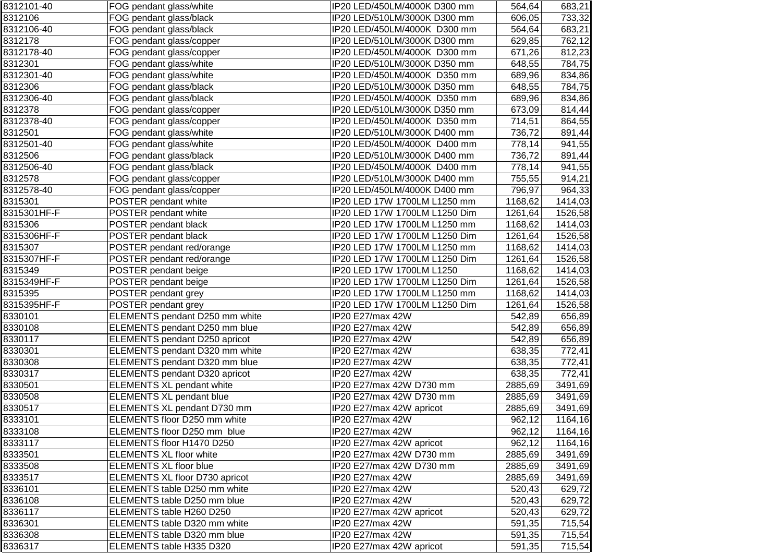| 8312101-40  | FOG pendant glass/white          | IP20 LED/450LM/4000K D300 mm  | 564,64  | 683,21  |
|-------------|----------------------------------|-------------------------------|---------|---------|
| 8312106     | FOG pendant glass/black          | IP20 LED/510LM/3000K D300 mm  | 606,05  | 733,32  |
| 8312106-40  | FOG pendant glass/black          | IP20 LED/450LM/4000K D300 mm  | 564,64  | 683,21  |
| 8312178     | FOG pendant glass/copper         | IP20 LED/510LM/3000K D300 mm  | 629,85  | 762,12  |
| 8312178-40  | FOG pendant glass/copper         | IP20 LED/450LM/4000K D300 mm  | 671,26  | 812,23  |
| 8312301     | FOG pendant glass/white          | IP20 LED/510LM/3000K D350 mm  | 648,55  | 784,75  |
| 8312301-40  | FOG pendant glass/white          | IP20 LED/450LM/4000K D350 mm  | 689,96  | 834,86  |
| 8312306     | FOG pendant glass/black          | IP20 LED/510LM/3000K D350 mm  | 648,55  | 784,75  |
| 8312306-40  | FOG pendant glass/black          | IP20 LED/450LM/4000K D350 mm  | 689,96  | 834,86  |
| 8312378     | FOG pendant glass/copper         | IP20 LED/510LM/3000K D350 mm  | 673,09  | 814,44  |
| 8312378-40  | FOG pendant glass/copper         | IP20 LED/450LM/4000K D350 mm  | 714,51  | 864,55  |
| 8312501     | FOG pendant glass/white          | IP20 LED/510LM/3000K D400 mm  | 736,72  | 891,44  |
| 8312501-40  | FOG pendant glass/white          | IP20 LED/450LM/4000K D400 mm  | 778,14  | 941,55  |
| 8312506     | FOG pendant glass/black          | IP20 LED/510LM/3000K D400 mm  | 736,72  | 891,44  |
| 8312506-40  | FOG pendant glass/black          | IP20 LED/450LM/4000K D400 mm  | 778,14  | 941,55  |
| 8312578     | FOG pendant glass/copper         | IP20 LED/510LM/3000K D400 mm  | 755,55  | 914,21  |
| 8312578-40  | FOG pendant glass/copper         | IP20 LED/450LM/4000K D400 mm  | 796,97  | 964,33  |
| 8315301     | POSTER pendant white             | IP20 LED 17W 1700LM L1250 mm  | 1168,62 | 1414,03 |
| 8315301HF-F | POSTER pendant white             | IP20 LED 17W 1700LM L1250 Dim | 1261,64 | 1526,58 |
| 8315306     | POSTER pendant black             | IP20 LED 17W 1700LM L1250 mm  | 1168,62 | 1414,03 |
| 8315306HF-F | POSTER pendant black             | IP20 LED 17W 1700LM L1250 Dim | 1261,64 | 1526,58 |
| 8315307     | POSTER pendant red/orange        | IP20 LED 17W 1700LM L1250 mm  | 1168,62 | 1414,03 |
| 8315307HF-F | POSTER pendant red/orange        | IP20 LED 17W 1700LM L1250 Dim | 1261,64 | 1526,58 |
| 8315349     | POSTER pendant beige             | IP20 LED 17W 1700LM L1250     | 1168,62 | 1414,03 |
| 8315349HF-F | POSTER pendant beige             | IP20 LED 17W 1700LM L1250 Dim | 1261,64 | 1526,58 |
| 8315395     | POSTER pendant grey              | IP20 LED 17W 1700LM L1250 mm  | 1168,62 | 1414,03 |
| 8315395HF-F | POSTER pendant grey              | IP20 LED 17W 1700LM L1250 Dim | 1261,64 | 1526,58 |
| 8330101     | ELEMENTS pendant D250 mm white   | IP20 E27/max 42W              | 542,89  | 656,89  |
| 8330108     | ELEMENTS pendant D250 mm blue    | IP20 E27/max 42W              | 542,89  | 656,89  |
| 8330117     | ELEMENTS pendant D250 apricot    | IP20 E27/max 42W              | 542,89  | 656,89  |
| 8330301     | ELEMENTS pendant D320 mm white   | IP20 E27/max 42W              | 638,35  | 772,41  |
| 8330308     | ELEMENTS pendant D320 mm blue    | IP20 E27/max 42W              | 638,35  | 772,41  |
| 8330317     | ELEMENTS pendant D320 apricot    | IP20 E27/max 42W              | 638,35  | 772,41  |
| 8330501     | <b>ELEMENTS XL pendant white</b> | IP20 E27/max 42W D730 mm      | 2885,69 | 3491,69 |
| 8330508     | <b>ELEMENTS XL pendant blue</b>  | IP20 E27/max 42W D730 mm      | 2885,69 | 3491,69 |
| 8330517     | ELEMENTS XL pendant D730 mm      | IP20 E27/max 42W apricot      | 2885,69 | 3491,69 |
| 8333101     | ELEMENTS floor D250 mm white     | IP20 E27/max 42W              | 962,12  | 1164,16 |
| 8333108     | ELEMENTS floor D250 mm blue      | IP20 E27/max 42W              | 962,12  | 1164,16 |
| 8333117     | ELEMENTS floor H1470 D250        | IP20 E27/max 42W apricot      | 962,12  | 1164,16 |
| 8333501     | <b>ELEMENTS XL floor white</b>   | IP20 E27/max 42W D730 mm      | 2885,69 | 3491,69 |
| 8333508     | <b>ELEMENTS XL floor blue</b>    | IP20 E27/max 42W D730 mm      | 2885,69 | 3491,69 |
| 8333517     | ELEMENTS XL floor D730 apricot   | IP20 E27/max 42W              | 2885,69 | 3491,69 |
| 8336101     | ELEMENTS table D250 mm white     | IP20 E27/max 42W              | 520,43  | 629,72  |
| 8336108     | ELEMENTS table D250 mm blue      | IP20 E27/max 42W              | 520,43  | 629,72  |
| 8336117     | ELEMENTS table H260 D250         | IP20 E27/max 42W apricot      | 520,43  | 629,72  |
| 8336301     | ELEMENTS table D320 mm white     | IP20 E27/max 42W              | 591,35  | 715,54  |
| 8336308     | ELEMENTS table D320 mm blue      | IP20 E27/max 42W              | 591,35  | 715,54  |
| 8336317     | ELEMENTS table H335 D320         | IP20 E27/max 42W apricot      | 591,35  | 715,54  |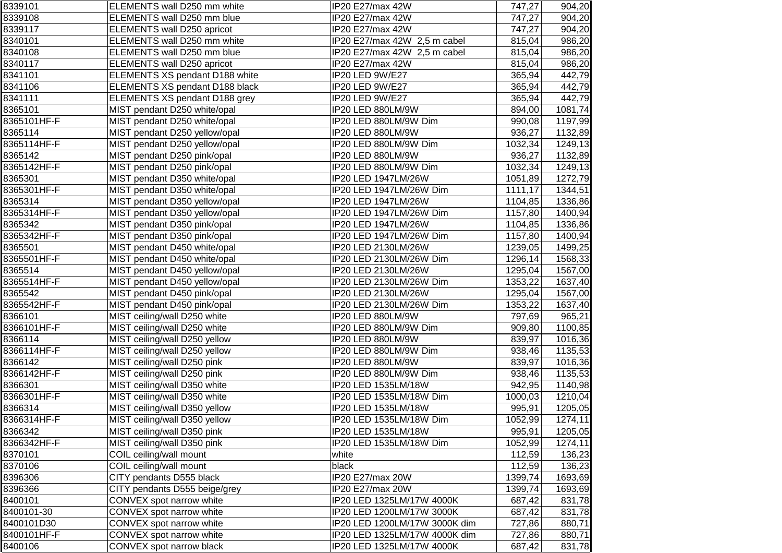| 8339101     | ELEMENTS wall D250 mm white    | IP20 E27/max 42W              | 747,27  | 904,20  |
|-------------|--------------------------------|-------------------------------|---------|---------|
| 8339108     | ELEMENTS wall D250 mm blue     | IP20 E27/max 42W              | 747,27  | 904,20  |
| 8339117     | ELEMENTS wall D250 apricot     | IP20 E27/max 42W              | 747,27  | 904,20  |
| 8340101     | ELEMENTS wall D250 mm white    | IP20 E27/max 42W 2,5 m cabel  | 815,04  | 986,20  |
| 8340108     | ELEMENTS wall D250 mm blue     | IP20 E27/max 42W 2,5 m cabel  | 815,04  | 986,20  |
| 8340117     | ELEMENTS wall D250 apricot     | IP20 E27/max 42W              | 815,04  | 986,20  |
| 8341101     | ELEMENTS XS pendant D188 white | IP20 LED 9W/E27               | 365,94  | 442,79  |
| 8341106     | ELEMENTS XS pendant D188 black | IP20 LED 9W/E27               | 365,94  | 442,79  |
| 8341111     | ELEMENTS XS pendant D188 grey  | IP20 LED 9W/E27               | 365,94  | 442,79  |
| 8365101     | MIST pendant D250 white/opal   | IP20 LED 880LM/9W             | 894,00  | 1081,74 |
| 8365101HF-F | MIST pendant D250 white/opal   | IP20 LED 880LM/9W Dim         | 990,08  | 1197,99 |
| 8365114     | MIST pendant D250 yellow/opal  | IP20 LED 880LM/9W             | 936,27  | 1132,89 |
| 8365114HF-F | MIST pendant D250 yellow/opal  | IP20 LED 880LM/9W Dim         | 1032,34 | 1249,13 |
| 8365142     | MIST pendant D250 pink/opal    | IP20 LED 880LM/9W             | 936,27  | 1132,89 |
| 8365142HF-F | MIST pendant D250 pink/opal    | IP20 LED 880LM/9W Dim         | 1032,34 | 1249,13 |
| 8365301     | MIST pendant D350 white/opal   | IP20 LED 1947LM/26W           | 1051,89 | 1272,79 |
| 8365301HF-F | MIST pendant D350 white/opal   | IP20 LED 1947LM/26W Dim       | 1111,17 | 1344,51 |
| 8365314     | MIST pendant D350 yellow/opal  | IP20 LED 1947LM/26W           | 1104,85 | 1336,86 |
| 8365314HF-F | MIST pendant D350 yellow/opal  | IP20 LED 1947LM/26W Dim       | 1157,80 | 1400,94 |
| 8365342     | MIST pendant D350 pink/opal    | IP20 LED 1947LM/26W           | 1104,85 | 1336,86 |
| 8365342HF-F | MIST pendant D350 pink/opal    | IP20 LED 1947LM/26W Dim       | 1157,80 | 1400,94 |
| 8365501     | MIST pendant D450 white/opal   | IP20 LED 2130LM/26W           | 1239,05 | 1499,25 |
| 8365501HF-F | MIST pendant D450 white/opal   | IP20 LED 2130LM/26W Dim       | 1296,14 | 1568,33 |
| 8365514     | MIST pendant D450 yellow/opal  | IP20 LED 2130LM/26W           | 1295,04 | 1567,00 |
| 8365514HF-F | MIST pendant D450 yellow/opal  | IP20 LED 2130LM/26W Dim       | 1353,22 | 1637,40 |
| 8365542     | MIST pendant D450 pink/opal    | IP20 LED 2130LM/26W           | 1295,04 | 1567,00 |
| 8365542HF-F | MIST pendant D450 pink/opal    | IP20 LED 2130LM/26W Dim       | 1353,22 | 1637,40 |
| 8366101     | MIST ceiling/wall D250 white   | IP20 LED 880LM/9W             | 797,69  | 965,21  |
| 8366101HF-F | MIST ceiling/wall D250 white   | IP20 LED 880LM/9W Dim         | 909,80  | 1100,85 |
| 8366114     | MIST ceiling/wall D250 yellow  | IP20 LED 880LM/9W             | 839,97  | 1016,36 |
| 8366114HF-F | MIST ceiling/wall D250 yellow  | IP20 LED 880LM/9W Dim         | 938,46  | 1135,53 |
| 8366142     | MIST ceiling/wall D250 pink    | IP20 LED 880LM/9W             | 839,97  | 1016,36 |
| 8366142HF-F | MIST ceiling/wall D250 pink    | IP20 LED 880LM/9W Dim         | 938,46  | 1135,53 |
| 8366301     | MIST ceiling/wall D350 white   | IP20 LED 1535LM/18W           | 942,95  | 1140,98 |
| 8366301HF-F | MIST ceiling/wall D350 white   | IP20 LED 1535LM/18W Dim       | 1000,03 | 1210,04 |
| 8366314     | MIST ceiling/wall D350 yellow  | IP20 LED 1535LM/18W           | 995,91  | 1205,05 |
| 8366314HF-F | MIST ceiling/wall D350 yellow  | IP20 LED 1535LM/18W Dim       | 1052,99 | 1274,11 |
| 8366342     | MIST ceiling/wall D350 pink    | IP20 LED 1535LM/18W           | 995,91  | 1205,05 |
| 8366342HF-F | MIST ceiling/wall D350 pink    | IP20 LED 1535LM/18W Dim       | 1052,99 | 1274,11 |
| 8370101     | COIL ceiling/wall mount        | white                         | 112,59  | 136,23  |
| 8370106     | COIL ceiling/wall mount        | black                         | 112,59  | 136,23  |
| 8396306     | CITY pendants D555 black       | IP20 E27/max 20W              | 1399,74 | 1693,69 |
| 8396366     | CITY pendants D555 beige/grey  | IP20 E27/max 20W              | 1399,74 | 1693,69 |
| 8400101     | CONVEX spot narrow white       | IP20 LED 1325LM/17W 4000K     | 687,42  | 831,78  |
| 8400101-30  | CONVEX spot narrow white       | IP20 LED 1200LM/17W 3000K     | 687,42  | 831,78  |
| 8400101D30  | CONVEX spot narrow white       | IP20 LED 1200LM/17W 3000K dim | 727,86  | 880,71  |
| 8400101HF-F | CONVEX spot narrow white       | IP20 LED 1325LM/17W 4000K dim | 727,86  | 880,71  |
| 8400106     | CONVEX spot narrow black       | IP20 LED 1325LM/17W 4000K     | 687,42  | 831,78  |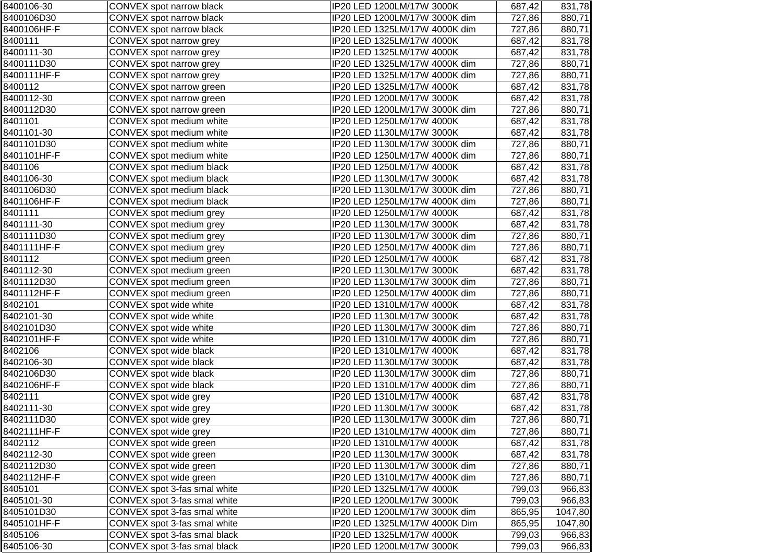| 8400106-30  | CONVEX spot narrow black     | IP20 LED 1200LM/17W 3000K     | 687,42 | 831,78  |
|-------------|------------------------------|-------------------------------|--------|---------|
| 8400106D30  | CONVEX spot narrow black     | IP20 LED 1200LM/17W 3000K dim | 727,86 | 880,71  |
| 8400106HF-F | CONVEX spot narrow black     | IP20 LED 1325LM/17W 4000K dim | 727,86 | 880,71  |
| 8400111     | CONVEX spot narrow grey      | IP20 LED 1325LM/17W 4000K     | 687,42 | 831,78  |
| 8400111-30  | CONVEX spot narrow grey      | IP20 LED 1325LM/17W 4000K     | 687,42 | 831,78  |
| 8400111D30  | CONVEX spot narrow grey      | IP20 LED 1325LM/17W 4000K dim | 727,86 | 880,71  |
| 8400111HF-F | CONVEX spot narrow grey      | IP20 LED 1325LM/17W 4000K dim | 727,86 | 880,71  |
| 8400112     | CONVEX spot narrow green     | IP20 LED 1325LM/17W 4000K     | 687,42 | 831,78  |
| 8400112-30  | CONVEX spot narrow green     | IP20 LED 1200LM/17W 3000K     | 687,42 | 831,78  |
| 8400112D30  | CONVEX spot narrow green     | IP20 LED 1200LM/17W 3000K dim | 727,86 | 880,71  |
| 8401101     | CONVEX spot medium white     | IP20 LED 1250LM/17W 4000K     | 687,42 | 831,78  |
| 8401101-30  | CONVEX spot medium white     | IP20 LED 1130LM/17W 3000K     | 687,42 | 831,78  |
| 8401101D30  | CONVEX spot medium white     | IP20 LED 1130LM/17W 3000K dim | 727,86 | 880,71  |
| 8401101HF-F | CONVEX spot medium white     | IP20 LED 1250LM/17W 4000K dim | 727,86 | 880,71  |
| 8401106     | CONVEX spot medium black     | IP20 LED 1250LM/17W 4000K     | 687,42 | 831,78  |
| 8401106-30  | CONVEX spot medium black     | IP20 LED 1130LM/17W 3000K     | 687,42 | 831,78  |
| 8401106D30  | CONVEX spot medium black     | IP20 LED 1130LM/17W 3000K dim | 727,86 | 880,71  |
| 8401106HF-F | CONVEX spot medium black     | IP20 LED 1250LM/17W 4000K dim | 727,86 | 880,71  |
| 8401111     | CONVEX spot medium grey      | IP20 LED 1250LM/17W 4000K     | 687,42 | 831,78  |
| 8401111-30  | CONVEX spot medium grey      | IP20 LED 1130LM/17W 3000K     | 687,42 | 831,78  |
| 8401111D30  | CONVEX spot medium grey      | IP20 LED 1130LM/17W 3000K dim | 727,86 | 880,71  |
| 8401111HF-F | CONVEX spot medium grey      | IP20 LED 1250LM/17W 4000K dim | 727,86 | 880,71  |
| 8401112     | CONVEX spot medium green     | IP20 LED 1250LM/17W 4000K     | 687,42 | 831,78  |
| 8401112-30  | CONVEX spot medium green     | IP20 LED 1130LM/17W 3000K     | 687,42 | 831,78  |
| 8401112D30  | CONVEX spot medium green     | IP20 LED 1130LM/17W 3000K dim | 727,86 | 880,71  |
| 8401112HF-F | CONVEX spot medium green     | IP20 LED 1250LM/17W 4000K dim | 727,86 | 880,71  |
| 8402101     | CONVEX spot wide white       | IP20 LED 1310LM/17W 4000K     | 687,42 | 831,78  |
| 8402101-30  | CONVEX spot wide white       | IP20 LED 1130LM/17W 3000K     | 687,42 | 831,78  |
| 8402101D30  | CONVEX spot wide white       | IP20 LED 1130LM/17W 3000K dim | 727,86 | 880,71  |
| 8402101HF-F | CONVEX spot wide white       | IP20 LED 1310LM/17W 4000K dim | 727,86 | 880,71  |
| 8402106     | CONVEX spot wide black       | IP20 LED 1310LM/17W 4000K     | 687,42 | 831,78  |
| 8402106-30  | CONVEX spot wide black       | IP20 LED 1130LM/17W 3000K     | 687,42 | 831,78  |
| 8402106D30  | CONVEX spot wide black       | IP20 LED 1130LM/17W 3000K dim | 727,86 | 880,71  |
| 8402106HF-F | CONVEX spot wide black       | IP20 LED 1310LM/17W 4000K dim | 727,86 | 880,71  |
| 8402111     | CONVEX spot wide grey        | IP20 LED 1310LM/17W 4000K     | 687,42 | 831,78  |
| 8402111-30  | CONVEX spot wide grey        | IP20 LED 1130LM/17W 3000K     | 687,42 | 831,78  |
| 8402111D30  | CONVEX spot wide grey        | IP20 LED 1130LM/17W 3000K dim | 727,86 | 880,71  |
| 8402111HF-F | CONVEX spot wide grey        | IP20 LED 1310LM/17W 4000K dim | 727,86 | 880,71  |
| 8402112     | CONVEX spot wide green       | IP20 LED 1310LM/17W 4000K     | 687,42 | 831,78  |
| 8402112-30  | CONVEX spot wide green       | IP20 LED 1130LM/17W 3000K     | 687,42 | 831,78  |
| 8402112D30  | CONVEX spot wide green       | IP20 LED 1130LM/17W 3000K dim | 727,86 | 880,71  |
| 8402112HF-F | CONVEX spot wide green       | IP20 LED 1310LM/17W 4000K dim | 727,86 | 880,71  |
| 8405101     | CONVEX spot 3-fas smal white | IP20 LED 1325LM/17W 4000K     | 799,03 | 966,83  |
| 8405101-30  | CONVEX spot 3-fas smal white | IP20 LED 1200LM/17W 3000K     | 799,03 | 966,83  |
| 8405101D30  | CONVEX spot 3-fas smal white | IP20 LED 1200LM/17W 3000K dim | 865,95 | 1047,80 |
| 8405101HF-F | CONVEX spot 3-fas smal white | IP20 LED 1325LM/17W 4000K Dim | 865,95 | 1047,80 |
| 8405106     | CONVEX spot 3-fas smal black | IP20 LED 1325LM/17W 4000K     | 799,03 | 966,83  |
| 8405106-30  | CONVEX spot 3-fas smal black | IP20 LED 1200LM/17W 3000K     | 799,03 | 966,83  |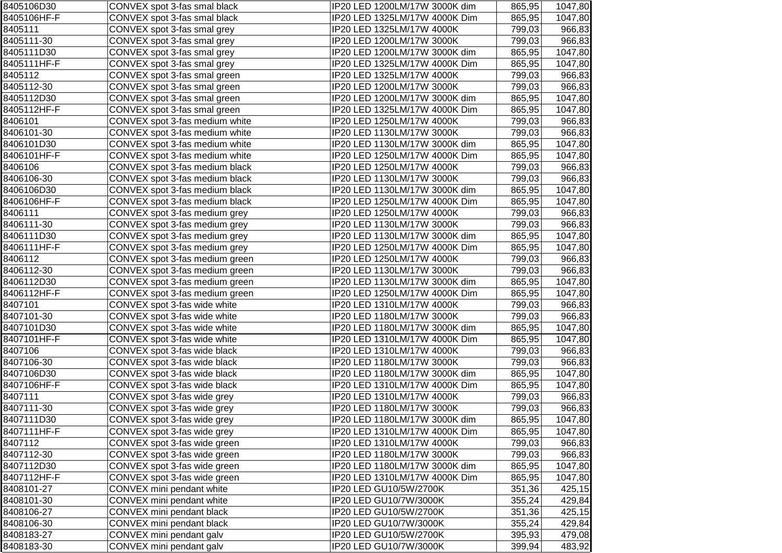| 8405106D30  | CONVEX spot 3-fas smal black   | IP20 LED 1200LM/17W 3000K dim | 865,95 | 1047,80 |
|-------------|--------------------------------|-------------------------------|--------|---------|
| 8405106HF-F | CONVEX spot 3-fas smal black   | IP20 LED 1325LM/17W 4000K Dim | 865,95 | 1047,80 |
| 8405111     | CONVEX spot 3-fas smal grey    | IP20 LED 1325LM/17W 4000K     | 799,03 | 966,83  |
| 8405111-30  | CONVEX spot 3-fas smal grey    | IP20 LED 1200LM/17W 3000K     | 799,03 | 966,83  |
| 8405111D30  | CONVEX spot 3-fas smal grey    | IP20 LED 1200LM/17W 3000K dim | 865,95 | 1047,80 |
| 8405111HF-F | CONVEX spot 3-fas smal grey    | IP20 LED 1325LM/17W 4000K Dim | 865,95 | 1047,80 |
| 8405112     | CONVEX spot 3-fas smal green   | IP20 LED 1325LM/17W 4000K     | 799,03 | 966,83  |
| 8405112-30  | CONVEX spot 3-fas smal green   | IP20 LED 1200LM/17W 3000K     | 799,03 | 966,83  |
| 8405112D30  | CONVEX spot 3-fas smal green   | IP20 LED 1200LM/17W 3000K dim | 865,95 | 1047,80 |
| 8405112HF-F | CONVEX spot 3-fas smal green   | IP20 LED 1325LM/17W 4000K Dim | 865,95 | 1047,80 |
| 8406101     | CONVEX spot 3-fas medium white | IP20 LED 1250LM/17W 4000K     | 799,03 | 966,83  |
| 8406101-30  | CONVEX spot 3-fas medium white | IP20 LED 1130LM/17W 3000K     | 799,03 | 966,83  |
| 8406101D30  | CONVEX spot 3-fas medium white | IP20 LED 1130LM/17W 3000K dim | 865,95 | 1047,80 |
| 8406101HF-F | CONVEX spot 3-fas medium white | IP20 LED 1250LM/17W 4000K Dim | 865,95 | 1047,80 |
| 8406106     | CONVEX spot 3-fas medium black | IP20 LED 1250LM/17W 4000K     | 799,03 | 966,83  |
| 8406106-30  | CONVEX spot 3-fas medium black | IP20 LED 1130LM/17W 3000K     | 799,03 | 966,83  |
| 8406106D30  | CONVEX spot 3-fas medium black | IP20 LED 1130LM/17W 3000K dim | 865,95 | 1047,80 |
| 8406106HF-F | CONVEX spot 3-fas medium black | IP20 LED 1250LM/17W 4000K Dim | 865,95 | 1047,80 |
| 8406111     | CONVEX spot 3-fas medium grey  | IP20 LED 1250LM/17W 4000K     | 799,03 | 966,83  |
| 8406111-30  | CONVEX spot 3-fas medium grey  | IP20 LED 1130LM/17W 3000K     | 799,03 | 966,83  |
| 8406111D30  | CONVEX spot 3-fas medium grey  | IP20 LED 1130LM/17W 3000K dim | 865,95 | 1047,80 |
| 8406111HF-F | CONVEX spot 3-fas medium grey  | IP20 LED 1250LM/17W 4000K Dim | 865,95 | 1047,80 |
| 8406112     | CONVEX spot 3-fas medium green | IP20 LED 1250LM/17W 4000K     | 799,03 | 966,83  |
| 8406112-30  | CONVEX spot 3-fas medium green | IP20 LED 1130LM/17W 3000K     | 799,03 | 966,83  |
| 8406112D30  | CONVEX spot 3-fas medium green | IP20 LED 1130LM/17W 3000K dim | 865,95 | 1047,80 |
| 8406112HF-F | CONVEX spot 3-fas medium green | IP20 LED 1250LM/17W 4000K Dim | 865,95 | 1047,80 |
| 8407101     | CONVEX spot 3-fas wide white   | IP20 LED 1310LM/17W 4000K     | 799,03 | 966,83  |
| 8407101-30  | CONVEX spot 3-fas wide white   | IP20 LED 1180LM/17W 3000K     | 799,03 | 966,83  |
| 8407101D30  | CONVEX spot 3-fas wide white   | IP20 LED 1180LM/17W 3000K dim | 865,95 | 1047,80 |
| 8407101HF-F | CONVEX spot 3-fas wide white   | IP20 LED 1310LM/17W 4000K Dim | 865,95 | 1047,80 |
| 8407106     | CONVEX spot 3-fas wide black   | IP20 LED 1310LM/17W 4000K     | 799,03 | 966,83  |
| 8407106-30  | CONVEX spot 3-fas wide black   | IP20 LED 1180LM/17W 3000K     | 799,03 | 966,83  |
| 8407106D30  | CONVEX spot 3-fas wide black   | IP20 LED 1180LM/17W 3000K dim | 865,95 | 1047,80 |
| 8407106HF-F | CONVEX spot 3-fas wide black   | IP20 LED 1310LM/17W 4000K Dim | 865,95 | 1047,80 |
| 8407111     | CONVEX spot 3-fas wide grey    | IP20 LED 1310LM/17W 4000K     | 799,03 | 966,83  |
| 8407111-30  | CONVEX spot 3-fas wide grey    | IP20 LED 1180LM/17W 3000K     | 799,03 | 966,83  |
| 8407111D30  | CONVEX spot 3-fas wide grey    | IP20 LED 1180LM/17W 3000K dim | 865,95 | 1047,80 |
| 8407111HF-F | CONVEX spot 3-fas wide grey    | IP20 LED 1310LM/17W 4000K Dim | 865,95 | 1047,80 |
| 8407112     | CONVEX spot 3-fas wide green   | IP20 LED 1310LM/17W 4000K     | 799,03 | 966,83  |
| 8407112-30  | CONVEX spot 3-fas wide green   | IP20 LED 1180LM/17W 3000K     | 799,03 | 966,83  |
| 8407112D30  | CONVEX spot 3-fas wide green   | IP20 LED 1180LM/17W 3000K dim | 865,95 | 1047,80 |
| 8407112HF-F | CONVEX spot 3-fas wide green   | IP20 LED 1310LM/17W 4000K Dim | 865,95 | 1047,80 |
| 8408101-27  | CONVEX mini pendant white      | IP20 LED GU10/5W/2700K        | 351,36 | 425,15  |
| 8408101-30  | CONVEX mini pendant white      | IP20 LED GU10/7W/3000K        | 355,24 | 429,84  |
| 8408106-27  | CONVEX mini pendant black      | IP20 LED GU10/5W/2700K        | 351,36 | 425,15  |
| 8408106-30  | CONVEX mini pendant black      | IP20 LED GU10/7W/3000K        | 355,24 | 429,84  |
| 8408183-27  | CONVEX mini pendant galv       | IP20 LED GU10/5W/2700K        | 395,93 | 479,08  |
| 8408183-30  | CONVEX mini pendant galv       | IP20 LED GU10/7W/3000K        | 399,94 | 483,92  |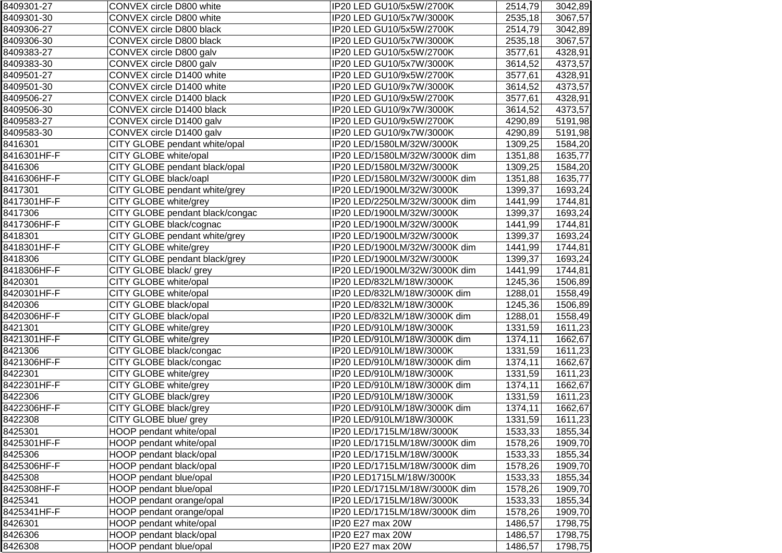| IP20 LED GU10/5x7W/3000K<br>3067,57<br>CONVEX circle D800 white<br>2535,18<br>CONVEX circle D800 black<br>IP20 LED GU10/5x5W/2700K<br>2514,79<br>3067,57<br>CONVEX circle D800 black<br>IP20 LED GU10/5x7W/3000K<br>2535,18<br>CONVEX circle D800 galv<br>IP20 LED GU10/5x5W/2700K<br>3577,61<br>4328,91<br>CONVEX circle D800 galv<br>4373,57<br>IP20 LED GU10/5x7W/3000K<br>3614,52<br>CONVEX circle D1400 white<br>IP20 LED GU10/9x5W/2700K<br>3577,61<br>4328,91<br>4373,57<br>CONVEX circle D1400 white<br>IP20 LED GU10/9x7W/3000K<br>3614,52<br>IP20 LED GU10/9x5W/2700K<br>4328,91<br>CONVEX circle D1400 black<br>3577,61<br>IP20 LED GU10/9x7W/3000K<br>4373,57<br>CONVEX circle D1400 black<br>3614,52<br>CONVEX circle D1400 galv<br>IP20 LED GU10/9x5W/2700K<br>4290,89<br>CONVEX circle D1400 galv<br>IP20 LED GU10/9x7W/3000K<br>4290,89<br>CITY GLOBE pendant white/opal<br>IP20 LED/1580LM/32W/3000K<br>1309,25<br>CITY GLOBE white/opal<br>1351,88<br>1635,77<br>IP20 LED/1580LM/32W/3000K dim<br>CITY GLOBE pendant black/opal<br>IP20 LED/1580LM/32W/3000K<br>1309,25<br>CITY GLOBE black/oapl<br>1351,88<br>1635,77<br>IP20 LED/1580LM/32W/3000K dim<br>CITY GLOBE pendant white/grey<br>IP20 LED/1900LM/32W/3000K<br>1399,37<br>CITY GLOBE white/grey<br>1744,81<br>IP20 LED/2250LM/32W/3000K dim<br>1441,99<br>CITY GLOBE pendant black/congac<br>1399,37<br>IP20 LED/1900LM/32W/3000K<br>CITY GLOBE black/cognac<br>1744,81<br>IP20 LED/1900LM/32W/3000K<br>1441,99<br>CITY GLOBE pendant white/grey<br>IP20 LED/1900LM/32W/3000K<br>1399,37<br>CITY GLOBE white/grey<br>IP20 LED/1900LM/32W/3000K dim<br>1744,81<br>1441,99<br>CITY GLOBE pendant black/grey<br>IP20 LED/1900LM/32W/3000K<br>1399,37<br>CITY GLOBE black/ grey<br>1744,81<br>IP20 LED/1900LM/32W/3000K dim<br>1441,99<br>CITY GLOBE white/opal<br>IP20 LED/832LM/18W/3000K<br>1245,36<br>CITY GLOBE white/opal<br>1288,01<br>IP20 LED/832LM/18W/3000K dim<br>CITY GLOBE black/opal<br>IP20 LED/832LM/18W/3000K<br>1245,36<br>CITY GLOBE black/opal<br>IP20 LED/832LM/18W/3000K dim<br>1288,01<br>CITY GLOBE white/grey<br>IP20 LED/910LM/18W/3000K<br>1331,59<br>CITY GLOBE white/grey<br>IP20 LED/910LM/18W/3000K dim<br>1374,11<br>IP20 LED/910LM/18W/3000K<br>1331,59<br>CITY GLOBE black/congac<br>CITY GLOBE black/congac<br>IP20 LED/910LM/18W/3000K dim<br>1374,11<br>CITY GLOBE white/grey<br>1331,59<br>IP20 LED/910LM/18W/3000K<br>CITY GLOBE white/grey<br>1374,11<br>IP20 LED/910LM/18W/3000K dim<br>CITY GLOBE black/grey<br>IP20 LED/910LM/18W/3000K<br>1331,59<br>CITY GLOBE black/grey<br>IP20 LED/910LM/18W/3000K dim<br>1374,11<br>1331,59<br>CITY GLOBE blue/ grey<br>IP20 LED/910LM/18W/3000K<br>HOOP pendant white/opal<br>IP20 LED/1715LM/18W/3000K<br>1533,33<br>HOOP pendant white/opal<br>IP20 LED/1715LM/18W/3000K dim<br>1578,26<br>HOOP pendant black/opal<br>IP20 LED/1715LM/18W/3000K<br>1533,33<br>HOOP pendant black/opal<br>IP20 LED/1715LM/18W/3000K dim<br>1578,26<br>HOOP pendant blue/opal<br>IP20 LED1715LM/18W/3000K<br>1533,33<br>HOOP pendant blue/opal<br>IP20 LED/1715LM/18W/3000K dim<br>1578,26<br>HOOP pendant orange/opal<br>IP20 LED/1715LM/18W/3000K<br>1533,33<br>HOOP pendant orange/opal<br>IP20 LED/1715LM/18W/3000K dim<br>1578,26<br>HOOP pendant white/opal<br>IP20 E27 max 20W<br>1486,57<br>HOOP pendant black/opal<br>IP20 E27 max 20W<br>1486,57<br>HOOP pendant blue/opal<br>IP20 E27 max 20W<br>1486,57 | 8409301-27  | CONVEX circle D800 white | IP20 LED GU10/5x5W/2700K | 2514,79 | 3042,89 |
|----------------------------------------------------------------------------------------------------------------------------------------------------------------------------------------------------------------------------------------------------------------------------------------------------------------------------------------------------------------------------------------------------------------------------------------------------------------------------------------------------------------------------------------------------------------------------------------------------------------------------------------------------------------------------------------------------------------------------------------------------------------------------------------------------------------------------------------------------------------------------------------------------------------------------------------------------------------------------------------------------------------------------------------------------------------------------------------------------------------------------------------------------------------------------------------------------------------------------------------------------------------------------------------------------------------------------------------------------------------------------------------------------------------------------------------------------------------------------------------------------------------------------------------------------------------------------------------------------------------------------------------------------------------------------------------------------------------------------------------------------------------------------------------------------------------------------------------------------------------------------------------------------------------------------------------------------------------------------------------------------------------------------------------------------------------------------------------------------------------------------------------------------------------------------------------------------------------------------------------------------------------------------------------------------------------------------------------------------------------------------------------------------------------------------------------------------------------------------------------------------------------------------------------------------------------------------------------------------------------------------------------------------------------------------------------------------------------------------------------------------------------------------------------------------------------------------------------------------------------------------------------------------------------------------------------------------------------------------------------------------------------------------------------------------------------------------------------------------------------------------------------------------------------------------------------------------------------------------------------------------------------------------------------------------------------------------------------------------------------------------------------------------------------------------------------------------------------|-------------|--------------------------|--------------------------|---------|---------|
|                                                                                                                                                                                                                                                                                                                                                                                                                                                                                                                                                                                                                                                                                                                                                                                                                                                                                                                                                                                                                                                                                                                                                                                                                                                                                                                                                                                                                                                                                                                                                                                                                                                                                                                                                                                                                                                                                                                                                                                                                                                                                                                                                                                                                                                                                                                                                                                                                                                                                                                                                                                                                                                                                                                                                                                                                                                                                                                                                                                                                                                                                                                                                                                                                                                                                                                                                                                                                                                                | 8409301-30  |                          |                          |         |         |
|                                                                                                                                                                                                                                                                                                                                                                                                                                                                                                                                                                                                                                                                                                                                                                                                                                                                                                                                                                                                                                                                                                                                                                                                                                                                                                                                                                                                                                                                                                                                                                                                                                                                                                                                                                                                                                                                                                                                                                                                                                                                                                                                                                                                                                                                                                                                                                                                                                                                                                                                                                                                                                                                                                                                                                                                                                                                                                                                                                                                                                                                                                                                                                                                                                                                                                                                                                                                                                                                | 8409306-27  |                          |                          |         | 3042,89 |
|                                                                                                                                                                                                                                                                                                                                                                                                                                                                                                                                                                                                                                                                                                                                                                                                                                                                                                                                                                                                                                                                                                                                                                                                                                                                                                                                                                                                                                                                                                                                                                                                                                                                                                                                                                                                                                                                                                                                                                                                                                                                                                                                                                                                                                                                                                                                                                                                                                                                                                                                                                                                                                                                                                                                                                                                                                                                                                                                                                                                                                                                                                                                                                                                                                                                                                                                                                                                                                                                | 8409306-30  |                          |                          |         |         |
|                                                                                                                                                                                                                                                                                                                                                                                                                                                                                                                                                                                                                                                                                                                                                                                                                                                                                                                                                                                                                                                                                                                                                                                                                                                                                                                                                                                                                                                                                                                                                                                                                                                                                                                                                                                                                                                                                                                                                                                                                                                                                                                                                                                                                                                                                                                                                                                                                                                                                                                                                                                                                                                                                                                                                                                                                                                                                                                                                                                                                                                                                                                                                                                                                                                                                                                                                                                                                                                                | 8409383-27  |                          |                          |         |         |
|                                                                                                                                                                                                                                                                                                                                                                                                                                                                                                                                                                                                                                                                                                                                                                                                                                                                                                                                                                                                                                                                                                                                                                                                                                                                                                                                                                                                                                                                                                                                                                                                                                                                                                                                                                                                                                                                                                                                                                                                                                                                                                                                                                                                                                                                                                                                                                                                                                                                                                                                                                                                                                                                                                                                                                                                                                                                                                                                                                                                                                                                                                                                                                                                                                                                                                                                                                                                                                                                | 8409383-30  |                          |                          |         |         |
|                                                                                                                                                                                                                                                                                                                                                                                                                                                                                                                                                                                                                                                                                                                                                                                                                                                                                                                                                                                                                                                                                                                                                                                                                                                                                                                                                                                                                                                                                                                                                                                                                                                                                                                                                                                                                                                                                                                                                                                                                                                                                                                                                                                                                                                                                                                                                                                                                                                                                                                                                                                                                                                                                                                                                                                                                                                                                                                                                                                                                                                                                                                                                                                                                                                                                                                                                                                                                                                                | 8409501-27  |                          |                          |         |         |
|                                                                                                                                                                                                                                                                                                                                                                                                                                                                                                                                                                                                                                                                                                                                                                                                                                                                                                                                                                                                                                                                                                                                                                                                                                                                                                                                                                                                                                                                                                                                                                                                                                                                                                                                                                                                                                                                                                                                                                                                                                                                                                                                                                                                                                                                                                                                                                                                                                                                                                                                                                                                                                                                                                                                                                                                                                                                                                                                                                                                                                                                                                                                                                                                                                                                                                                                                                                                                                                                | 8409501-30  |                          |                          |         |         |
|                                                                                                                                                                                                                                                                                                                                                                                                                                                                                                                                                                                                                                                                                                                                                                                                                                                                                                                                                                                                                                                                                                                                                                                                                                                                                                                                                                                                                                                                                                                                                                                                                                                                                                                                                                                                                                                                                                                                                                                                                                                                                                                                                                                                                                                                                                                                                                                                                                                                                                                                                                                                                                                                                                                                                                                                                                                                                                                                                                                                                                                                                                                                                                                                                                                                                                                                                                                                                                                                | 8409506-27  |                          |                          |         |         |
|                                                                                                                                                                                                                                                                                                                                                                                                                                                                                                                                                                                                                                                                                                                                                                                                                                                                                                                                                                                                                                                                                                                                                                                                                                                                                                                                                                                                                                                                                                                                                                                                                                                                                                                                                                                                                                                                                                                                                                                                                                                                                                                                                                                                                                                                                                                                                                                                                                                                                                                                                                                                                                                                                                                                                                                                                                                                                                                                                                                                                                                                                                                                                                                                                                                                                                                                                                                                                                                                | 8409506-30  |                          |                          |         |         |
|                                                                                                                                                                                                                                                                                                                                                                                                                                                                                                                                                                                                                                                                                                                                                                                                                                                                                                                                                                                                                                                                                                                                                                                                                                                                                                                                                                                                                                                                                                                                                                                                                                                                                                                                                                                                                                                                                                                                                                                                                                                                                                                                                                                                                                                                                                                                                                                                                                                                                                                                                                                                                                                                                                                                                                                                                                                                                                                                                                                                                                                                                                                                                                                                                                                                                                                                                                                                                                                                | 8409583-27  |                          |                          |         | 5191,98 |
|                                                                                                                                                                                                                                                                                                                                                                                                                                                                                                                                                                                                                                                                                                                                                                                                                                                                                                                                                                                                                                                                                                                                                                                                                                                                                                                                                                                                                                                                                                                                                                                                                                                                                                                                                                                                                                                                                                                                                                                                                                                                                                                                                                                                                                                                                                                                                                                                                                                                                                                                                                                                                                                                                                                                                                                                                                                                                                                                                                                                                                                                                                                                                                                                                                                                                                                                                                                                                                                                | 8409583-30  |                          |                          |         | 5191,98 |
|                                                                                                                                                                                                                                                                                                                                                                                                                                                                                                                                                                                                                                                                                                                                                                                                                                                                                                                                                                                                                                                                                                                                                                                                                                                                                                                                                                                                                                                                                                                                                                                                                                                                                                                                                                                                                                                                                                                                                                                                                                                                                                                                                                                                                                                                                                                                                                                                                                                                                                                                                                                                                                                                                                                                                                                                                                                                                                                                                                                                                                                                                                                                                                                                                                                                                                                                                                                                                                                                | 8416301     |                          |                          |         | 1584,20 |
|                                                                                                                                                                                                                                                                                                                                                                                                                                                                                                                                                                                                                                                                                                                                                                                                                                                                                                                                                                                                                                                                                                                                                                                                                                                                                                                                                                                                                                                                                                                                                                                                                                                                                                                                                                                                                                                                                                                                                                                                                                                                                                                                                                                                                                                                                                                                                                                                                                                                                                                                                                                                                                                                                                                                                                                                                                                                                                                                                                                                                                                                                                                                                                                                                                                                                                                                                                                                                                                                | 8416301HF-F |                          |                          |         |         |
|                                                                                                                                                                                                                                                                                                                                                                                                                                                                                                                                                                                                                                                                                                                                                                                                                                                                                                                                                                                                                                                                                                                                                                                                                                                                                                                                                                                                                                                                                                                                                                                                                                                                                                                                                                                                                                                                                                                                                                                                                                                                                                                                                                                                                                                                                                                                                                                                                                                                                                                                                                                                                                                                                                                                                                                                                                                                                                                                                                                                                                                                                                                                                                                                                                                                                                                                                                                                                                                                | 8416306     |                          |                          |         | 1584,20 |
|                                                                                                                                                                                                                                                                                                                                                                                                                                                                                                                                                                                                                                                                                                                                                                                                                                                                                                                                                                                                                                                                                                                                                                                                                                                                                                                                                                                                                                                                                                                                                                                                                                                                                                                                                                                                                                                                                                                                                                                                                                                                                                                                                                                                                                                                                                                                                                                                                                                                                                                                                                                                                                                                                                                                                                                                                                                                                                                                                                                                                                                                                                                                                                                                                                                                                                                                                                                                                                                                | 8416306HF-F |                          |                          |         |         |
|                                                                                                                                                                                                                                                                                                                                                                                                                                                                                                                                                                                                                                                                                                                                                                                                                                                                                                                                                                                                                                                                                                                                                                                                                                                                                                                                                                                                                                                                                                                                                                                                                                                                                                                                                                                                                                                                                                                                                                                                                                                                                                                                                                                                                                                                                                                                                                                                                                                                                                                                                                                                                                                                                                                                                                                                                                                                                                                                                                                                                                                                                                                                                                                                                                                                                                                                                                                                                                                                | 8417301     |                          |                          |         | 1693,24 |
|                                                                                                                                                                                                                                                                                                                                                                                                                                                                                                                                                                                                                                                                                                                                                                                                                                                                                                                                                                                                                                                                                                                                                                                                                                                                                                                                                                                                                                                                                                                                                                                                                                                                                                                                                                                                                                                                                                                                                                                                                                                                                                                                                                                                                                                                                                                                                                                                                                                                                                                                                                                                                                                                                                                                                                                                                                                                                                                                                                                                                                                                                                                                                                                                                                                                                                                                                                                                                                                                | 8417301HF-F |                          |                          |         |         |
|                                                                                                                                                                                                                                                                                                                                                                                                                                                                                                                                                                                                                                                                                                                                                                                                                                                                                                                                                                                                                                                                                                                                                                                                                                                                                                                                                                                                                                                                                                                                                                                                                                                                                                                                                                                                                                                                                                                                                                                                                                                                                                                                                                                                                                                                                                                                                                                                                                                                                                                                                                                                                                                                                                                                                                                                                                                                                                                                                                                                                                                                                                                                                                                                                                                                                                                                                                                                                                                                | 8417306     |                          |                          |         | 1693,24 |
|                                                                                                                                                                                                                                                                                                                                                                                                                                                                                                                                                                                                                                                                                                                                                                                                                                                                                                                                                                                                                                                                                                                                                                                                                                                                                                                                                                                                                                                                                                                                                                                                                                                                                                                                                                                                                                                                                                                                                                                                                                                                                                                                                                                                                                                                                                                                                                                                                                                                                                                                                                                                                                                                                                                                                                                                                                                                                                                                                                                                                                                                                                                                                                                                                                                                                                                                                                                                                                                                | 8417306HF-F |                          |                          |         |         |
|                                                                                                                                                                                                                                                                                                                                                                                                                                                                                                                                                                                                                                                                                                                                                                                                                                                                                                                                                                                                                                                                                                                                                                                                                                                                                                                                                                                                                                                                                                                                                                                                                                                                                                                                                                                                                                                                                                                                                                                                                                                                                                                                                                                                                                                                                                                                                                                                                                                                                                                                                                                                                                                                                                                                                                                                                                                                                                                                                                                                                                                                                                                                                                                                                                                                                                                                                                                                                                                                | 8418301     |                          |                          |         | 1693,24 |
|                                                                                                                                                                                                                                                                                                                                                                                                                                                                                                                                                                                                                                                                                                                                                                                                                                                                                                                                                                                                                                                                                                                                                                                                                                                                                                                                                                                                                                                                                                                                                                                                                                                                                                                                                                                                                                                                                                                                                                                                                                                                                                                                                                                                                                                                                                                                                                                                                                                                                                                                                                                                                                                                                                                                                                                                                                                                                                                                                                                                                                                                                                                                                                                                                                                                                                                                                                                                                                                                | 8418301HF-F |                          |                          |         |         |
|                                                                                                                                                                                                                                                                                                                                                                                                                                                                                                                                                                                                                                                                                                                                                                                                                                                                                                                                                                                                                                                                                                                                                                                                                                                                                                                                                                                                                                                                                                                                                                                                                                                                                                                                                                                                                                                                                                                                                                                                                                                                                                                                                                                                                                                                                                                                                                                                                                                                                                                                                                                                                                                                                                                                                                                                                                                                                                                                                                                                                                                                                                                                                                                                                                                                                                                                                                                                                                                                | 8418306     |                          |                          |         | 1693,24 |
|                                                                                                                                                                                                                                                                                                                                                                                                                                                                                                                                                                                                                                                                                                                                                                                                                                                                                                                                                                                                                                                                                                                                                                                                                                                                                                                                                                                                                                                                                                                                                                                                                                                                                                                                                                                                                                                                                                                                                                                                                                                                                                                                                                                                                                                                                                                                                                                                                                                                                                                                                                                                                                                                                                                                                                                                                                                                                                                                                                                                                                                                                                                                                                                                                                                                                                                                                                                                                                                                | 8418306HF-F |                          |                          |         |         |
|                                                                                                                                                                                                                                                                                                                                                                                                                                                                                                                                                                                                                                                                                                                                                                                                                                                                                                                                                                                                                                                                                                                                                                                                                                                                                                                                                                                                                                                                                                                                                                                                                                                                                                                                                                                                                                                                                                                                                                                                                                                                                                                                                                                                                                                                                                                                                                                                                                                                                                                                                                                                                                                                                                                                                                                                                                                                                                                                                                                                                                                                                                                                                                                                                                                                                                                                                                                                                                                                | 8420301     |                          |                          |         | 1506,89 |
|                                                                                                                                                                                                                                                                                                                                                                                                                                                                                                                                                                                                                                                                                                                                                                                                                                                                                                                                                                                                                                                                                                                                                                                                                                                                                                                                                                                                                                                                                                                                                                                                                                                                                                                                                                                                                                                                                                                                                                                                                                                                                                                                                                                                                                                                                                                                                                                                                                                                                                                                                                                                                                                                                                                                                                                                                                                                                                                                                                                                                                                                                                                                                                                                                                                                                                                                                                                                                                                                | 8420301HF-F |                          |                          |         | 1558,49 |
|                                                                                                                                                                                                                                                                                                                                                                                                                                                                                                                                                                                                                                                                                                                                                                                                                                                                                                                                                                                                                                                                                                                                                                                                                                                                                                                                                                                                                                                                                                                                                                                                                                                                                                                                                                                                                                                                                                                                                                                                                                                                                                                                                                                                                                                                                                                                                                                                                                                                                                                                                                                                                                                                                                                                                                                                                                                                                                                                                                                                                                                                                                                                                                                                                                                                                                                                                                                                                                                                | 8420306     |                          |                          |         | 1506,89 |
|                                                                                                                                                                                                                                                                                                                                                                                                                                                                                                                                                                                                                                                                                                                                                                                                                                                                                                                                                                                                                                                                                                                                                                                                                                                                                                                                                                                                                                                                                                                                                                                                                                                                                                                                                                                                                                                                                                                                                                                                                                                                                                                                                                                                                                                                                                                                                                                                                                                                                                                                                                                                                                                                                                                                                                                                                                                                                                                                                                                                                                                                                                                                                                                                                                                                                                                                                                                                                                                                | 8420306HF-F |                          |                          |         | 1558,49 |
|                                                                                                                                                                                                                                                                                                                                                                                                                                                                                                                                                                                                                                                                                                                                                                                                                                                                                                                                                                                                                                                                                                                                                                                                                                                                                                                                                                                                                                                                                                                                                                                                                                                                                                                                                                                                                                                                                                                                                                                                                                                                                                                                                                                                                                                                                                                                                                                                                                                                                                                                                                                                                                                                                                                                                                                                                                                                                                                                                                                                                                                                                                                                                                                                                                                                                                                                                                                                                                                                | 8421301     |                          |                          |         | 1611,23 |
|                                                                                                                                                                                                                                                                                                                                                                                                                                                                                                                                                                                                                                                                                                                                                                                                                                                                                                                                                                                                                                                                                                                                                                                                                                                                                                                                                                                                                                                                                                                                                                                                                                                                                                                                                                                                                                                                                                                                                                                                                                                                                                                                                                                                                                                                                                                                                                                                                                                                                                                                                                                                                                                                                                                                                                                                                                                                                                                                                                                                                                                                                                                                                                                                                                                                                                                                                                                                                                                                | 8421301HF-F |                          |                          |         | 1662,67 |
|                                                                                                                                                                                                                                                                                                                                                                                                                                                                                                                                                                                                                                                                                                                                                                                                                                                                                                                                                                                                                                                                                                                                                                                                                                                                                                                                                                                                                                                                                                                                                                                                                                                                                                                                                                                                                                                                                                                                                                                                                                                                                                                                                                                                                                                                                                                                                                                                                                                                                                                                                                                                                                                                                                                                                                                                                                                                                                                                                                                                                                                                                                                                                                                                                                                                                                                                                                                                                                                                | 8421306     |                          |                          |         | 1611,23 |
|                                                                                                                                                                                                                                                                                                                                                                                                                                                                                                                                                                                                                                                                                                                                                                                                                                                                                                                                                                                                                                                                                                                                                                                                                                                                                                                                                                                                                                                                                                                                                                                                                                                                                                                                                                                                                                                                                                                                                                                                                                                                                                                                                                                                                                                                                                                                                                                                                                                                                                                                                                                                                                                                                                                                                                                                                                                                                                                                                                                                                                                                                                                                                                                                                                                                                                                                                                                                                                                                | 8421306HF-F |                          |                          |         | 1662,67 |
|                                                                                                                                                                                                                                                                                                                                                                                                                                                                                                                                                                                                                                                                                                                                                                                                                                                                                                                                                                                                                                                                                                                                                                                                                                                                                                                                                                                                                                                                                                                                                                                                                                                                                                                                                                                                                                                                                                                                                                                                                                                                                                                                                                                                                                                                                                                                                                                                                                                                                                                                                                                                                                                                                                                                                                                                                                                                                                                                                                                                                                                                                                                                                                                                                                                                                                                                                                                                                                                                | 8422301     |                          |                          |         | 1611,23 |
|                                                                                                                                                                                                                                                                                                                                                                                                                                                                                                                                                                                                                                                                                                                                                                                                                                                                                                                                                                                                                                                                                                                                                                                                                                                                                                                                                                                                                                                                                                                                                                                                                                                                                                                                                                                                                                                                                                                                                                                                                                                                                                                                                                                                                                                                                                                                                                                                                                                                                                                                                                                                                                                                                                                                                                                                                                                                                                                                                                                                                                                                                                                                                                                                                                                                                                                                                                                                                                                                | 8422301HF-F |                          |                          |         | 1662,67 |
|                                                                                                                                                                                                                                                                                                                                                                                                                                                                                                                                                                                                                                                                                                                                                                                                                                                                                                                                                                                                                                                                                                                                                                                                                                                                                                                                                                                                                                                                                                                                                                                                                                                                                                                                                                                                                                                                                                                                                                                                                                                                                                                                                                                                                                                                                                                                                                                                                                                                                                                                                                                                                                                                                                                                                                                                                                                                                                                                                                                                                                                                                                                                                                                                                                                                                                                                                                                                                                                                | 8422306     |                          |                          |         | 1611,23 |
|                                                                                                                                                                                                                                                                                                                                                                                                                                                                                                                                                                                                                                                                                                                                                                                                                                                                                                                                                                                                                                                                                                                                                                                                                                                                                                                                                                                                                                                                                                                                                                                                                                                                                                                                                                                                                                                                                                                                                                                                                                                                                                                                                                                                                                                                                                                                                                                                                                                                                                                                                                                                                                                                                                                                                                                                                                                                                                                                                                                                                                                                                                                                                                                                                                                                                                                                                                                                                                                                | 8422306HF-F |                          |                          |         | 1662,67 |
|                                                                                                                                                                                                                                                                                                                                                                                                                                                                                                                                                                                                                                                                                                                                                                                                                                                                                                                                                                                                                                                                                                                                                                                                                                                                                                                                                                                                                                                                                                                                                                                                                                                                                                                                                                                                                                                                                                                                                                                                                                                                                                                                                                                                                                                                                                                                                                                                                                                                                                                                                                                                                                                                                                                                                                                                                                                                                                                                                                                                                                                                                                                                                                                                                                                                                                                                                                                                                                                                | 8422308     |                          |                          |         | 1611,23 |
|                                                                                                                                                                                                                                                                                                                                                                                                                                                                                                                                                                                                                                                                                                                                                                                                                                                                                                                                                                                                                                                                                                                                                                                                                                                                                                                                                                                                                                                                                                                                                                                                                                                                                                                                                                                                                                                                                                                                                                                                                                                                                                                                                                                                                                                                                                                                                                                                                                                                                                                                                                                                                                                                                                                                                                                                                                                                                                                                                                                                                                                                                                                                                                                                                                                                                                                                                                                                                                                                | 8425301     |                          |                          |         | 1855,34 |
|                                                                                                                                                                                                                                                                                                                                                                                                                                                                                                                                                                                                                                                                                                                                                                                                                                                                                                                                                                                                                                                                                                                                                                                                                                                                                                                                                                                                                                                                                                                                                                                                                                                                                                                                                                                                                                                                                                                                                                                                                                                                                                                                                                                                                                                                                                                                                                                                                                                                                                                                                                                                                                                                                                                                                                                                                                                                                                                                                                                                                                                                                                                                                                                                                                                                                                                                                                                                                                                                | 8425301HF-F |                          |                          |         | 1909,70 |
|                                                                                                                                                                                                                                                                                                                                                                                                                                                                                                                                                                                                                                                                                                                                                                                                                                                                                                                                                                                                                                                                                                                                                                                                                                                                                                                                                                                                                                                                                                                                                                                                                                                                                                                                                                                                                                                                                                                                                                                                                                                                                                                                                                                                                                                                                                                                                                                                                                                                                                                                                                                                                                                                                                                                                                                                                                                                                                                                                                                                                                                                                                                                                                                                                                                                                                                                                                                                                                                                | 8425306     |                          |                          |         | 1855,34 |
|                                                                                                                                                                                                                                                                                                                                                                                                                                                                                                                                                                                                                                                                                                                                                                                                                                                                                                                                                                                                                                                                                                                                                                                                                                                                                                                                                                                                                                                                                                                                                                                                                                                                                                                                                                                                                                                                                                                                                                                                                                                                                                                                                                                                                                                                                                                                                                                                                                                                                                                                                                                                                                                                                                                                                                                                                                                                                                                                                                                                                                                                                                                                                                                                                                                                                                                                                                                                                                                                | 8425306HF-F |                          |                          |         | 1909,70 |
|                                                                                                                                                                                                                                                                                                                                                                                                                                                                                                                                                                                                                                                                                                                                                                                                                                                                                                                                                                                                                                                                                                                                                                                                                                                                                                                                                                                                                                                                                                                                                                                                                                                                                                                                                                                                                                                                                                                                                                                                                                                                                                                                                                                                                                                                                                                                                                                                                                                                                                                                                                                                                                                                                                                                                                                                                                                                                                                                                                                                                                                                                                                                                                                                                                                                                                                                                                                                                                                                | 8425308     |                          |                          |         | 1855,34 |
|                                                                                                                                                                                                                                                                                                                                                                                                                                                                                                                                                                                                                                                                                                                                                                                                                                                                                                                                                                                                                                                                                                                                                                                                                                                                                                                                                                                                                                                                                                                                                                                                                                                                                                                                                                                                                                                                                                                                                                                                                                                                                                                                                                                                                                                                                                                                                                                                                                                                                                                                                                                                                                                                                                                                                                                                                                                                                                                                                                                                                                                                                                                                                                                                                                                                                                                                                                                                                                                                | 8425308HF-F |                          |                          |         | 1909,70 |
|                                                                                                                                                                                                                                                                                                                                                                                                                                                                                                                                                                                                                                                                                                                                                                                                                                                                                                                                                                                                                                                                                                                                                                                                                                                                                                                                                                                                                                                                                                                                                                                                                                                                                                                                                                                                                                                                                                                                                                                                                                                                                                                                                                                                                                                                                                                                                                                                                                                                                                                                                                                                                                                                                                                                                                                                                                                                                                                                                                                                                                                                                                                                                                                                                                                                                                                                                                                                                                                                | 8425341     |                          |                          |         | 1855,34 |
|                                                                                                                                                                                                                                                                                                                                                                                                                                                                                                                                                                                                                                                                                                                                                                                                                                                                                                                                                                                                                                                                                                                                                                                                                                                                                                                                                                                                                                                                                                                                                                                                                                                                                                                                                                                                                                                                                                                                                                                                                                                                                                                                                                                                                                                                                                                                                                                                                                                                                                                                                                                                                                                                                                                                                                                                                                                                                                                                                                                                                                                                                                                                                                                                                                                                                                                                                                                                                                                                | 8425341HF-F |                          |                          |         | 1909,70 |
|                                                                                                                                                                                                                                                                                                                                                                                                                                                                                                                                                                                                                                                                                                                                                                                                                                                                                                                                                                                                                                                                                                                                                                                                                                                                                                                                                                                                                                                                                                                                                                                                                                                                                                                                                                                                                                                                                                                                                                                                                                                                                                                                                                                                                                                                                                                                                                                                                                                                                                                                                                                                                                                                                                                                                                                                                                                                                                                                                                                                                                                                                                                                                                                                                                                                                                                                                                                                                                                                | 8426301     |                          |                          |         | 1798,75 |
|                                                                                                                                                                                                                                                                                                                                                                                                                                                                                                                                                                                                                                                                                                                                                                                                                                                                                                                                                                                                                                                                                                                                                                                                                                                                                                                                                                                                                                                                                                                                                                                                                                                                                                                                                                                                                                                                                                                                                                                                                                                                                                                                                                                                                                                                                                                                                                                                                                                                                                                                                                                                                                                                                                                                                                                                                                                                                                                                                                                                                                                                                                                                                                                                                                                                                                                                                                                                                                                                | 8426306     |                          |                          |         | 1798,75 |
|                                                                                                                                                                                                                                                                                                                                                                                                                                                                                                                                                                                                                                                                                                                                                                                                                                                                                                                                                                                                                                                                                                                                                                                                                                                                                                                                                                                                                                                                                                                                                                                                                                                                                                                                                                                                                                                                                                                                                                                                                                                                                                                                                                                                                                                                                                                                                                                                                                                                                                                                                                                                                                                                                                                                                                                                                                                                                                                                                                                                                                                                                                                                                                                                                                                                                                                                                                                                                                                                | 8426308     |                          |                          |         | 1798,75 |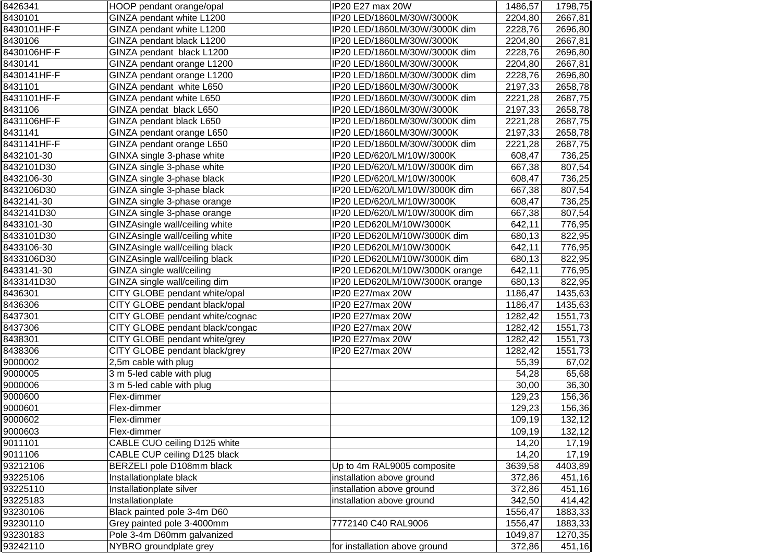| 8426341     | HOOP pendant orange/opal        | IP20 E27 max 20W               | 1486,57 | 1798,75 |
|-------------|---------------------------------|--------------------------------|---------|---------|
| 8430101     | GINZA pendant white L1200       | IP20 LED/1860LM/30W/3000K      | 2204,80 | 2667,81 |
| 8430101HF-F | GINZA pendant white L1200       | IP20 LED/1860LM/30W/3000K dim  | 2228,76 | 2696,80 |
| 8430106     | GINZA pendant black L1200       | IP20 LED/1860LM/30W/3000K      | 2204,80 | 2667,81 |
| 8430106HF-F | GINZA pendant black L1200       | IP20 LED/1860LM/30W/3000K dim  | 2228,76 | 2696,80 |
| 8430141     | GINZA pendant orange L1200      | IP20 LED/1860LM/30W/3000K      | 2204,80 | 2667,81 |
| 8430141HF-F | GINZA pendant orange L1200      | IP20 LED/1860LM/30W/3000K dim  | 2228,76 | 2696,80 |
| 8431101     | GINZA pendant white L650        | IP20 LED/1860LM/30W/3000K      | 2197,33 | 2658,78 |
| 8431101HF-F | GINZA pendant white L650        | IP20 LED/1860LM/30W/3000K dim  | 2221,28 | 2687,75 |
| 8431106     | GINZA pendat black L650         | IP20 LED/1860LM/30W/3000K      | 2197,33 | 2658,78 |
| 8431106HF-F | GINZA pendant black L650        | IP20 LED/1860LM/30W/3000K dim  | 2221,28 | 2687,75 |
| 8431141     | GINZA pendant orange L650       | IP20 LED/1860LM/30W/3000K      | 2197,33 | 2658,78 |
| 8431141HF-F | GINZA pendant orange L650       | IP20 LED/1860LM/30W/3000K dim  | 2221,28 | 2687,75 |
| 8432101-30  | GINXA single 3-phase white      | IP20 LED/620/LM/10W/3000K      | 608,47  | 736,25  |
| 8432101D30  | GINZA single 3-phase white      | IP20 LED/620/LM/10W/3000K dim  | 667,38  | 807,54  |
| 8432106-30  | GINZA single 3-phase black      | IP20 LED/620/LM/10W/3000K      | 608,47  | 736,25  |
| 8432106D30  | GINZA single 3-phase black      | IP20 LED/620/LM/10W/3000K dim  | 667,38  | 807,54  |
| 8432141-30  | GINZA single 3-phase orange     | IP20 LED/620/LM/10W/3000K      | 608,47  | 736,25  |
| 8432141D30  | GINZA single 3-phase orange     | IP20 LED/620/LM/10W/3000K dim  | 667,38  | 807,54  |
| 8433101-30  | GINZAsingle wall/ceiling white  | IP20 LED620LM/10W/3000K        | 642,11  | 776,95  |
| 8433101D30  | GINZAsingle wall/ceiling white  | IP20 LED620LM/10W/3000K dim    | 680,13  | 822,95  |
| 8433106-30  | GINZAsingle wall/ceiling black  | IP20 LED620LM/10W/3000K        | 642,11  | 776,95  |
| 8433106D30  | GINZAsingle wall/ceiling black  | IP20 LED620LM/10W/3000K dim    | 680,13  | 822,95  |
| 8433141-30  | GINZA single wall/ceiling       | IP20 LED620LM/10W/3000K orange | 642,11  | 776,95  |
| 8433141D30  | GINZA single wall/ceiling dim   | IP20 LED620LM/10W/3000K orange | 680,13  | 822,95  |
| 8436301     | CITY GLOBE pendant white/opal   | IP20 E27/max 20W               | 1186,47 | 1435,63 |
| 8436306     | CITY GLOBE pendant black/opal   | IP20 E27/max 20W               | 1186,47 | 1435,63 |
| 8437301     | CITY GLOBE pendant white/cognac | IP20 E27/max 20W               | 1282,42 | 1551,73 |
| 8437306     | CITY GLOBE pendant black/congac | IP20 E27/max 20W               | 1282,42 | 1551,73 |
| 8438301     | CITY GLOBE pendant white/grey   | IP20 E27/max 20W               | 1282,42 | 1551,73 |
| 8438306     | CITY GLOBE pendant black/grey   | IP20 E27/max 20W               | 1282,42 | 1551,73 |
| 9000002     | 2,5m cable with plug            |                                | 55,39   | 67,02   |
| 9000005     | 3 m 5-led cable with plug       |                                | 54,28   | 65,68   |
| 9000006     | 3 m 5-led cable with plug       |                                | 30,00   | 36,30   |
| 9000600     | Flex-dimmer                     |                                | 129,23  | 156,36  |
| 9000601     | Flex-dimmer                     |                                | 129,23  | 156,36  |
| 9000602     | Flex-dimmer                     |                                | 109,19  | 132,12  |
| 9000603     | Flex-dimmer                     |                                | 109,19  | 132,12  |
| 9011101     | CABLE CUO ceiling D125 white    |                                | 14,20   | 17,19   |
| 9011106     | CABLE CUP ceiling D125 black    |                                | 14,20   | 17,19   |
| 93212106    | BERZELI pole D108mm black       | Up to 4m RAL9005 composite     | 3639,58 | 4403,89 |
| 93225106    | Installationplate black         | installation above ground      | 372,86  | 451,16  |
| 93225110    | Installationplate silver        | installation above ground      | 372,86  | 451,16  |
| 93225183    | Installationplate               | installation above ground      | 342,50  | 414,42  |
| 93230106    | Black painted pole 3-4m D60     |                                | 1556,47 | 1883,33 |
| 93230110    | Grey painted pole 3-4000mm      | 7772140 C40 RAL9006            | 1556,47 | 1883,33 |
| 93230183    | Pole 3-4m D60mm galvanized      |                                | 1049,87 | 1270,35 |
| 93242110    | NYBRO groundplate grey          | for installation above ground  | 372,86  | 451,16  |
|             |                                 |                                |         |         |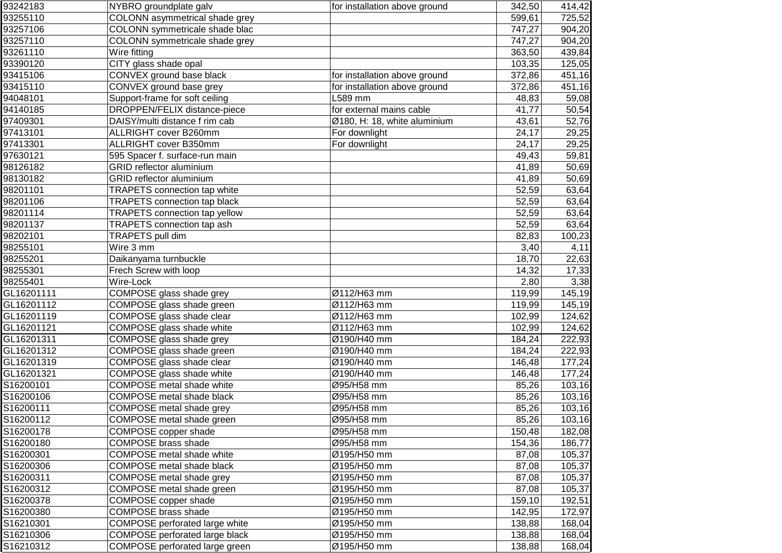| 93242183   | NYBRO groundplate galv               | for installation above ground | 342,50 | 414,42 |
|------------|--------------------------------------|-------------------------------|--------|--------|
| 93255110   | COLONN asymmetrical shade grey       |                               | 599,61 | 725,52 |
| 93257106   | COLONN symmetricale shade blac       |                               | 747,27 | 904,20 |
| 93257110   | COLONN symmetricale shade grey       |                               | 747,27 | 904,20 |
| 93261110   | Wire fitting                         |                               | 363,50 | 439,84 |
| 93390120   | CITY glass shade opal                |                               | 103,35 | 125,05 |
| 93415106   | CONVEX ground base black             | for installation above ground | 372,86 | 451,16 |
| 93415110   | CONVEX ground base grey              | for installation above ground | 372,86 | 451,16 |
| 94048101   | Support-frame for soft ceiling       | L589 mm                       | 48,83  | 59,08  |
| 94140185   | DROPPEN/FELIX distance-piece         | for external mains cable      | 41,77  | 50,54  |
| 97409301   | DAISY/multi distance f rim cab       | Ø180, H: 18, white aluminium  | 43,61  | 52,76  |
| 97413101   | ALLRIGHT cover B260mm                | For downlight                 | 24,17  | 29,25  |
| 97413301   | ALLRIGHT cover B350mm                | For downlight                 | 24,17  | 29,25  |
| 97630121   | 595 Spacer f. surface-run main       |                               | 49,43  | 59,81  |
| 98126182   | GRID reflector aluminium             |                               | 41,89  | 50,69  |
| 98130182   | <b>GRID</b> reflector aluminium      |                               | 41,89  | 50,69  |
| 98201101   | <b>TRAPETS</b> connection tap white  |                               | 52,59  | 63,64  |
| 98201106   | <b>TRAPETS connection tap black</b>  |                               | 52,59  | 63,64  |
| 98201114   | <b>TRAPETS</b> connection tap yellow |                               | 52,59  | 63,64  |
| 98201137   | <b>TRAPETS</b> connection tap ash    |                               | 52,59  | 63,64  |
| 98202101   | TRAPETS pull dim                     |                               | 82,83  | 100,23 |
| 98255101   | Wire 3 mm                            |                               | 3,40   | 4,11   |
| 98255201   | Daikanyama turnbuckle                |                               | 18,70  | 22,63  |
| 98255301   | Frech Screw with loop                |                               | 14,32  | 17,33  |
| 98255401   | Wire-Lock                            |                               | 2,80   | 3,38   |
| GL16201111 | COMPOSE glass shade grey             | Ø112/H63 mm                   | 119,99 | 145,19 |
| GL16201112 | COMPOSE glass shade green            | Ø112/H63 mm                   | 119,99 | 145,19 |
| GL16201119 | COMPOSE glass shade clear            | Ø112/H63 mm                   | 102,99 | 124,62 |
| GL16201121 | COMPOSE glass shade white            | Ø112/H63 mm                   | 102,99 | 124,62 |
| GL16201311 | COMPOSE glass shade grey             | Ø190/H40 mm                   | 184,24 | 222,93 |
| GL16201312 | COMPOSE glass shade green            | Ø190/H40 mm                   | 184,24 | 222,93 |
| GL16201319 | COMPOSE glass shade clear            | Ø190/H40 mm                   | 146,48 | 177,24 |
| GL16201321 | COMPOSE glass shade white            | Ø190/H40 mm                   | 146,48 | 177,24 |
| S16200101  | COMPOSE metal shade white            | Ø95/H58 mm                    | 85,26  | 103,16 |
| S16200106  | <b>COMPOSE</b> metal shade black     | Ø95/H58 mm                    | 85,26  | 103,16 |
| S16200111  | <b>COMPOSE</b> metal shade grey      | Ø95/H58 mm                    | 85,26  | 103,16 |
| S16200112  | COMPOSE metal shade green            | Ø95/H58 mm                    | 85,26  | 103,16 |
| S16200178  | COMPOSE copper shade                 | Ø95/H58 mm                    | 150,48 | 182,08 |
| S16200180  | <b>COMPOSE</b> brass shade           | Ø95/H58 mm                    | 154,36 | 186,77 |
| S16200301  | <b>COMPOSE</b> metal shade white     | Ø195/H50 mm                   | 87,08  | 105,37 |
| S16200306  | COMPOSE metal shade black            | Ø195/H50 mm                   | 87,08  | 105,37 |
| S16200311  | COMPOSE metal shade grey             | Ø195/H50 mm                   | 87,08  | 105,37 |
| S16200312  | COMPOSE metal shade green            | Ø195/H50 mm                   | 87,08  | 105,37 |
| S16200378  | COMPOSE copper shade                 | Ø195/H50 mm                   | 159,10 | 192,51 |
| S16200380  | <b>COMPOSE</b> brass shade           | Ø195/H50 mm                   | 142,95 | 172,97 |
| S16210301  | COMPOSE perforated large white       | Ø195/H50 mm                   | 138,88 | 168,04 |
| S16210306  | COMPOSE perforated large black       | Ø195/H50 mm                   | 138,88 | 168,04 |
| S16210312  | COMPOSE perforated large green       | Ø195/H50 mm                   | 138,88 | 168,04 |